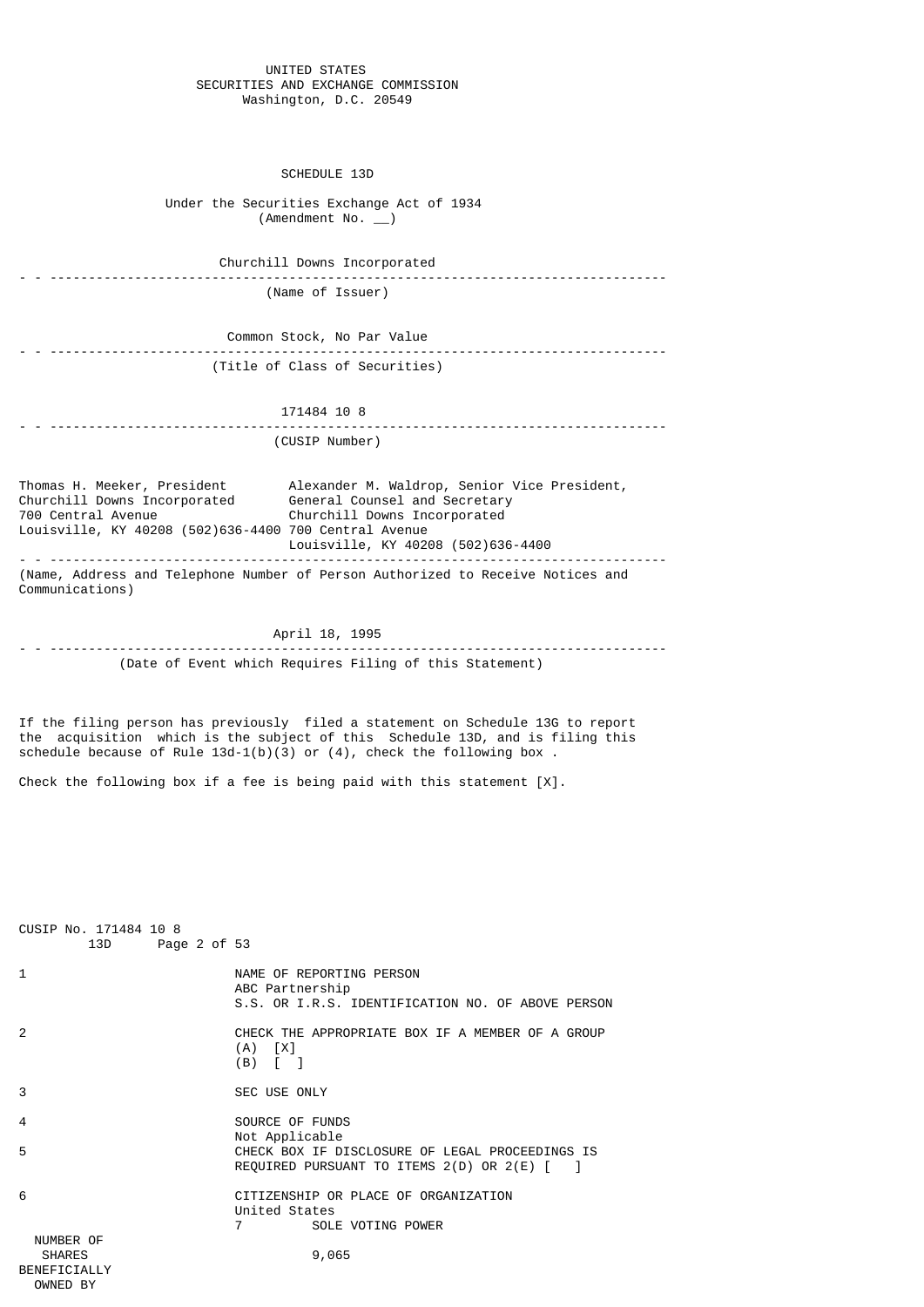#### UNITED STATES SECURITIES AND EXCHANGE COMMISSION Washington, D.C. 20549

#### SCHEDULE 13D

 Under the Securities Exchange Act of 1934  $($ Amendment No.  $)$ 

 Churchill Downs Incorporated - - --------------------------------------------------------------------------------

(Name of Issuer)

 Common Stock, No Par Value - - -------------------------------------------------------------------------------- (Title of Class of Securities)

# 171484 10 8

# - - -------------------------------------------------------------------------------- (CUSIP Number)

Thomas H. Meeker, President Alexander M. Waldrop, Senior Vice President, Churchill Downs Incorporated General Counsel and Secretary 700 Central Avenue Churchill Downs Incorporated Louisville, KY 40208 (502)636-4400 700 Central Avenue Louisville, KY 40208 (502)636-4400 - - -------------------------------------------------------------------------------- (Name, Address and Telephone Number of Person Authorized to Receive Notices and Communications)

 April 18, 1995 - - -------------------------------------------------------------------------------- (Date of Event which Requires Filing of this Statement)

If the filing person has previously filed a statement on Schedule 13G to report the acquisition which is the subject of this Schedule 13D, and is filing this schedule because of Rule  $13d-1(b)(3)$  or  $(4)$ , check the following box.

Check the following box if a fee is being paid with this statement  $[X]$ .

| CUSIP No. 171484 10 8<br>13D Page 2 of 53                     |                                                                                                                           |
|---------------------------------------------------------------|---------------------------------------------------------------------------------------------------------------------------|
| 1                                                             | NAME OF REPORTING PERSON<br>ABC Partnership<br>S.S. OR I.R.S. IDENTIFICATION NO. OF ABOVE PERSON                          |
| $\mathcal{P}$                                                 | CHECK THE APPROPRIATE BOX IF A MEMBER OF A GROUP<br>$(A)$ $[X]$<br>$(B)$ $\begin{bmatrix} \end{bmatrix}$                  |
| 3                                                             | SEC USE ONLY                                                                                                              |
| 4                                                             | SOURCE OF FUNDS<br>Not Applicable                                                                                         |
| 5                                                             | CHECK BOX IF DISCLOSURE OF LEGAL PROCEEDINGS IS<br>REQUIRED PURSUANT TO ITEMS $2(D)$ OR $2(E)$ $\lceil$<br>$\blacksquare$ |
| 6                                                             | CITIZENSHIP OR PLACE OF ORGANIZATION<br>United States                                                                     |
|                                                               | 7<br>SOLE VOTING POWER                                                                                                    |
| NUMBER OF<br><b>SHARES</b><br><b>BENEFTCTALLY</b><br>OWNED BY | 9,065                                                                                                                     |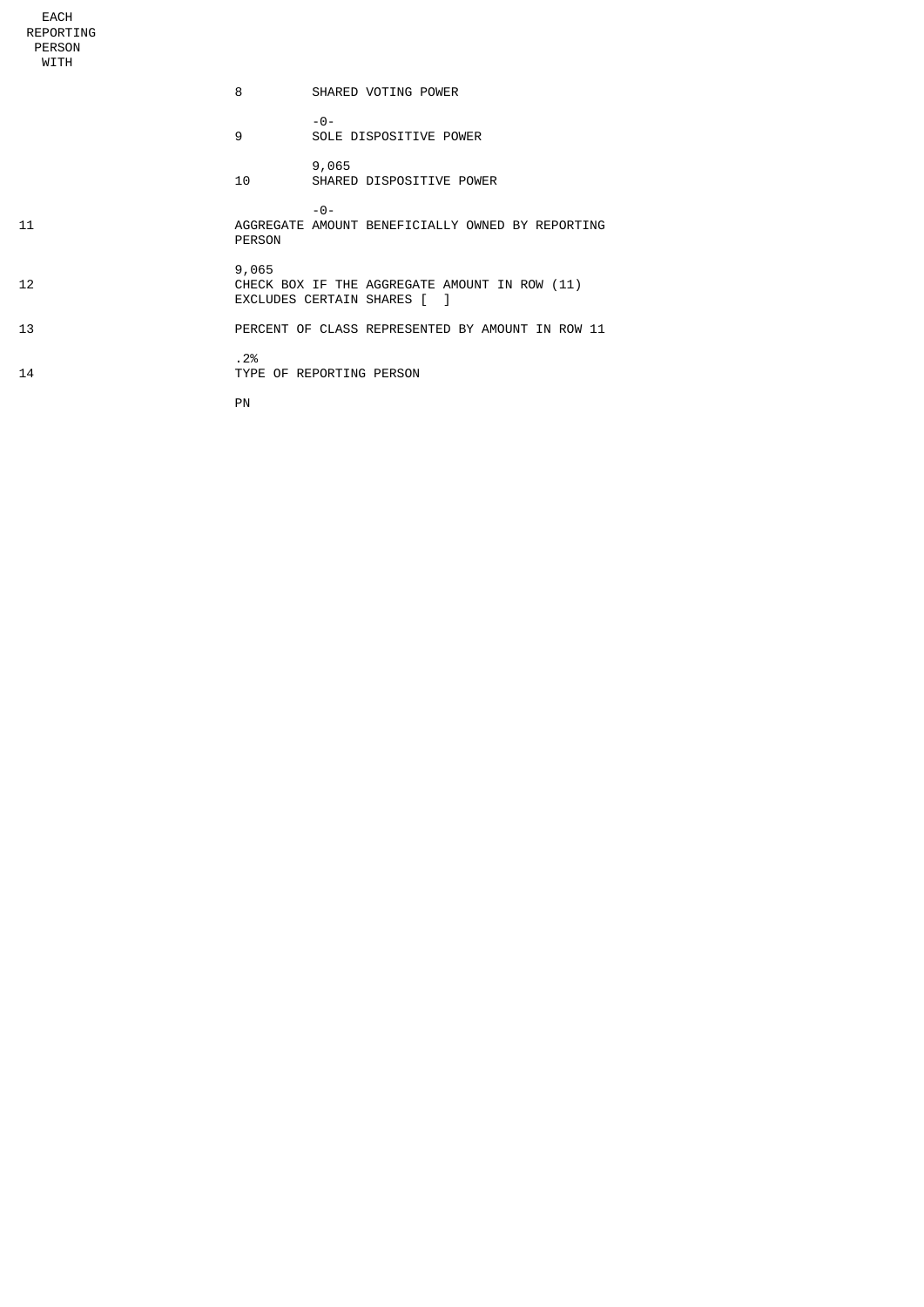REPORTING PERSON WITH 8 SHARED VOTING POWER -0- 9 SOLE DISPOSITIVE POWER 9,065 10 SHARED DISPOSITIVE POWER -0- 11 AGGREGATE AMOUNT BENEFICIALLY OWNED BY REPORTING PERSON 9,065 12 CHECK BOX IF THE AGGREGATE AMOUNT IN ROW (11) EXCLUDES CERTAIN SHARES [ ] 13 PERCENT OF CLASS REPRESENTED BY AMOUNT IN ROW 11  $\begin{array}{ccccc}\n & . & 2\% \\
14 & & & \n\end{array}$ TYPE OF REPORTING PERSON **PN** PN

EACH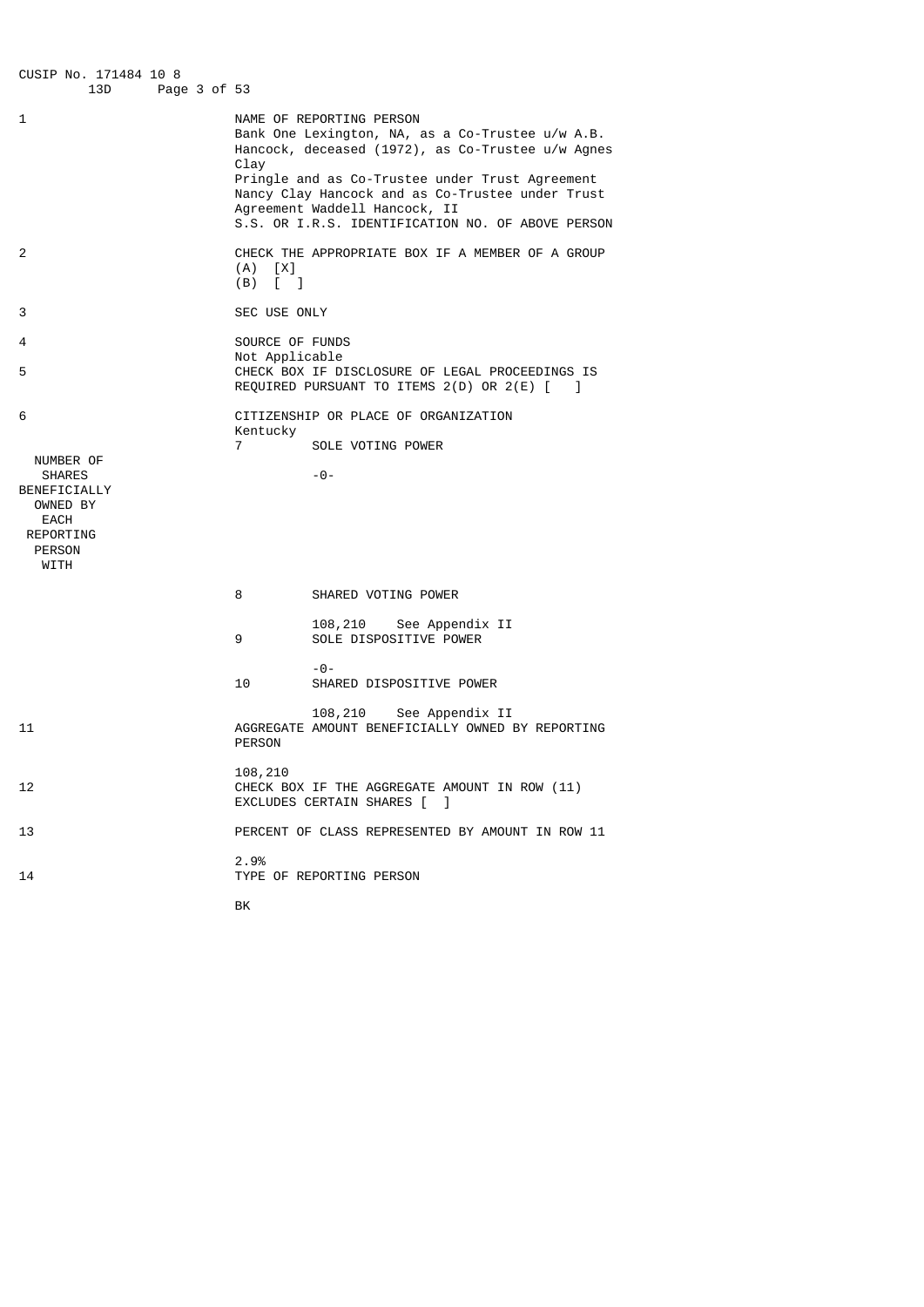CUSIP No. 171484 10 8 Page 3 of 53 1 NAME OF REPORTING PERSON Bank One Lexington, NA, as a Co-Trustee u/w A.B. Hancock, deceased (1972), as Co-Trustee u/w Agnes Clay Pringle and as Co-Trustee under Trust Agreement Nancy Clay Hancock and as Co-Trustee under Trust Agreement Waddell Hancock, II S.S. OR I.R.S. IDENTIFICATION NO. OF ABOVE PERSON 2 CHECK THE APPROPRIATE BOX IF A MEMBER OF A GROUP (A) [X]  $(B)$   $[$   $]$ 3 SEC USE ONLY 4 SOURCE OF FUNDS Not Applicable<br>
S<br>
CHECK BOX TE D CHECK BOX IF DISCLOSURE OF LEGAL PROCEEDINGS IS REQUIRED PURSUANT TO ITEMS 2(D) OR 2(E) [ ] 6 CITIZENSHIP OR PLACE OF ORGANIZATION Kentucky 7 SOLE VOTING POWER NUMBER OF SHARES -0-BENEFICIALLY OWNED BY EACH REPORTING PERSON WITH 8 SHARED VOTING POWER 108,210 See Appendix II 9 SOLE DISPOSITIVE POWER -0- 10 SHARED DISPOSITIVE POWER 108,210 See Appendix II<br>AGGREGATE AMOUNT BENEFICIALLY OWNED E 11 AGGREGATE AMOUNT BENEFICIALLY OWNED BY REPORTING PERSON 108,210 CHECK BOX IF THE AGGREGATE AMOUNT IN ROW (11) EXCLUDES CERTAIN SHARES [ ] 13 **PERCENT OF CLASS REPRESENTED BY AMOUNT IN ROW 11**  2.9% TYPE OF REPORTING PERSON **BK** and the contract of the contract of the BK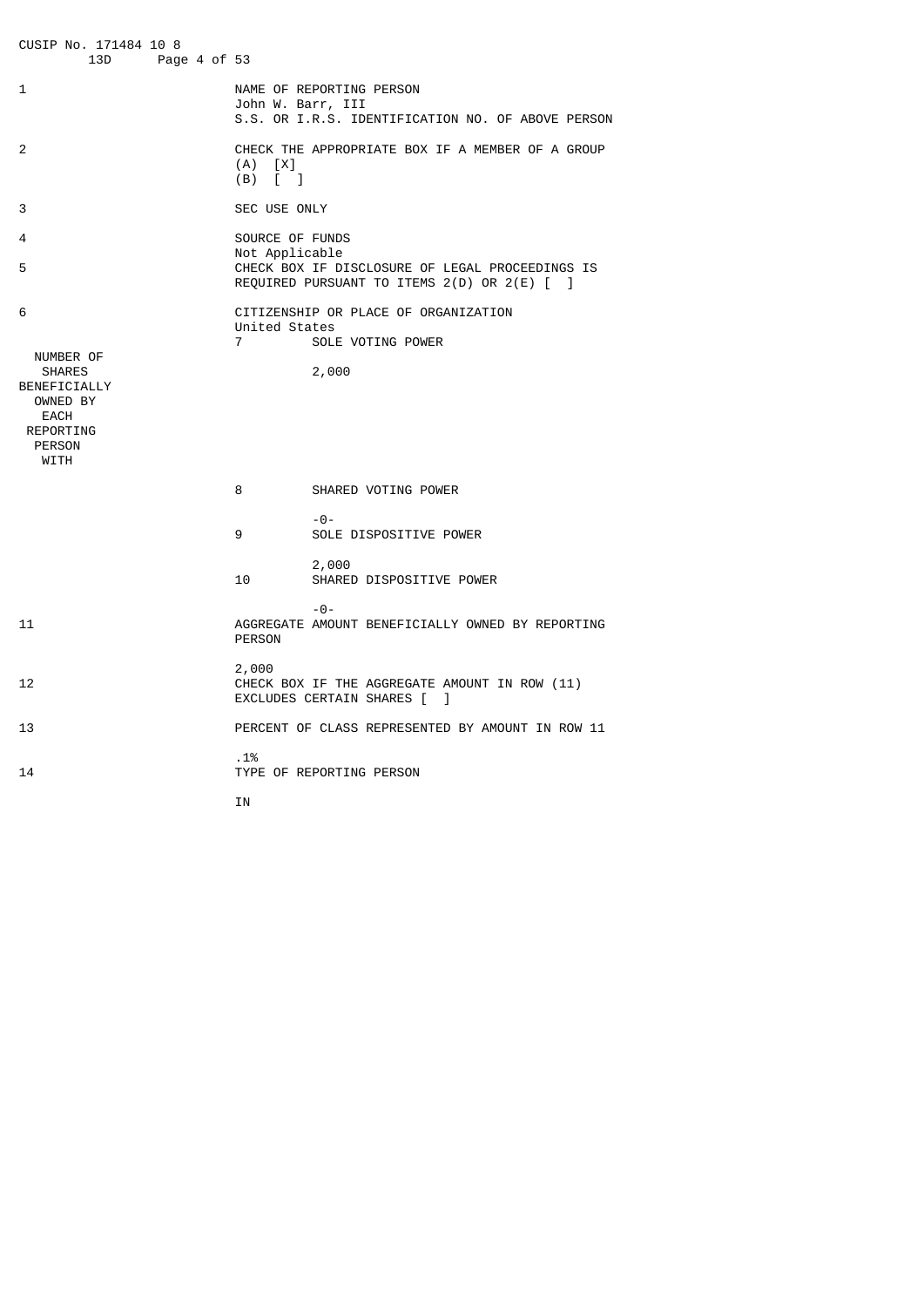CUSIP No. 171484 10 8 Page 4 of 53 1 NAME OF REPORTING PERSON John W. Barr, III S.S. OR I.R.S. IDENTIFICATION NO. OF ABOVE PERSON 2 CHECK THE APPROPRIATE BOX IF A MEMBER OF A GROUP  $(A)$   $[X]$  (B) [ ] 3 SEC USE ONLY 4 SOURCE OF FUNDS Not Applicable<br>
S<br>
CHECK BOX TE D' CHECK BOX IF DISCLOSURE OF LEGAL PROCEEDINGS IS REQUIRED PURSUANT TO ITEMS 2(D) OR 2(E) [ ] 6 CITIZENSHIP OR PLACE OF ORGANIZATION United States 7 SOLE VOTING POWER NUMBER OF<br>SHARES 2,000 BENEFICIALLY OWNED BY EACH REPORTING PERSON WITH 8 SHARED VOTING POWER -0- 9 SOLE DISPOSITIVE POWER 2,000 SHARED DISPOSITIVE POWER -0- 11 AGGREGATE AMOUNT BENEFICIALLY OWNED BY REPORTING PERSON 2,000 CHECK BOX IF THE AGGREGATE AMOUNT IN ROW (11) EXCLUDES CERTAIN SHARES [ ] 13 PERCENT OF CLASS REPRESENTED BY AMOUNT IN ROW 11 .1% 14 TYPE OF REPORTING PERSON **IN**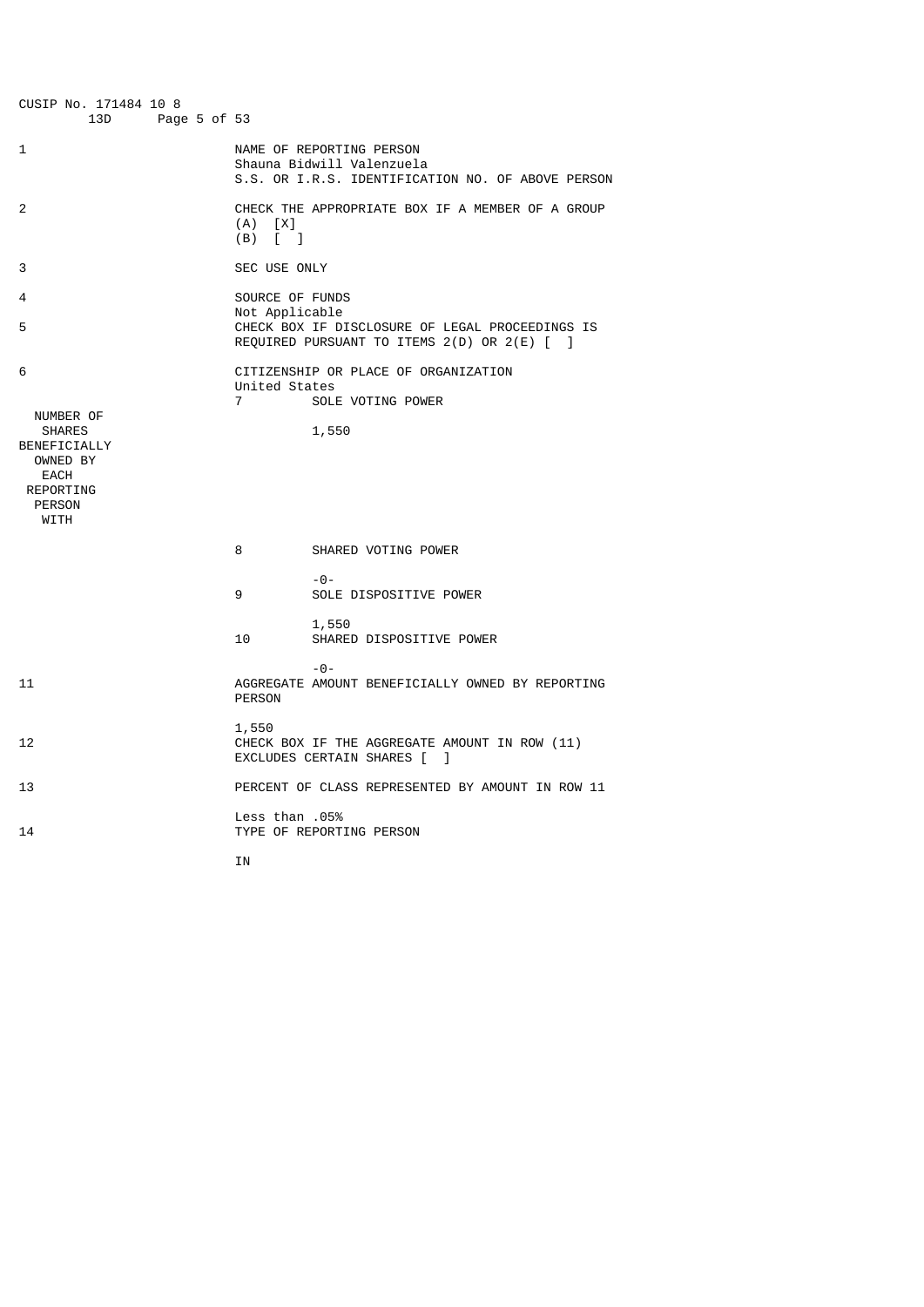| CUSIP No. 171484 10 8<br>13D<br>Page 5 of 53                                            |                                                        |                                                                                                            |
|-----------------------------------------------------------------------------------------|--------------------------------------------------------|------------------------------------------------------------------------------------------------------------|
| 1                                                                                       |                                                        | NAME OF REPORTING PERSON<br>Shauna Bidwill Valenzuela<br>S.S. OR I.R.S. IDENTIFICATION NO. OF ABOVE PERSON |
| 2                                                                                       | $(A)$ $[X]$<br>$(B)$ $\begin{bmatrix} 1 \end{bmatrix}$ | CHECK THE APPROPRIATE BOX IF A MEMBER OF A GROUP                                                           |
| 3                                                                                       | SEC USE ONLY                                           |                                                                                                            |
| 4                                                                                       | SOURCE OF FUNDS<br>Not Applicable                      |                                                                                                            |
| 5                                                                                       |                                                        | CHECK BOX IF DISCLOSURE OF LEGAL PROCEEDINGS IS<br>REQUIRED PURSUANT TO ITEMS 2(D) OR 2(E) [ ]             |
| 6<br>NUMBER OF<br><b>SHARES</b><br>BENEFICIALLY<br>OWNED BY<br><b>EACH</b><br>REPORTING | United States<br>$\overline{7}$                        | CITIZENSHIP OR PLACE OF ORGANIZATION<br>SOLE VOTING POWER<br>1,550                                         |
| <b>PERSON</b><br>WITH                                                                   |                                                        |                                                                                                            |
|                                                                                         | 8                                                      | SHARED VOTING POWER                                                                                        |
|                                                                                         | 9                                                      | $-0-$<br>SOLE DISPOSITIVE POWER                                                                            |
|                                                                                         | 10                                                     | 1,550<br>SHARED DISPOSITIVE POWER                                                                          |
| 11                                                                                      | <b>PERSON</b>                                          | $-0-$<br>AGGREGATE AMOUNT BENEFICIALLY OWNED BY REPORTING                                                  |
| 12                                                                                      | 1,550                                                  | CHECK BOX IF THE AGGREGATE AMOUNT IN ROW (11)<br>EXCLUDES CERTAIN SHARES [ ]                               |
| 13                                                                                      |                                                        | PERCENT OF CLASS REPRESENTED BY AMOUNT IN ROW 11                                                           |
| 14                                                                                      | 05%. Less than                                         | TYPE OF REPORTING PERSON                                                                                   |

**IN**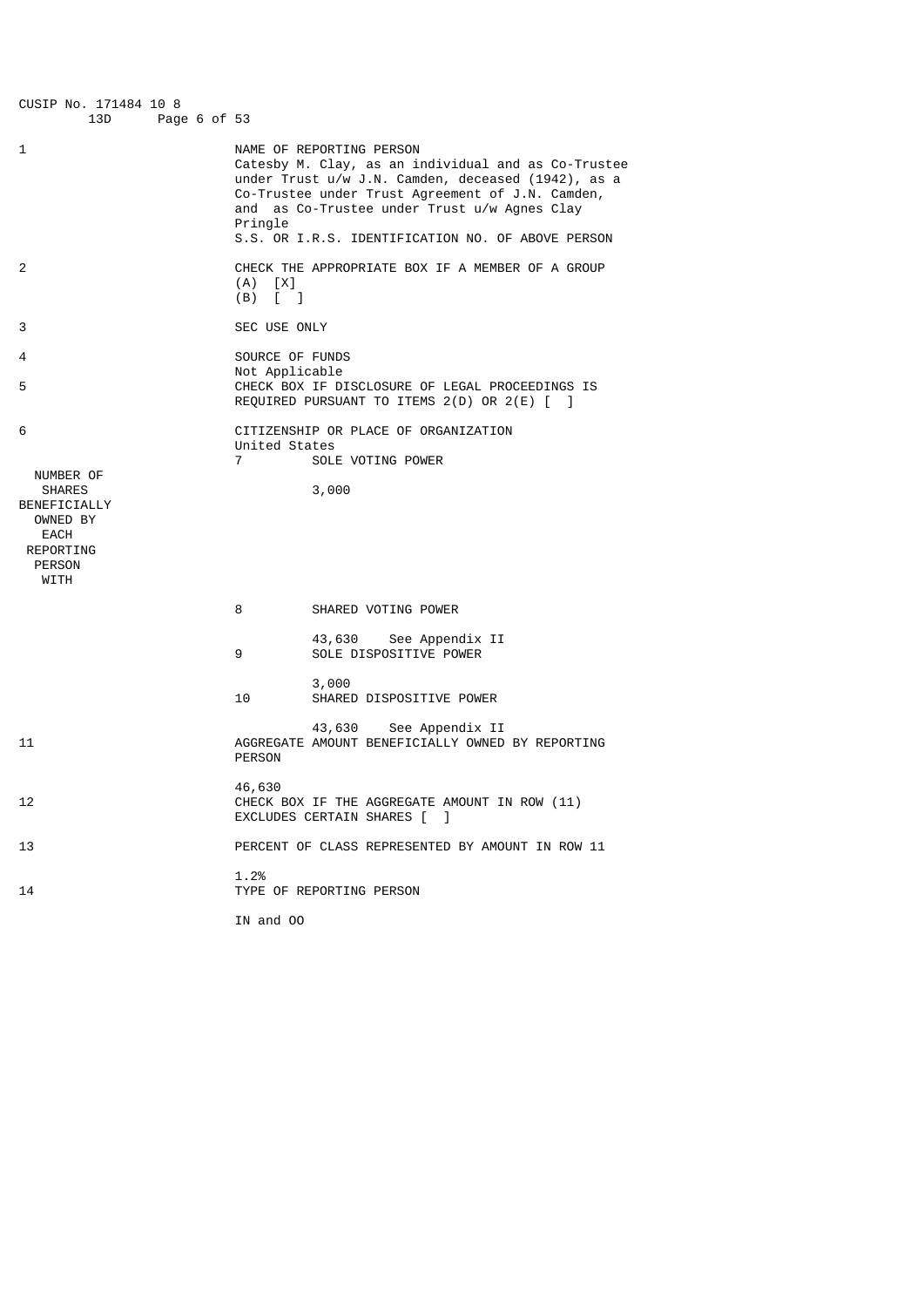| CUSIP No. 171484 10 8<br>13D<br>Page 6 of 53                                                              |                                                                                                                                                                                                                                                                                                           |  |
|-----------------------------------------------------------------------------------------------------------|-----------------------------------------------------------------------------------------------------------------------------------------------------------------------------------------------------------------------------------------------------------------------------------------------------------|--|
| 1                                                                                                         | NAME OF REPORTING PERSON<br>Catesby M. Clay, as an individual and as Co-Trustee<br>under Trust u/w J.N. Camden, deceased (1942), as a<br>Co-Trustee under Trust Agreement of J.N. Camden,<br>and as Co-Trustee under Trust u/w Agnes Clay<br>Pringle<br>S.S. OR I.R.S. IDENTIFICATION NO. OF ABOVE PERSON |  |
| 2                                                                                                         | CHECK THE APPROPRIATE BOX IF A MEMBER OF A GROUP<br>$(A)$ $[X]$<br>$(B)$ [ ]                                                                                                                                                                                                                              |  |
| 3                                                                                                         | SEC USE ONLY                                                                                                                                                                                                                                                                                              |  |
| 4                                                                                                         | SOURCE OF FUNDS                                                                                                                                                                                                                                                                                           |  |
| 5                                                                                                         | Not Applicable<br>CHECK BOX IF DISCLOSURE OF LEGAL PROCEEDINGS IS<br>REQUIRED PURSUANT TO ITEMS 2(D) OR 2(E) [ ]                                                                                                                                                                                          |  |
| 6<br>NUMBER OF<br><b>SHARES</b><br>BENEFICIALLY<br>OWNED BY<br>EACH<br>REPORTING<br><b>PERSON</b><br>WITH | CITIZENSHIP OR PLACE OF ORGANIZATION<br>United States<br>$\overline{7}$<br>SOLE VOTING POWER<br>3,000                                                                                                                                                                                                     |  |
|                                                                                                           | 8<br>SHARED VOTING POWER                                                                                                                                                                                                                                                                                  |  |
|                                                                                                           | 43,630<br>See Appendix II<br>SOLE DISPOSITIVE POWER<br>9                                                                                                                                                                                                                                                  |  |
|                                                                                                           | 3,000<br>10<br>SHARED DISPOSITIVE POWER                                                                                                                                                                                                                                                                   |  |
| 11                                                                                                        | 43,630<br>See Appendix II<br>AGGREGATE AMOUNT BENEFICIALLY OWNED BY REPORTING<br><b>PERSON</b>                                                                                                                                                                                                            |  |
| 12                                                                                                        | 46,630<br>CHECK BOX IF THE AGGREGATE AMOUNT IN ROW (11)<br>EXCLUDES CERTAIN SHARES [ ]                                                                                                                                                                                                                    |  |
| 13                                                                                                        | PERCENT OF CLASS REPRESENTED BY AMOUNT IN ROW 11                                                                                                                                                                                                                                                          |  |
| 14                                                                                                        | 1.2%<br>TYPE OF REPORTING PERSON                                                                                                                                                                                                                                                                          |  |
|                                                                                                           | IN and OO                                                                                                                                                                                                                                                                                                 |  |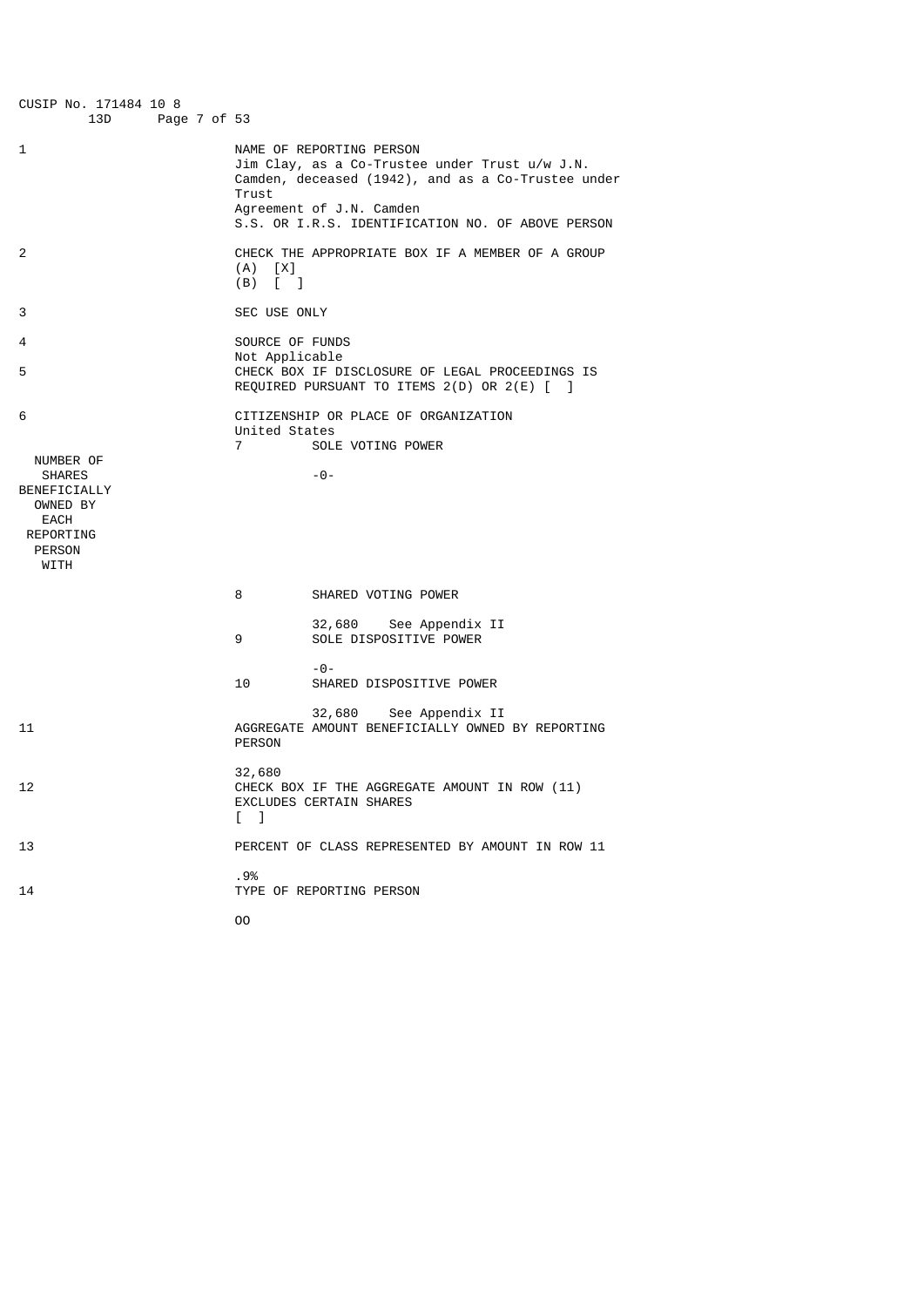| CUSIP No. 171484 10 8<br>13D                                                  | Page 7 of 53 |                                 |                                                                                                                                  |
|-------------------------------------------------------------------------------|--------------|---------------------------------|----------------------------------------------------------------------------------------------------------------------------------|
| 1                                                                             |              | Trust                           | NAME OF REPORTING PERSON<br>Jim Clay, as a Co-Trustee under Trust u/w J.N.<br>Camden, deceased (1942), and as a Co-Trustee under |
|                                                                               |              |                                 | Agreement of J.N. Camden<br>S.S. OR I.R.S. IDENTIFICATION NO. OF ABOVE PERSON                                                    |
| 2                                                                             |              | $(A)$ $[X]$<br>$(B)$ [ ]        | CHECK THE APPROPRIATE BOX IF A MEMBER OF A GROUP                                                                                 |
| 3                                                                             |              | SEC USE ONLY                    |                                                                                                                                  |
| 4                                                                             |              | SOURCE OF FUNDS                 |                                                                                                                                  |
| 5                                                                             |              | Not Applicable                  | CHECK BOX IF DISCLOSURE OF LEGAL PROCEEDINGS IS<br>REQUIRED PURSUANT TO ITEMS 2(D) OR 2(E) [ ]                                   |
| 6<br>NUMBER OF<br><b>SHARES</b>                                               |              | United States<br>$\overline{7}$ | CITIZENSHIP OR PLACE OF ORGANIZATION<br>SOLE VOTING POWER<br>-0-                                                                 |
| BENEFICIALLY<br>OWNED BY<br><b>EACH</b><br>REPORTING<br><b>PERSON</b><br>WITH |              |                                 |                                                                                                                                  |
|                                                                               |              | 8                               | SHARED VOTING POWER                                                                                                              |
|                                                                               |              | 9                               | 32,680 See Appendix II<br>SOLE DISPOSITIVE POWER                                                                                 |
|                                                                               |              | 10                              | - 0 -<br>SHARED DISPOSITIVE POWER                                                                                                |
| 11                                                                            |              | <b>PERSON</b>                   | 32,680<br>See Appendix II<br>AGGREGATE AMOUNT BENEFICIALLY OWNED BY REPORTING                                                    |
| 12                                                                            |              | 32,680<br>$\lceil \quad \rceil$ | CHECK BOX IF THE AGGREGATE AMOUNT IN ROW (11)<br>EXCLUDES CERTAIN SHARES                                                         |
| 13                                                                            |              |                                 | PERCENT OF CLASS REPRESENTED BY AMOUNT IN ROW 11                                                                                 |
| 14                                                                            |              | .9%                             | TYPE OF REPORTING PERSON                                                                                                         |
|                                                                               |              | 00                              |                                                                                                                                  |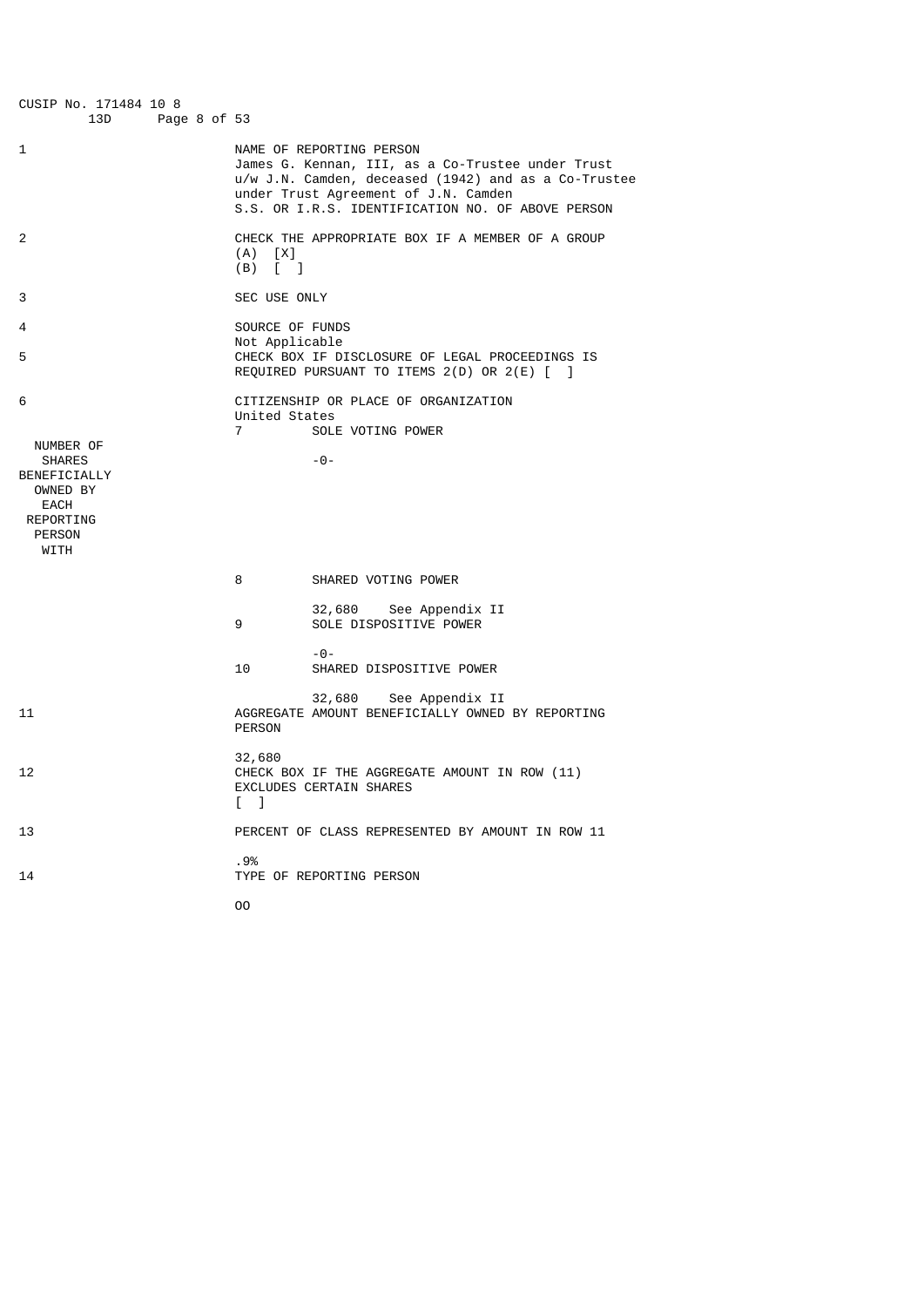| CUSIP No. 171484 10 8<br>13D<br>Page 8 of 53                                                         |                                                                                                                                                                            |                                                      |
|------------------------------------------------------------------------------------------------------|----------------------------------------------------------------------------------------------------------------------------------------------------------------------------|------------------------------------------------------|
| 1                                                                                                    | NAME OF REPORTING PERSON<br>James G. Kennan, III, as a Co-Trustee under Trust<br>under Trust Agreement of J.N. Camden<br>S.S. OR I.R.S. IDENTIFICATION NO. OF ABOVE PERSON | u/w J.N. Camden, deceased (1942) and as a Co-Trustee |
| 2                                                                                                    | CHECK THE APPROPRIATE BOX IF A MEMBER OF A GROUP<br>$(A)$ $[X]$<br>$(B)$ $\begin{bmatrix} 1 \end{bmatrix}$                                                                 |                                                      |
| 3                                                                                                    | SEC USE ONLY                                                                                                                                                               |                                                      |
| 4                                                                                                    | SOURCE OF FUNDS                                                                                                                                                            |                                                      |
| 5                                                                                                    | Not Applicable<br>CHECK BOX IF DISCLOSURE OF LEGAL PROCEEDINGS IS<br>REQUIRED PURSUANT TO ITEMS 2(D) OR 2(E) [ ]                                                           |                                                      |
| 6                                                                                                    | CITIZENSHIP OR PLACE OF ORGANIZATION<br>United States<br>SOLE VOTING POWER<br>$\overline{7}$                                                                               |                                                      |
| NUMBER OF<br><b>SHARES</b><br>BENEFICIALLY<br>OWNED BY<br>EACH<br>REPORTING<br><b>PERSON</b><br>WITH | $-0-$                                                                                                                                                                      |                                                      |
|                                                                                                      | SHARED VOTING POWER<br>8                                                                                                                                                   |                                                      |
|                                                                                                      | 32,680 See Appendix II<br>SOLE DISPOSITIVE POWER<br>9                                                                                                                      |                                                      |
|                                                                                                      | $-0-$<br>10<br>SHARED DISPOSITIVE POWER                                                                                                                                    |                                                      |
| 11                                                                                                   | 32,680 See Appendix II<br>AGGREGATE AMOUNT BENEFICIALLY OWNED BY REPORTING<br><b>PERSON</b>                                                                                |                                                      |
| 12                                                                                                   | 32,680<br>CHECK BOX IF THE AGGREGATE AMOUNT IN ROW (11)<br>EXCLUDES CERTAIN SHARES<br>$\Box$                                                                               |                                                      |
| 13                                                                                                   | PERCENT OF CLASS REPRESENTED BY AMOUNT IN ROW 11                                                                                                                           |                                                      |
| 14                                                                                                   | .9%<br>TYPE OF REPORTING PERSON                                                                                                                                            |                                                      |
|                                                                                                      | 00                                                                                                                                                                         |                                                      |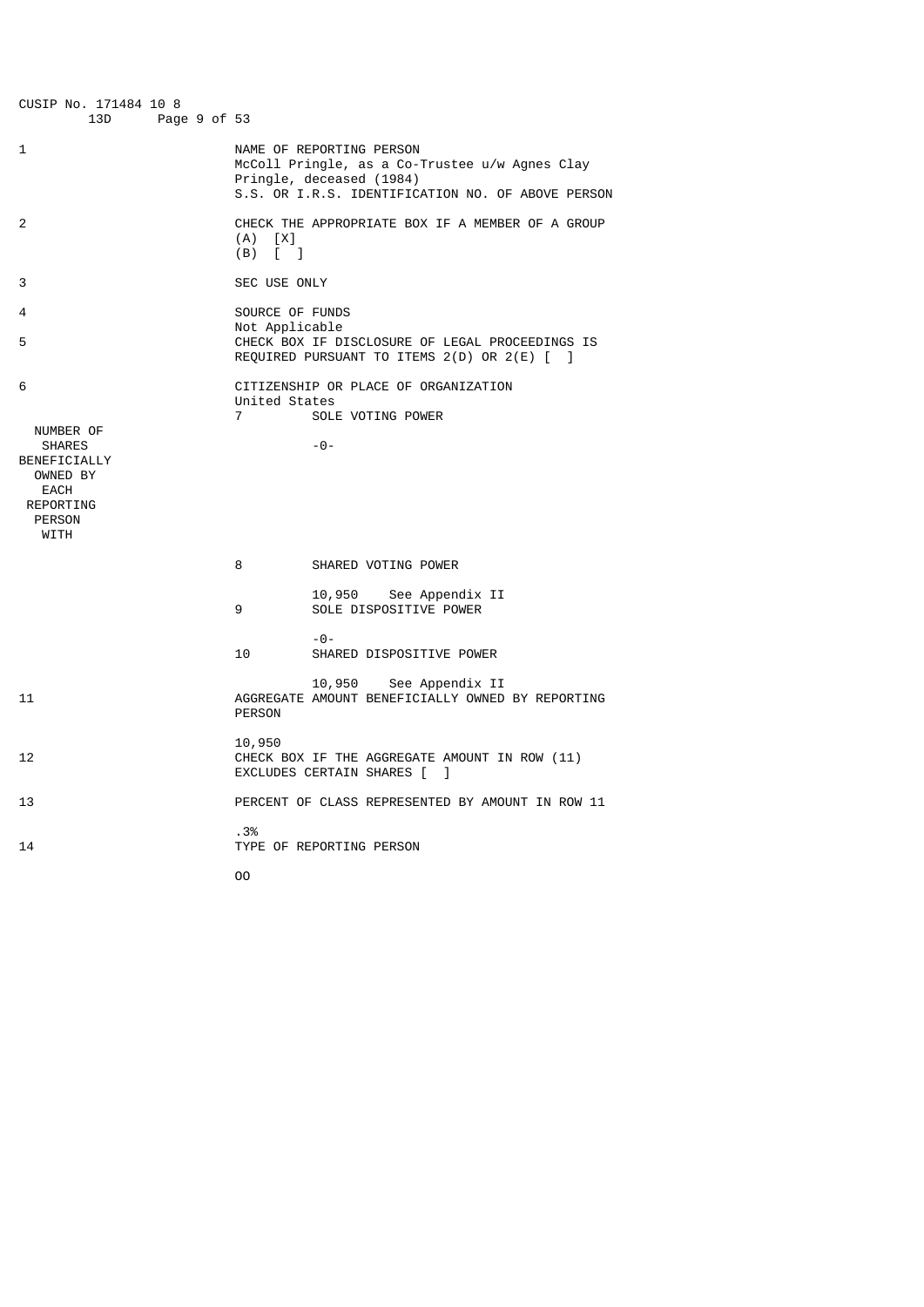| CUSIP No. 171484 10 8<br>13D                                                                                     | Page 9 of 53 |                                                     |                                                                                                                                                             |
|------------------------------------------------------------------------------------------------------------------|--------------|-----------------------------------------------------|-------------------------------------------------------------------------------------------------------------------------------------------------------------|
| 1                                                                                                                |              |                                                     | NAME OF REPORTING PERSON<br>McColl Pringle, as a Co-Trustee u/w Agnes Clay<br>Pringle, deceased (1984)<br>S.S. OR I.R.S. IDENTIFICATION NO. OF ABOVE PERSON |
| 2                                                                                                                |              | (A)<br>[X]<br>$(B)$ $\begin{bmatrix} \end{bmatrix}$ | CHECK THE APPROPRIATE BOX IF A MEMBER OF A GROUP                                                                                                            |
| 3                                                                                                                |              | SEC USE ONLY                                        |                                                                                                                                                             |
| 4                                                                                                                |              | SOURCE OF FUNDS                                     |                                                                                                                                                             |
| 5                                                                                                                |              | Not Applicable                                      | CHECK BOX IF DISCLOSURE OF LEGAL PROCEEDINGS IS<br>REQUIRED PURSUANT TO ITEMS 2(D) OR 2(E) [ ]                                                              |
| 6<br>NUMBER OF<br><b>SHARES</b><br>BENEFICIALLY<br>OWNED BY<br><b>EACH</b><br>REPORTING<br><b>PERSON</b><br>WITH |              | United States<br>$\overline{7}$                     | CITIZENSHIP OR PLACE OF ORGANIZATION<br>SOLE VOTING POWER<br>$-0-$                                                                                          |
|                                                                                                                  |              | 8                                                   | SHARED VOTING POWER                                                                                                                                         |
|                                                                                                                  |              | 9                                                   | 10,950<br>See Appendix II<br>SOLE DISPOSITIVE POWER                                                                                                         |
|                                                                                                                  |              | 10                                                  | $-0-$<br>SHARED DISPOSITIVE POWER                                                                                                                           |
| 11                                                                                                               |              | <b>PERSON</b>                                       | 10,950<br>See Appendix II<br>AGGREGATE AMOUNT BENEFICIALLY OWNED BY REPORTING                                                                               |
| 12                                                                                                               |              | 10,950                                              | CHECK BOX IF THE AGGREGATE AMOUNT IN ROW (11)<br>EXCLUDES CERTAIN SHARES [<br>- 1                                                                           |
| 13                                                                                                               |              |                                                     | PERCENT OF CLASS REPRESENTED BY AMOUNT IN ROW 11                                                                                                            |
| 14                                                                                                               |              | .3%                                                 | TYPE OF REPORTING PERSON                                                                                                                                    |

OO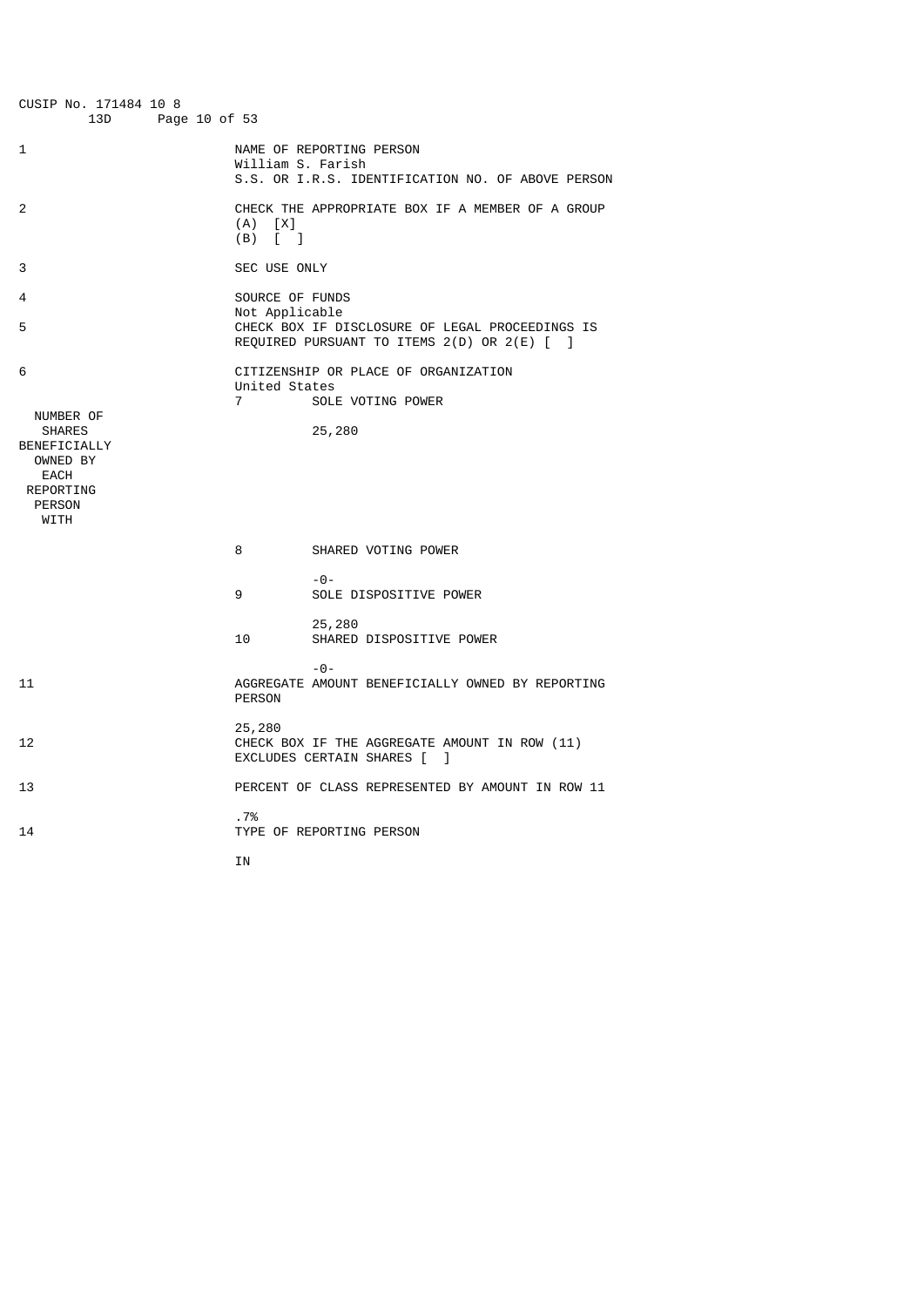| CUSIP No. 171484 10 8<br>13D<br>Page 10 of 53                                                     |                                                        |                                                                                                |
|---------------------------------------------------------------------------------------------------|--------------------------------------------------------|------------------------------------------------------------------------------------------------|
| 1                                                                                                 | William S. Farish                                      | NAME OF REPORTING PERSON<br>S.S. OR I.R.S. IDENTIFICATION NO. OF ABOVE PERSON                  |
| 2                                                                                                 | (A)<br>[X]<br>(B)<br>$\begin{bmatrix} 1 \end{bmatrix}$ | CHECK THE APPROPRIATE BOX IF A MEMBER OF A GROUP                                               |
| 3                                                                                                 | SEC USE ONLY                                           |                                                                                                |
| 4<br>5                                                                                            | SOURCE OF FUNDS<br>Not Applicable                      | CHECK BOX IF DISCLOSURE OF LEGAL PROCEEDINGS IS<br>REQUIRED PURSUANT TO ITEMS 2(D) OR 2(E) [ ] |
| 6<br>NUMBER OF<br><b>SHARES</b><br>BENEFICIALLY<br>OWNED BY<br>EACH<br>REPORTING<br><b>PERSON</b> | United States<br>$\overline{7}$                        | CITIZENSHIP OR PLACE OF ORGANIZATION<br>SOLE VOTING POWER<br>25,280                            |
|                                                                                                   | 8                                                      | SHARED VOTING POWER                                                                            |
|                                                                                                   | 9                                                      | $- \Theta -$<br>SOLE DISPOSITIVE POWER                                                         |
|                                                                                                   | 10                                                     | 25,280<br>SHARED DISPOSITIVE POWER                                                             |
| 11                                                                                                | <b>PERSON</b>                                          | $-0-$<br>AGGREGATE AMOUNT BENEFICIALLY OWNED BY REPORTING                                      |
| 12                                                                                                | 25,280                                                 | CHECK BOX IF THE AGGREGATE AMOUNT IN ROW (11)<br>EXCLUDES CERTAIN SHARES [<br>1                |
| 13                                                                                                |                                                        | PERCENT OF CLASS REPRESENTED BY AMOUNT IN ROW 11                                               |
| 14                                                                                                | .7%                                                    | TYPE OF REPORTING PERSON                                                                       |
| WITH                                                                                              | ΙN                                                     |                                                                                                |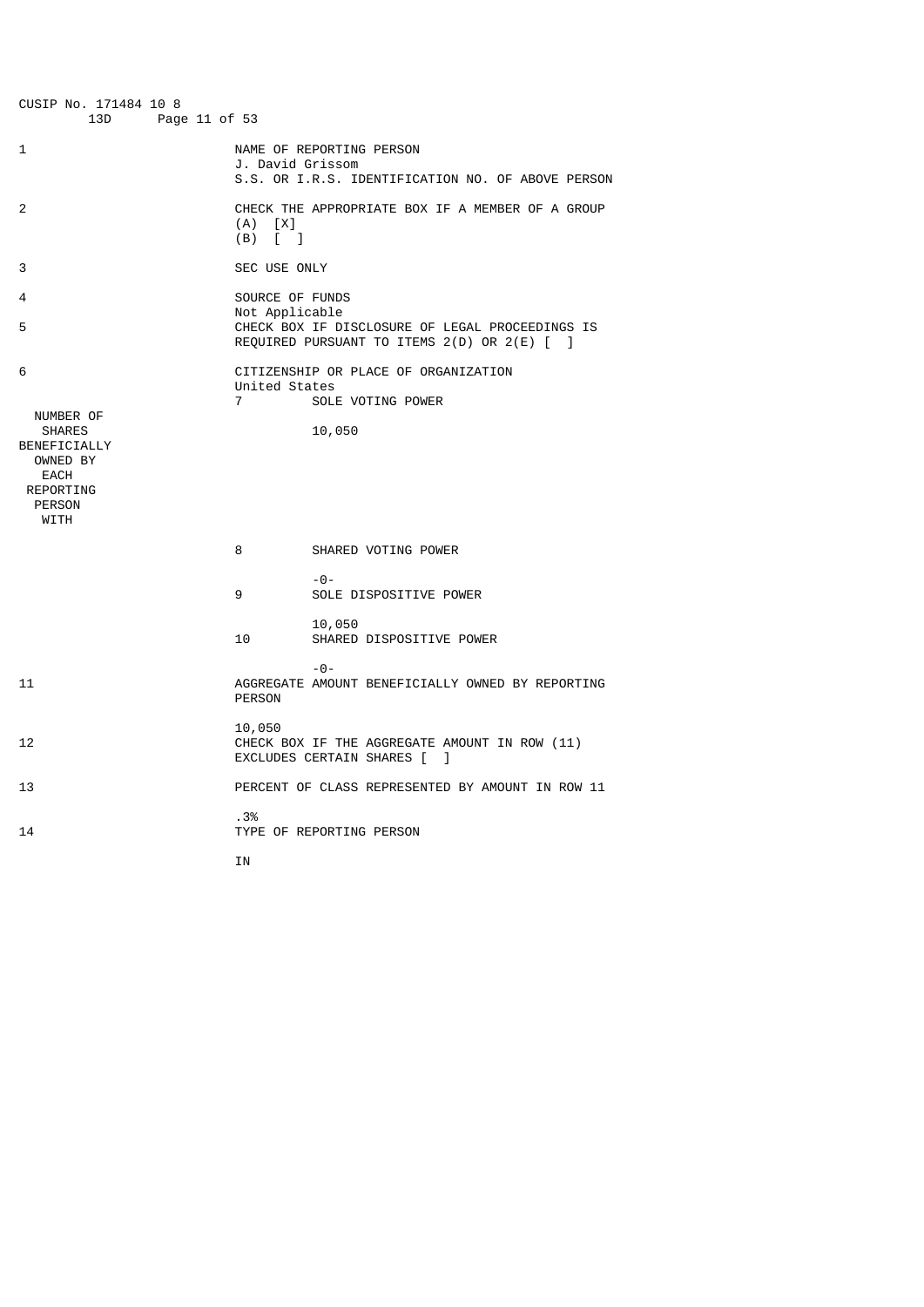| CUSIP No. 171484 10 8<br>13D<br>Page 11 of 53                                                                    |                                                                                                                                     |
|------------------------------------------------------------------------------------------------------------------|-------------------------------------------------------------------------------------------------------------------------------------|
| 1                                                                                                                | NAME OF REPORTING PERSON<br>J. David Grissom<br>S.S. OR I.R.S. IDENTIFICATION NO. OF ABOVE PERSON                                   |
| 2                                                                                                                | CHECK THE APPROPRIATE BOX IF A MEMBER OF A GROUP<br>(A)<br>[X]<br>(B)<br>$\begin{bmatrix} 1 & 1 \end{bmatrix}$                      |
| 3                                                                                                                | SEC USE ONLY                                                                                                                        |
| 4<br>5                                                                                                           | SOURCE OF FUNDS<br>Not Applicable<br>CHECK BOX IF DISCLOSURE OF LEGAL PROCEEDINGS IS<br>REQUIRED PURSUANT TO ITEMS 2(D) OR 2(E) [ ] |
| 6<br>NUMBER OF<br><b>SHARES</b><br>BENEFICIALLY<br>OWNED BY<br>EACH<br><b>REPORTING</b><br><b>PERSON</b><br>WITH | CITIZENSHIP OR PLACE OF ORGANIZATION<br>United States<br>$\overline{7}$<br>SOLE VOTING POWER<br>10,050                              |
|                                                                                                                  | 8<br>SHARED VOTING POWER                                                                                                            |
|                                                                                                                  | $- \Theta -$<br>SOLE DISPOSITIVE POWER<br>9                                                                                         |
|                                                                                                                  | 10,050<br>10<br>SHARED DISPOSITIVE POWER                                                                                            |
| 11                                                                                                               | $-0-$<br>AGGREGATE AMOUNT BENEFICIALLY OWNED BY REPORTING<br><b>PERSON</b>                                                          |
| 12                                                                                                               | 10,050<br>CHECK BOX IF THE AGGREGATE AMOUNT IN ROW (11)<br>EXCLUDES CERTAIN SHARES [<br>1                                           |
| 13                                                                                                               | PERCENT OF CLASS REPRESENTED BY AMOUNT IN ROW 11                                                                                    |
| 14                                                                                                               | .3%<br>TYPE OF REPORTING PERSON<br>IN                                                                                               |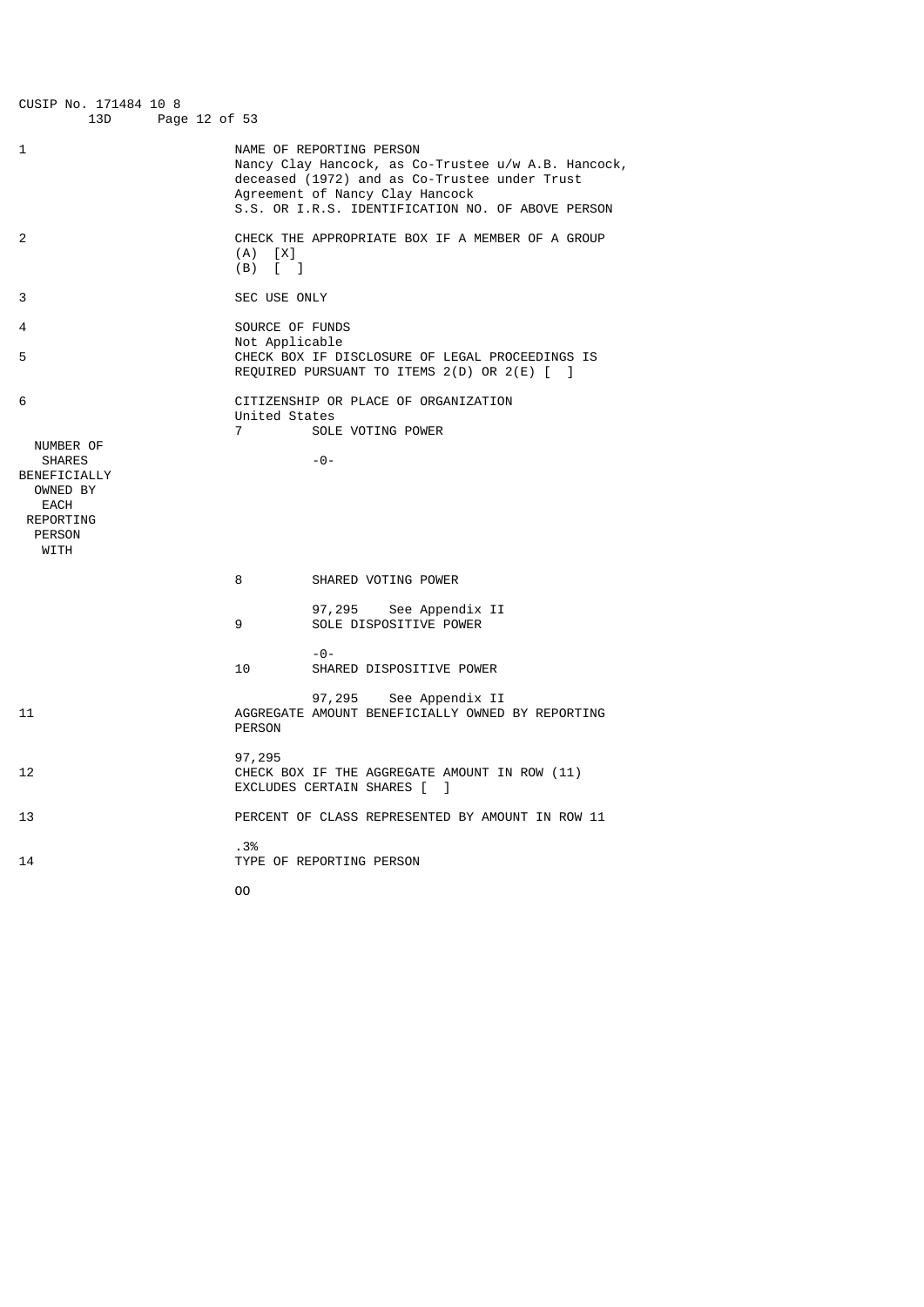| CUSIP No. 171484 10 8<br>13D<br>Page 12 of 53                                                               |                                                                                                                                                                                                                          |
|-------------------------------------------------------------------------------------------------------------|--------------------------------------------------------------------------------------------------------------------------------------------------------------------------------------------------------------------------|
| 1                                                                                                           | NAME OF REPORTING PERSON<br>Nancy Clay Hancock, as Co-Trustee u/w A.B. Hancock,<br>deceased (1972) and as Co-Trustee under Trust<br>Agreement of Nancy Clay Hancock<br>S.S. OR I.R.S. IDENTIFICATION NO. OF ABOVE PERSON |
| 2                                                                                                           | CHECK THE APPROPRIATE BOX IF A MEMBER OF A GROUP<br>$(A)$ $[X]$<br>$(B)$ $\begin{bmatrix} \end{bmatrix}$                                                                                                                 |
| 3                                                                                                           | SEC USE ONLY                                                                                                                                                                                                             |
| 4                                                                                                           | SOURCE OF FUNDS<br>Not Applicable                                                                                                                                                                                        |
| 5                                                                                                           | CHECK BOX IF DISCLOSURE OF LEGAL PROCEEDINGS IS<br>REQUIRED PURSUANT TO ITEMS $2(D)$ OR $2(E)$ $\begin{bmatrix} 1 \end{bmatrix}$                                                                                         |
| 6                                                                                                           | CITIZENSHIP OR PLACE OF ORGANIZATION<br>United States<br>SOLE VOTING POWER<br>$\overline{7}$                                                                                                                             |
| NUMBER OF<br><b>SHARES</b><br>BENEFICIALLY<br>OWNED BY<br><b>EACH</b><br>REPORTING<br><b>PERSON</b><br>WITH | $-0-$                                                                                                                                                                                                                    |
|                                                                                                             | 8<br>SHARED VOTING POWER                                                                                                                                                                                                 |
|                                                                                                             | 97,295<br>See Appendix II<br>SOLE DISPOSITIVE POWER<br>9                                                                                                                                                                 |
|                                                                                                             | $-0-$<br>10<br>SHARED DISPOSITIVE POWER                                                                                                                                                                                  |
| 11                                                                                                          | 97,295<br>See Appendix II<br>AGGREGATE AMOUNT BENEFICIALLY OWNED BY REPORTING<br><b>PERSON</b>                                                                                                                           |
| 12                                                                                                          | 97,295<br>CHECK BOX IF THE AGGREGATE AMOUNT IN ROW (11)<br>EXCLUDES CERTAIN SHARES [ ]                                                                                                                                   |
| 13                                                                                                          | PERCENT OF CLASS REPRESENTED BY AMOUNT IN ROW 11                                                                                                                                                                         |
| 14                                                                                                          | .3%<br>TYPE OF REPORTING PERSON                                                                                                                                                                                          |
|                                                                                                             | 00                                                                                                                                                                                                                       |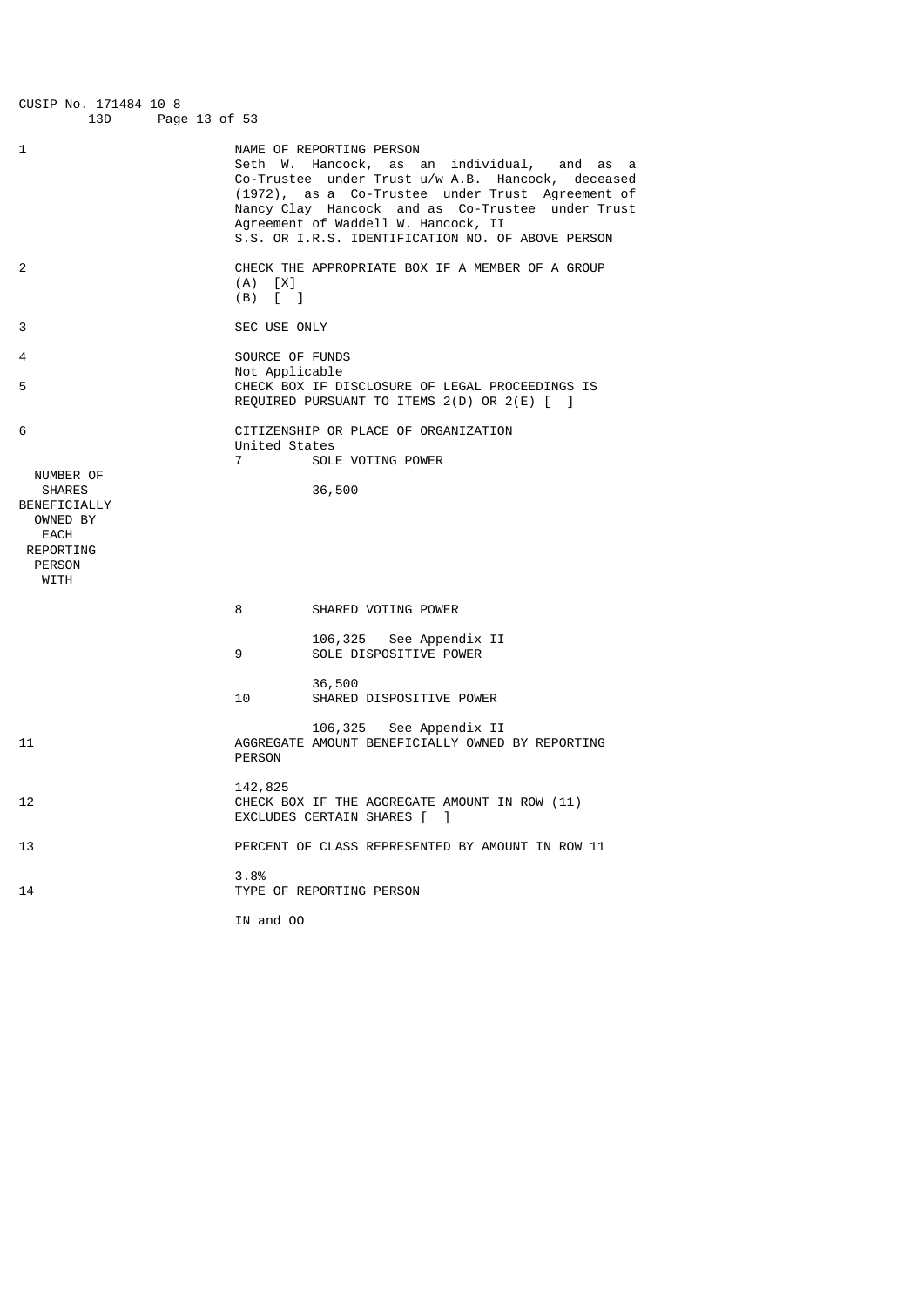CUSIP No. 171484 10 8 Page 13 of 53 1 NAME OF REPORTING PERSON Seth W. Hancock, as an individual, and as a Co-Trustee under Trust u/w A.B. Hancock, deceased (1972), as a Co-Trustee under Trust Agreement of Nancy Clay Hancock and as Co-Trustee under Trust Agreement of Waddell W. Hancock, II S.S. OR I.R.S. IDENTIFICATION NO. OF ABOVE PERSON 2 CHECK THE APPROPRIATE BOX IF A MEMBER OF A GROUP  $(A)$   $[X]$  (B) [ ] 3 SEC USE ONLY 4 SOURCE OF FUNDS Not Applicable<br>5<br>CHECK BOX TE D' CHECK BOX IF DISCLOSURE OF LEGAL PROCEEDINGS IS REQUIRED PURSUANT TO ITEMS 2(D) OR 2(E) [ ] 6 CITIZENSHIP OR PLACE OF ORGANIZATION United States 7 SOLE VOTING POWER NUMBER OF<br>SHARES 36,500 BENEFICIALLY OWNED BY EACH REPORTING PERSON WITH 8 SHARED VOTING POWER 106,325 See Appendix II SOLE DISPOSITIVE POWER 36,500 SHARED DISPOSITIVE POWER 106,325 See Appendix II<br>AGGREGATE AMOUNT RENEETCTALLY OWNED AGGREGATE AMOUNT BENEFICIALLY OWNED BY REPORTING PERSON 142,825<br>12 CHECK B CHECK BOX IF THE AGGREGATE AMOUNT IN ROW (11) EXCLUDES CERTAIN SHARES [ ] 13 PERCENT OF CLASS REPRESENTED BY AMOUNT IN ROW 11 3.8% 14 TYPE OF REPORTING PERSON IN and OO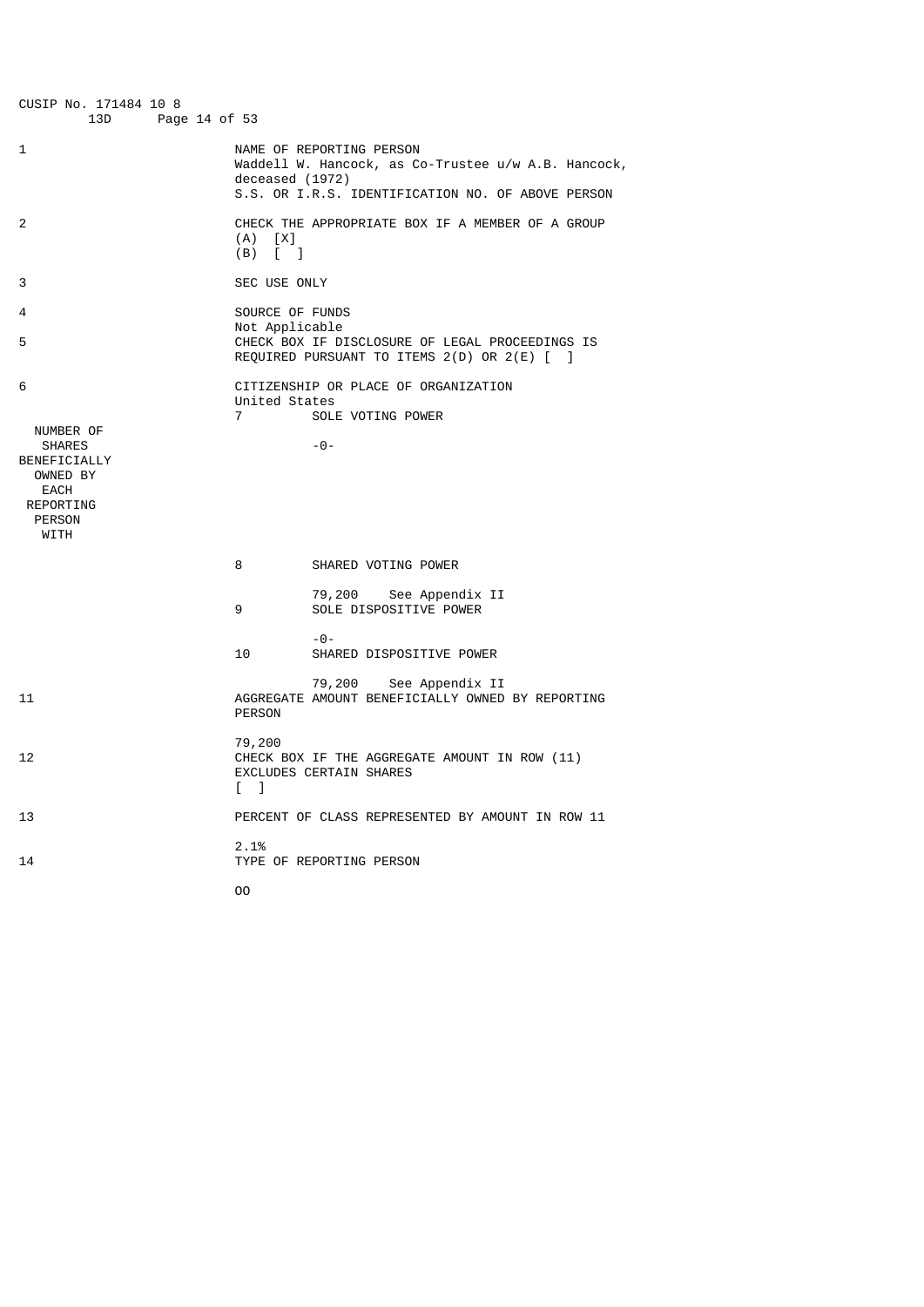| CUSIP No. 171484 10 8<br>13D<br>Page 14 of 53                                                                    |                                                                                                                                                         |
|------------------------------------------------------------------------------------------------------------------|---------------------------------------------------------------------------------------------------------------------------------------------------------|
| 1                                                                                                                | NAME OF REPORTING PERSON<br>Waddell W. Hancock, as Co-Trustee u/w A.B. Hancock,<br>deceased (1972)<br>S.S. OR I.R.S. IDENTIFICATION NO. OF ABOVE PERSON |
| 2                                                                                                                | CHECK THE APPROPRIATE BOX IF A MEMBER OF A GROUP<br>$(A)$ $[X]$<br>$(B)$ [ ]                                                                            |
| 3                                                                                                                | SEC USE ONLY                                                                                                                                            |
| 4                                                                                                                | SOURCE OF FUNDS                                                                                                                                         |
| 5                                                                                                                | Not Applicable<br>CHECK BOX IF DISCLOSURE OF LEGAL PROCEEDINGS IS<br>REQUIRED PURSUANT TO ITEMS 2(D) OR 2(E) [ ]                                        |
| 6<br>NUMBER OF<br><b>SHARES</b><br>BENEFICIALLY<br>OWNED BY<br>EACH<br>REPORTING<br><b>PERSON</b><br><b>WITH</b> | CITIZENSHIP OR PLACE OF ORGANIZATION<br>United States<br>$\overline{7}$<br>SOLE VOTING POWER<br>$-0-$                                                   |
|                                                                                                                  | 8<br>SHARED VOTING POWER                                                                                                                                |
|                                                                                                                  | 79,200 See Appendix II<br>SOLE DISPOSITIVE POWER<br>9                                                                                                   |
|                                                                                                                  | $-0-$<br>10<br>SHARED DISPOSITIVE POWER                                                                                                                 |
| 11                                                                                                               | 79,200<br>See Appendix II<br>AGGREGATE AMOUNT BENEFICIALLY OWNED BY REPORTING<br><b>PERSON</b>                                                          |
| 12                                                                                                               | 79,200<br>CHECK BOX IF THE AGGREGATE AMOUNT IN ROW (11)<br><b>EXCLUDES CERTAIN SHARES</b><br>$\sqrt{1}$                                                 |
| 13                                                                                                               | PERCENT OF CLASS REPRESENTED BY AMOUNT IN ROW 11                                                                                                        |
| 14                                                                                                               | 2.1%<br>TYPE OF REPORTING PERSON                                                                                                                        |
|                                                                                                                  | 00                                                                                                                                                      |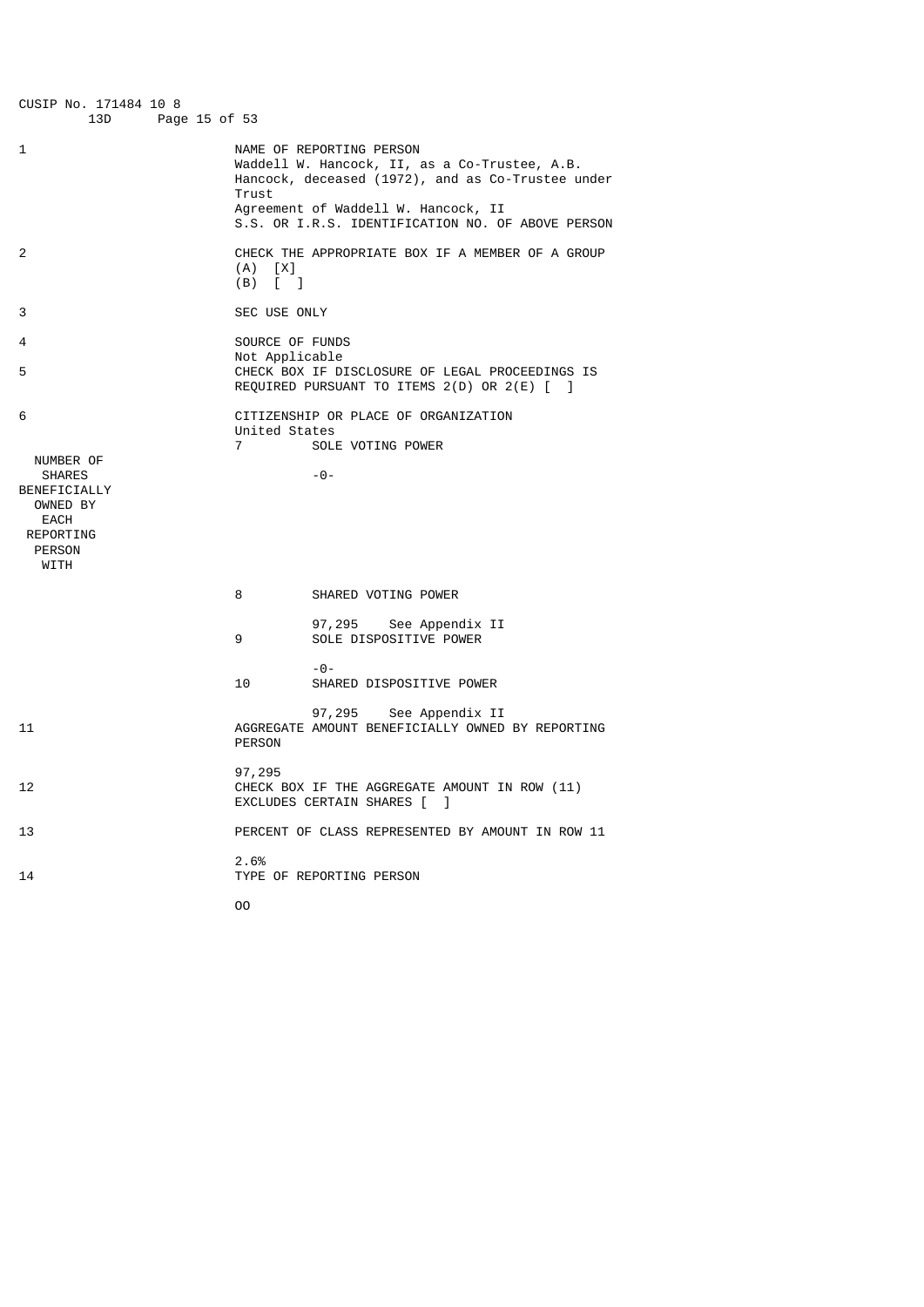| CUSIP No. 171484 10 8<br>13D<br>Page 15 of 53                                                        |                                                                                                                                                                       |
|------------------------------------------------------------------------------------------------------|-----------------------------------------------------------------------------------------------------------------------------------------------------------------------|
| 1                                                                                                    | NAME OF REPORTING PERSON<br>Waddell W. Hancock, II, as a Co-Trustee, A.B.<br>Hancock, deceased (1972), and as Co-Trustee under<br>Trust                               |
|                                                                                                      | Agreement of Waddell W. Hancock, II<br>S.S. OR I.R.S. IDENTIFICATION NO. OF ABOVE PERSON                                                                              |
| 2                                                                                                    | CHECK THE APPROPRIATE BOX IF A MEMBER OF A GROUP<br>$(A)$ $[X]$<br>$(B)$ $\begin{bmatrix} 1 \end{bmatrix}$                                                            |
| 3                                                                                                    | SEC USE ONLY                                                                                                                                                          |
| 4<br>5                                                                                               | SOURCE OF FUNDS<br>Not Applicable<br>CHECK BOX IF DISCLOSURE OF LEGAL PROCEEDINGS IS<br>REQUIRED PURSUANT TO ITEMS $2(D)$ OR $2(E)$ $\begin{bmatrix} 1 \end{bmatrix}$ |
| 6                                                                                                    | CITIZENSHIP OR PLACE OF ORGANIZATION<br>United States<br>7<br>SOLE VOTING POWER                                                                                       |
| NUMBER OF<br><b>SHARES</b><br>BENEFICIALLY<br>OWNED BY<br>EACH<br>REPORTING<br><b>PERSON</b><br>WITH | -0-                                                                                                                                                                   |
|                                                                                                      | 8<br>SHARED VOTING POWER                                                                                                                                              |
|                                                                                                      | 97,295 See Appendix II<br>SOLE DISPOSITIVE POWER<br>9                                                                                                                 |
|                                                                                                      | -0-<br>10<br>SHARED DISPOSITIVE POWER                                                                                                                                 |
| 11                                                                                                   | 97,295 See Appendix II<br>AGGREGATE AMOUNT BENEFICIALLY OWNED BY REPORTING<br><b>PERSON</b>                                                                           |
| 12                                                                                                   | 97,295<br>CHECK BOX IF THE AGGREGATE AMOUNT IN ROW (11)<br>EXCLUDES CERTAIN SHARES [ ]                                                                                |
| 13                                                                                                   | PERCENT OF CLASS REPRESENTED BY AMOUNT IN ROW 11                                                                                                                      |
| 14                                                                                                   | 2.6%<br>TYPE OF REPORTING PERSON                                                                                                                                      |
|                                                                                                      | 00                                                                                                                                                                    |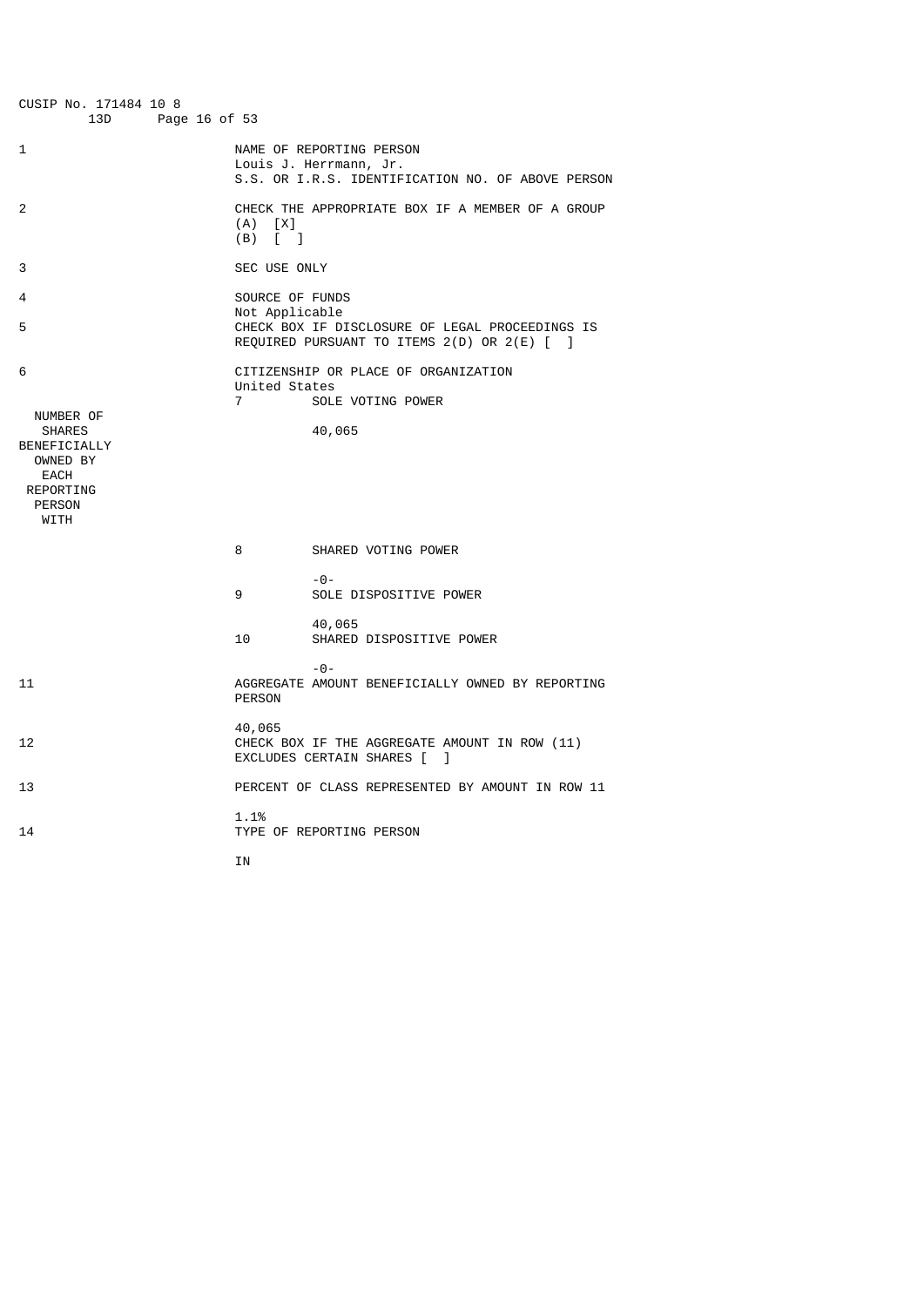| CUSIP No. 171484 10 8<br>13D<br>Page 16 of 53                                                                    |                                   |                                                                                                         |
|------------------------------------------------------------------------------------------------------------------|-----------------------------------|---------------------------------------------------------------------------------------------------------|
| 1                                                                                                                |                                   | NAME OF REPORTING PERSON<br>Louis J. Herrmann, Jr.<br>S.S. OR I.R.S. IDENTIFICATION NO. OF ABOVE PERSON |
| 2                                                                                                                | (A)<br>[X]<br>(B)<br>$\lceil$ 1   | CHECK THE APPROPRIATE BOX IF A MEMBER OF A GROUP                                                        |
| 3                                                                                                                | SEC USE ONLY                      |                                                                                                         |
| 4<br>5                                                                                                           | SOURCE OF FUNDS<br>Not Applicable | CHECK BOX IF DISCLOSURE OF LEGAL PROCEEDINGS IS<br>REQUIRED PURSUANT TO ITEMS 2(D) OR 2(E) [ ]          |
| 6<br>NUMBER OF<br><b>SHARES</b><br>BENEFICIALLY<br>OWNED BY<br>EACH<br><b>REPORTING</b><br><b>PERSON</b><br>WITH | United States<br>$\overline{7}$   | CITIZENSHIP OR PLACE OF ORGANIZATION<br>SOLE VOTING POWER<br>40,065                                     |
|                                                                                                                  | 8                                 | SHARED VOTING POWER                                                                                     |
|                                                                                                                  | 9                                 | $-0-$<br>SOLE DISPOSITIVE POWER                                                                         |
|                                                                                                                  | 10                                | 40,065<br>SHARED DISPOSITIVE POWER                                                                      |
| 11                                                                                                               | <b>PERSON</b>                     | $-0-$<br>AGGREGATE AMOUNT BENEFICIALLY OWNED BY REPORTING                                               |
| 12                                                                                                               | 40,065                            | CHECK BOX IF THE AGGREGATE AMOUNT IN ROW (11)<br>EXCLUDES CERTAIN SHARES [<br>-1                        |
| 13                                                                                                               |                                   | PERCENT OF CLASS REPRESENTED BY AMOUNT IN ROW 11                                                        |
| 14                                                                                                               | 1.1%                              | TYPE OF REPORTING PERSON                                                                                |
|                                                                                                                  | ΙN                                |                                                                                                         |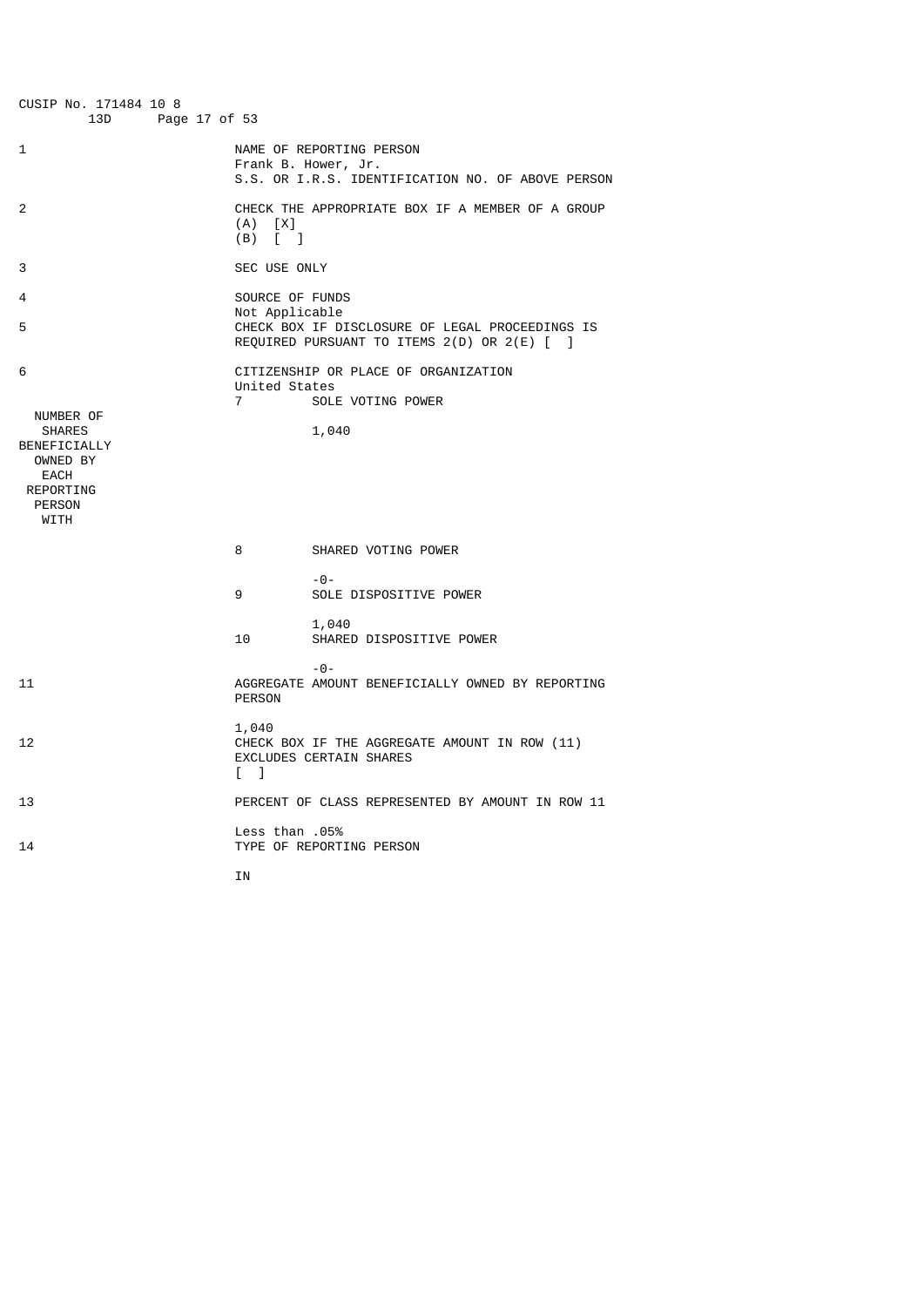| CUSIP No. 171484 10 8<br>13D<br>Page 17 of 53                                                                           |                                   |                                                                                                      |
|-------------------------------------------------------------------------------------------------------------------------|-----------------------------------|------------------------------------------------------------------------------------------------------|
| 1                                                                                                                       |                                   | NAME OF REPORTING PERSON<br>Frank B. Hower, Jr.<br>S.S. OR I.R.S. IDENTIFICATION NO. OF ABOVE PERSON |
| 2                                                                                                                       | $(X)$ $[X]$<br>(B)<br>$\sqrt{2}$  | CHECK THE APPROPRIATE BOX IF A MEMBER OF A GROUP                                                     |
| 3                                                                                                                       | SEC USE ONLY                      |                                                                                                      |
| 4<br>5                                                                                                                  | SOURCE OF FUNDS<br>Not Applicable | CHECK BOX IF DISCLOSURE OF LEGAL PROCEEDINGS IS<br>REQUIRED PURSUANT TO ITEMS 2(D) OR 2(E) [ ]       |
| 6<br>NUMBER OF<br><b>SHARES</b><br>BENEFICIALLY<br>OWNED BY<br><b>EACH</b><br>REPORTING<br><b>PERSON</b><br><b>WITH</b> | United States<br>$\overline{7}$   | CITIZENSHIP OR PLACE OF ORGANIZATION<br>SOLE VOTING POWER<br>1,040                                   |
|                                                                                                                         | 8                                 | SHARED VOTING POWER                                                                                  |
|                                                                                                                         | 9                                 | $ \Theta$ $-$<br>SOLE DISPOSITIVE POWER                                                              |
|                                                                                                                         | 10                                | 1,040<br>SHARED DISPOSITIVE POWER                                                                    |
| 11                                                                                                                      | <b>PERSON</b>                     | $-0-$<br>AGGREGATE AMOUNT BENEFICIALLY OWNED BY REPORTING                                            |
| 12                                                                                                                      | 1,040<br>$\sqrt{ }$               | CHECK BOX IF THE AGGREGATE AMOUNT IN ROW (11)<br><b>EXCLUDES CERTAIN SHARES</b>                      |
| 13                                                                                                                      |                                   | PERCENT OF CLASS REPRESENTED BY AMOUNT IN ROW 11                                                     |
| 14                                                                                                                      | <b>Less than .05%</b>             | TYPE OF REPORTING PERSON                                                                             |

**IN**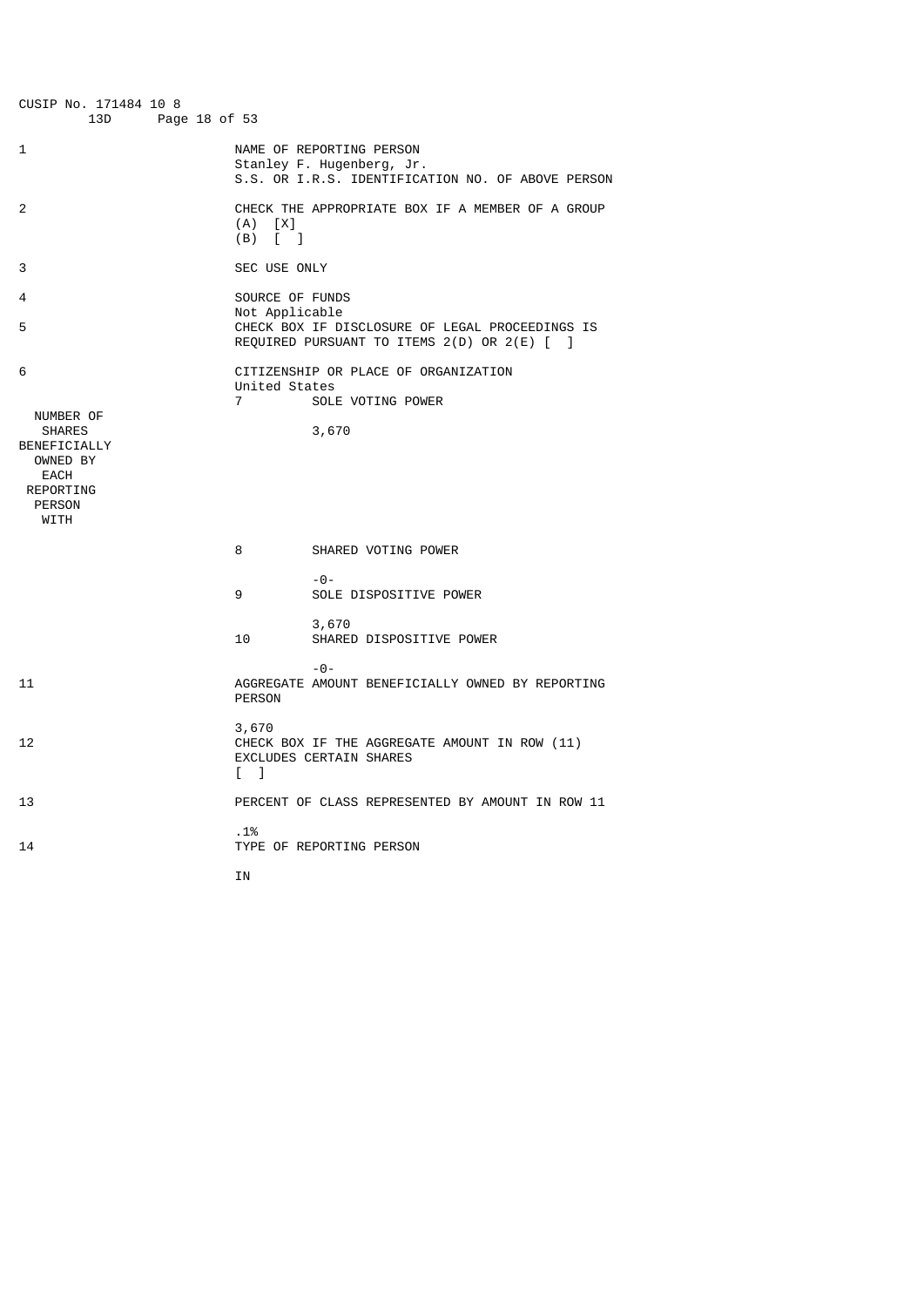| CUSIP No. 171484 10 8<br>13D<br>Page 18 of 53                                                                           |                                                        |                                                                                                            |
|-------------------------------------------------------------------------------------------------------------------------|--------------------------------------------------------|------------------------------------------------------------------------------------------------------------|
| 1                                                                                                                       |                                                        | NAME OF REPORTING PERSON<br>Stanley F. Hugenberg, Jr.<br>S.S. OR I.R.S. IDENTIFICATION NO. OF ABOVE PERSON |
| 2                                                                                                                       | $(A)$ $[X]$<br>$(B)$ $\begin{bmatrix} 1 \end{bmatrix}$ | CHECK THE APPROPRIATE BOX IF A MEMBER OF A GROUP                                                           |
| 3                                                                                                                       | <b>SEC USE ONLY</b>                                    |                                                                                                            |
| 4<br>5                                                                                                                  | SOURCE OF FUNDS<br>Not Applicable                      | CHECK BOX IF DISCLOSURE OF LEGAL PROCEEDINGS IS<br>REQUIRED PURSUANT TO ITEMS 2(D) OR 2(E) [ ]             |
| 6<br>NUMBER OF<br><b>SHARES</b><br>BENEFICIALLY<br>OWNED BY<br><b>EACH</b><br>REPORTING<br><b>PERSON</b><br><b>WITH</b> | United States<br>$\overline{7}$                        | CITIZENSHIP OR PLACE OF ORGANIZATION<br>SOLE VOTING POWER<br>3,670                                         |
|                                                                                                                         | 8                                                      | SHARED VOTING POWER                                                                                        |
|                                                                                                                         | 9                                                      | $-0-$<br>SOLE DISPOSITIVE POWER                                                                            |
|                                                                                                                         | 10                                                     | 3,670<br>SHARED DISPOSITIVE POWER                                                                          |
| 11                                                                                                                      | <b>PERSON</b>                                          | $-0-$<br>AGGREGATE AMOUNT BENEFICIALLY OWNED BY REPORTING                                                  |
| 12                                                                                                                      | 3,670<br>L 1                                           | CHECK BOX IF THE AGGREGATE AMOUNT IN ROW (11)<br><b>EXCLUDES CERTAIN SHARES</b>                            |
| 13                                                                                                                      |                                                        | PERCENT OF CLASS REPRESENTED BY AMOUNT IN ROW 11                                                           |
| 14                                                                                                                      | .1%                                                    | TYPE OF REPORTING PERSON                                                                                   |

**IN**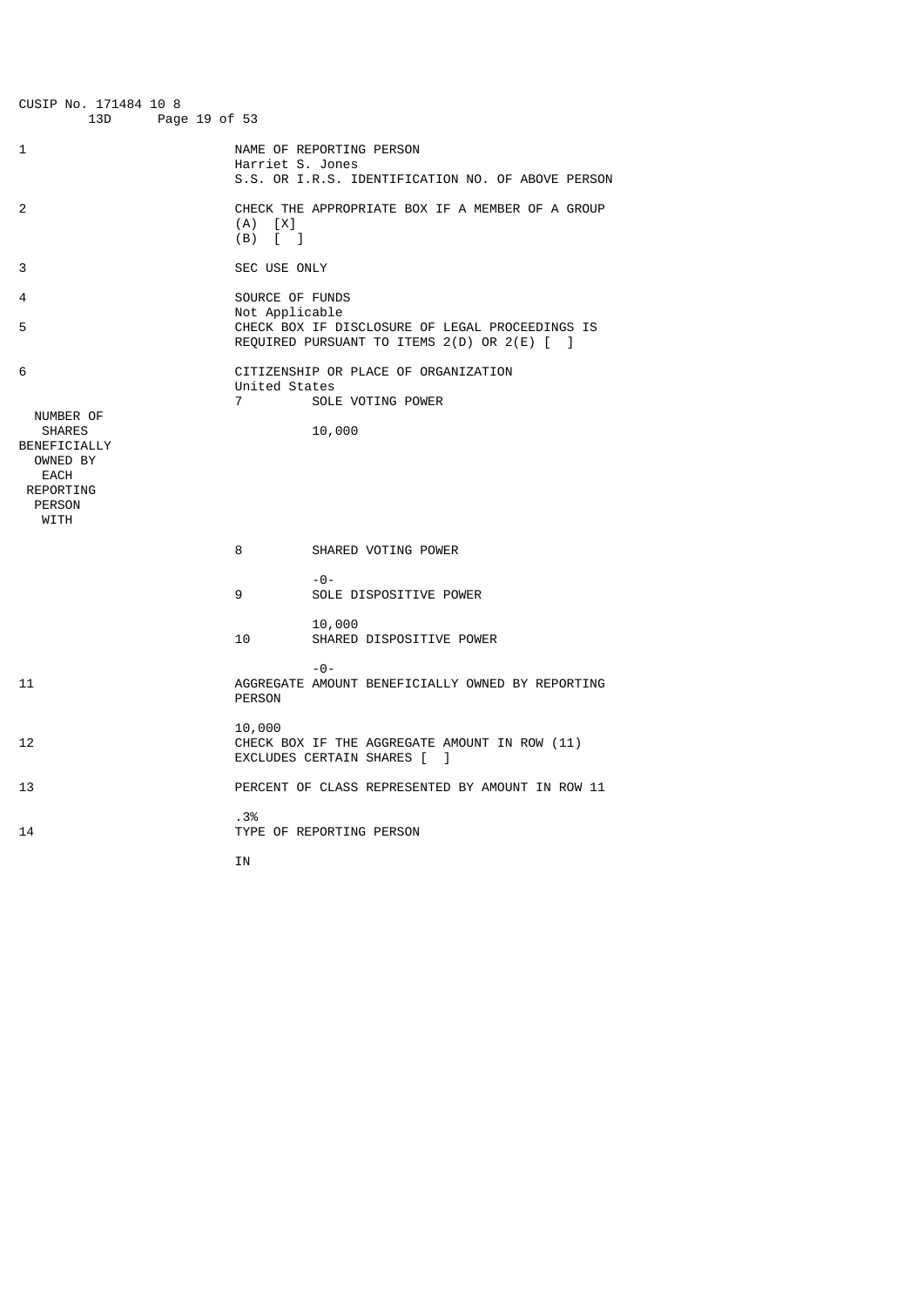| Harriet S. Jones                                           | NAME OF REPORTING PERSON<br>S.S. OR I.R.S. IDENTIFICATION NO. OF ABOVE PERSON                  |
|------------------------------------------------------------|------------------------------------------------------------------------------------------------|
| (A)<br>[X]<br>(B)<br>$\begin{bmatrix} 1 & 1 \end{bmatrix}$ | CHECK THE APPROPRIATE BOX IF A MEMBER OF A GROUP                                               |
| SEC USE ONLY                                               |                                                                                                |
| SOURCE OF FUNDS<br>Not Applicable                          | CHECK BOX IF DISCLOSURE OF LEGAL PROCEEDINGS IS<br>REQUIRED PURSUANT TO ITEMS 2(D) OR 2(E) [ ] |
| United States<br>$\overline{7}$                            | CITIZENSHIP OR PLACE OF ORGANIZATION<br>SOLE VOTING POWER<br>10,000                            |
| 8                                                          | SHARED VOTING POWER                                                                            |
| 9                                                          | $- \Theta -$<br>SOLE DISPOSITIVE POWER                                                         |
| 10                                                         | 10,000<br>SHARED DISPOSITIVE POWER                                                             |
| <b>PERSON</b>                                              | $-0-$<br>AGGREGATE AMOUNT BENEFICIALLY OWNED BY REPORTING                                      |
| 10,000                                                     | CHECK BOX IF THE AGGREGATE AMOUNT IN ROW (11)<br>EXCLUDES CERTAIN SHARES [<br>1                |
|                                                            | PERCENT OF CLASS REPRESENTED BY AMOUNT IN ROW 11                                               |
| .3%                                                        | TYPE OF REPORTING PERSON                                                                       |
|                                                            | Page 19 of 53<br>IN                                                                            |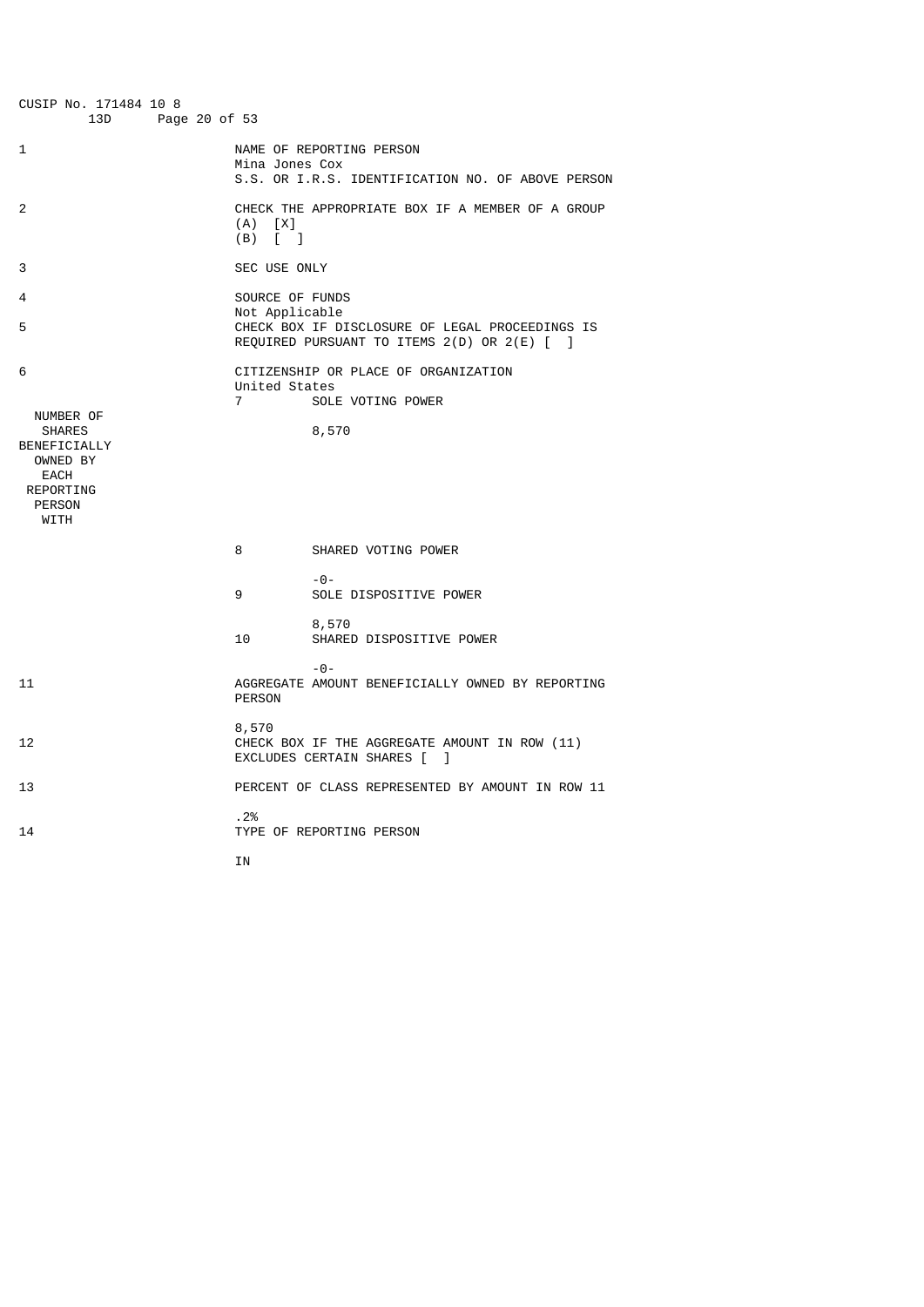| CUSIP No. 171484 10 8<br>13D<br>Page 20 of 53                                                                           |                                                        |                                                                                                |
|-------------------------------------------------------------------------------------------------------------------------|--------------------------------------------------------|------------------------------------------------------------------------------------------------|
| 1                                                                                                                       | Mina Jones Cox                                         | NAME OF REPORTING PERSON<br>S.S. OR I.R.S. IDENTIFICATION NO. OF ABOVE PERSON                  |
| 2                                                                                                                       | (A)<br>[X]<br>(B)<br>$\begin{bmatrix} 1 \end{bmatrix}$ | CHECK THE APPROPRIATE BOX IF A MEMBER OF A GROUP                                               |
| 3                                                                                                                       | SEC USE ONLY                                           |                                                                                                |
| 4<br>5                                                                                                                  | SOURCE OF FUNDS<br>Not Applicable                      | CHECK BOX IF DISCLOSURE OF LEGAL PROCEEDINGS IS<br>REQUIRED PURSUANT TO ITEMS 2(D) OR 2(E) [ ] |
| 6<br>NUMBER OF<br><b>SHARES</b><br>BENEFICIALLY<br>OWNED BY<br><b>EACH</b><br><b>REPORTING</b><br><b>PERSON</b><br>WITH | United States<br>$\overline{7}$                        | CITIZENSHIP OR PLACE OF ORGANIZATION<br>SOLE VOTING POWER<br>8,570                             |
|                                                                                                                         | 8                                                      | SHARED VOTING POWER                                                                            |
|                                                                                                                         | 9                                                      | $- \Theta -$<br>SOLE DISPOSITIVE POWER                                                         |
|                                                                                                                         | 10                                                     | 8,570<br>SHARED DISPOSITIVE POWER                                                              |
| 11                                                                                                                      | <b>PERSON</b>                                          | $ \Theta$ -<br>AGGREGATE AMOUNT BENEFICIALLY OWNED BY REPORTING                                |
| 12                                                                                                                      | 8,570                                                  | CHECK BOX IF THE AGGREGATE AMOUNT IN ROW (11)<br>EXCLUDES CERTAIN SHARES [<br>1                |
| 13                                                                                                                      |                                                        | PERCENT OF CLASS REPRESENTED BY AMOUNT IN ROW 11                                               |
| 14                                                                                                                      | .2%                                                    | TYPE OF REPORTING PERSON                                                                       |
|                                                                                                                         | IN                                                     |                                                                                                |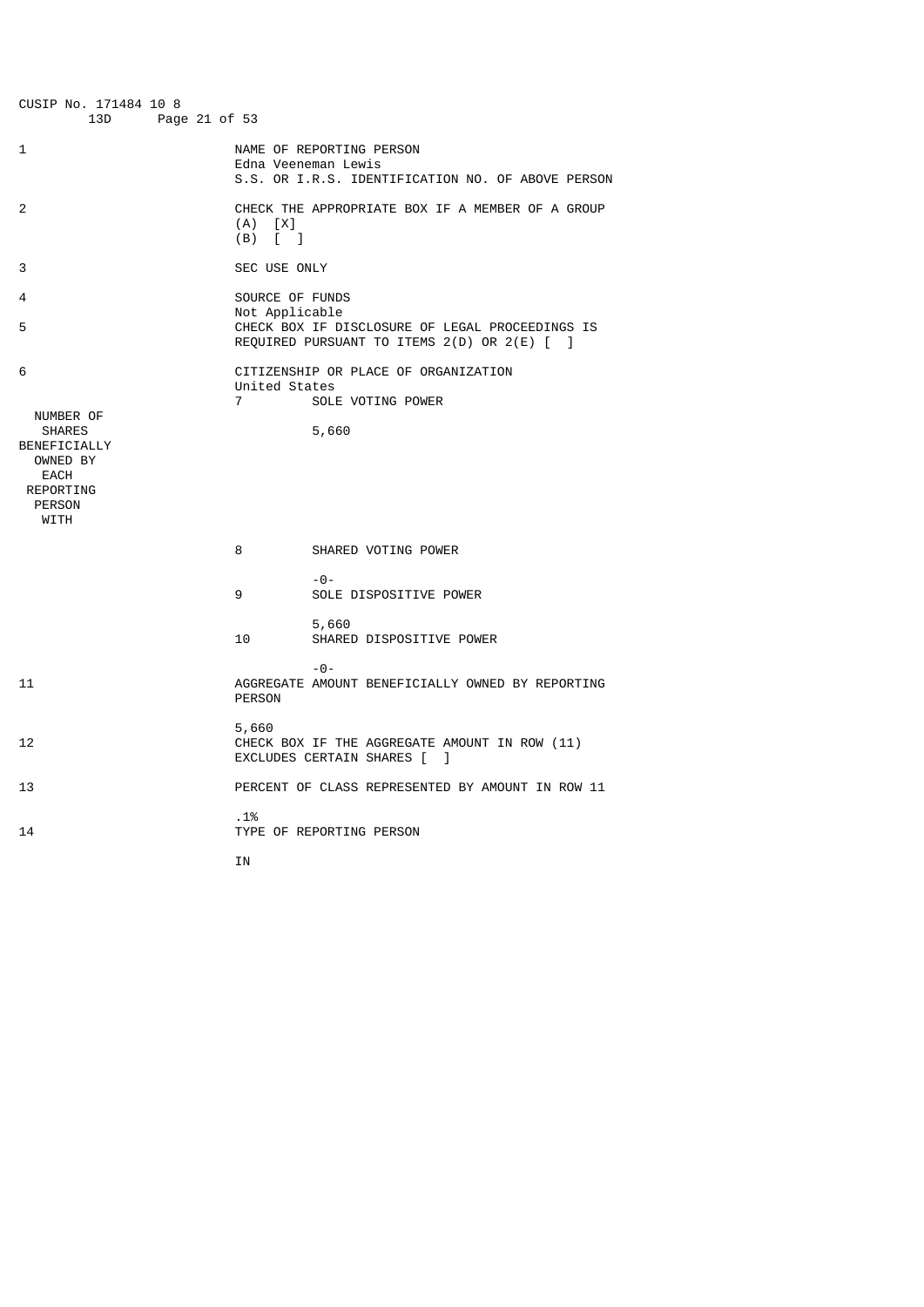| CUSIP No. 171484 10 8<br>13D<br>Page 21 of 53                                           |                                   |                                                                                                                   |
|-----------------------------------------------------------------------------------------|-----------------------------------|-------------------------------------------------------------------------------------------------------------------|
| 1                                                                                       |                                   | NAME OF REPORTING PERSON<br>Edna Veeneman Lewis<br>S.S. OR I.R.S. IDENTIFICATION NO. OF ABOVE PERSON              |
| 2                                                                                       | (A)<br>[X]<br>(B)<br>$\lceil$ 1   | CHECK THE APPROPRIATE BOX IF A MEMBER OF A GROUP                                                                  |
| 3                                                                                       | SEC USE ONLY                      |                                                                                                                   |
| 4<br>5                                                                                  | SOURCE OF FUNDS<br>Not Applicable | CHECK BOX IF DISCLOSURE OF LEGAL PROCEEDINGS IS                                                                   |
| 6<br>NUMBER OF<br><b>SHARES</b><br>BENEFICIALLY<br>OWNED BY<br>EACH<br><b>REPORTING</b> | United States<br>$\overline{7}$   | REQUIRED PURSUANT TO ITEMS 2(D) OR 2(E) [ ]<br>CITIZENSHIP OR PLACE OF ORGANIZATION<br>SOLE VOTING POWER<br>5,660 |
| <b>PERSON</b><br>WITH                                                                   |                                   |                                                                                                                   |
|                                                                                         | 8                                 | SHARED VOTING POWER                                                                                               |
|                                                                                         | 9                                 | $- \Theta -$<br>SOLE DISPOSITIVE POWER                                                                            |
|                                                                                         | 10                                | 5,660<br>SHARED DISPOSITIVE POWER                                                                                 |
| 11                                                                                      | <b>PERSON</b>                     | $ \Theta$ $-$<br>AGGREGATE AMOUNT BENEFICIALLY OWNED BY REPORTING                                                 |
| 12                                                                                      | 5,660                             | CHECK BOX IF THE AGGREGATE AMOUNT IN ROW (11)<br>EXCLUDES CERTAIN SHARES [<br>1                                   |
| 13                                                                                      |                                   | PERCENT OF CLASS REPRESENTED BY AMOUNT IN ROW 11                                                                  |
| 14                                                                                      | .1%                               | TYPE OF REPORTING PERSON                                                                                          |
|                                                                                         | ΙN                                |                                                                                                                   |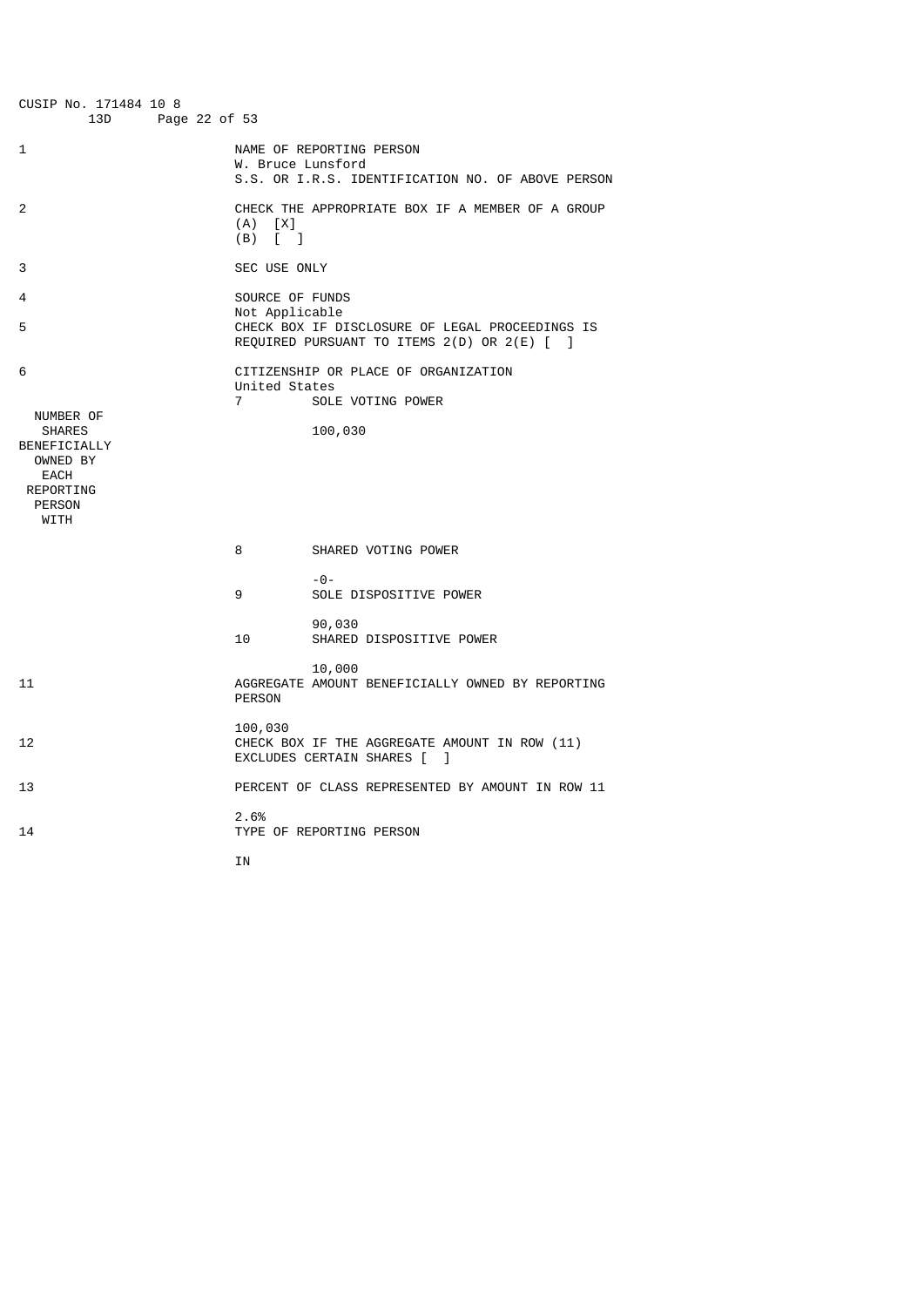| CUSIP No. 171484 10 8<br>13D<br>Page 22 of 53                                                             |                                   |                                                                                                |
|-----------------------------------------------------------------------------------------------------------|-----------------------------------|------------------------------------------------------------------------------------------------|
| 1                                                                                                         | W. Bruce Lunsford                 | NAME OF REPORTING PERSON<br>S.S. OR I.R.S. IDENTIFICATION NO. OF ABOVE PERSON                  |
| 2                                                                                                         | (A)<br>[X]<br>(B)<br>$\lceil$ 1   | CHECK THE APPROPRIATE BOX IF A MEMBER OF A GROUP                                               |
| 3                                                                                                         | SEC USE ONLY                      |                                                                                                |
| 4<br>5                                                                                                    | SOURCE OF FUNDS<br>Not Applicable | CHECK BOX IF DISCLOSURE OF LEGAL PROCEEDINGS IS<br>REQUIRED PURSUANT TO ITEMS 2(D) OR 2(E) [ ] |
| 6<br>NUMBER OF<br><b>SHARES</b><br>BENEFICIALLY<br>OWNED BY<br>EACH<br>REPORTING<br><b>PERSON</b><br>WITH | United States<br>$\overline{7}$   | CITIZENSHIP OR PLACE OF ORGANIZATION<br>SOLE VOTING POWER<br>100,030                           |
|                                                                                                           | 8                                 | SHARED VOTING POWER                                                                            |
|                                                                                                           | 9                                 | $- \Theta -$<br>SOLE DISPOSITIVE POWER                                                         |
|                                                                                                           | 10                                | 90,030<br>SHARED DISPOSITIVE POWER                                                             |
| 11                                                                                                        | <b>PERSON</b>                     | 10,000<br>AGGREGATE AMOUNT BENEFICIALLY OWNED BY REPORTING                                     |
| 12                                                                                                        | 100,030                           | CHECK BOX IF THE AGGREGATE AMOUNT IN ROW (11)<br>EXCLUDES CERTAIN SHARES [<br>1                |
| 13                                                                                                        |                                   | PERCENT OF CLASS REPRESENTED BY AMOUNT IN ROW 11                                               |
| 14                                                                                                        | 2.6%                              | TYPE OF REPORTING PERSON                                                                       |
|                                                                                                           | ΙN                                |                                                                                                |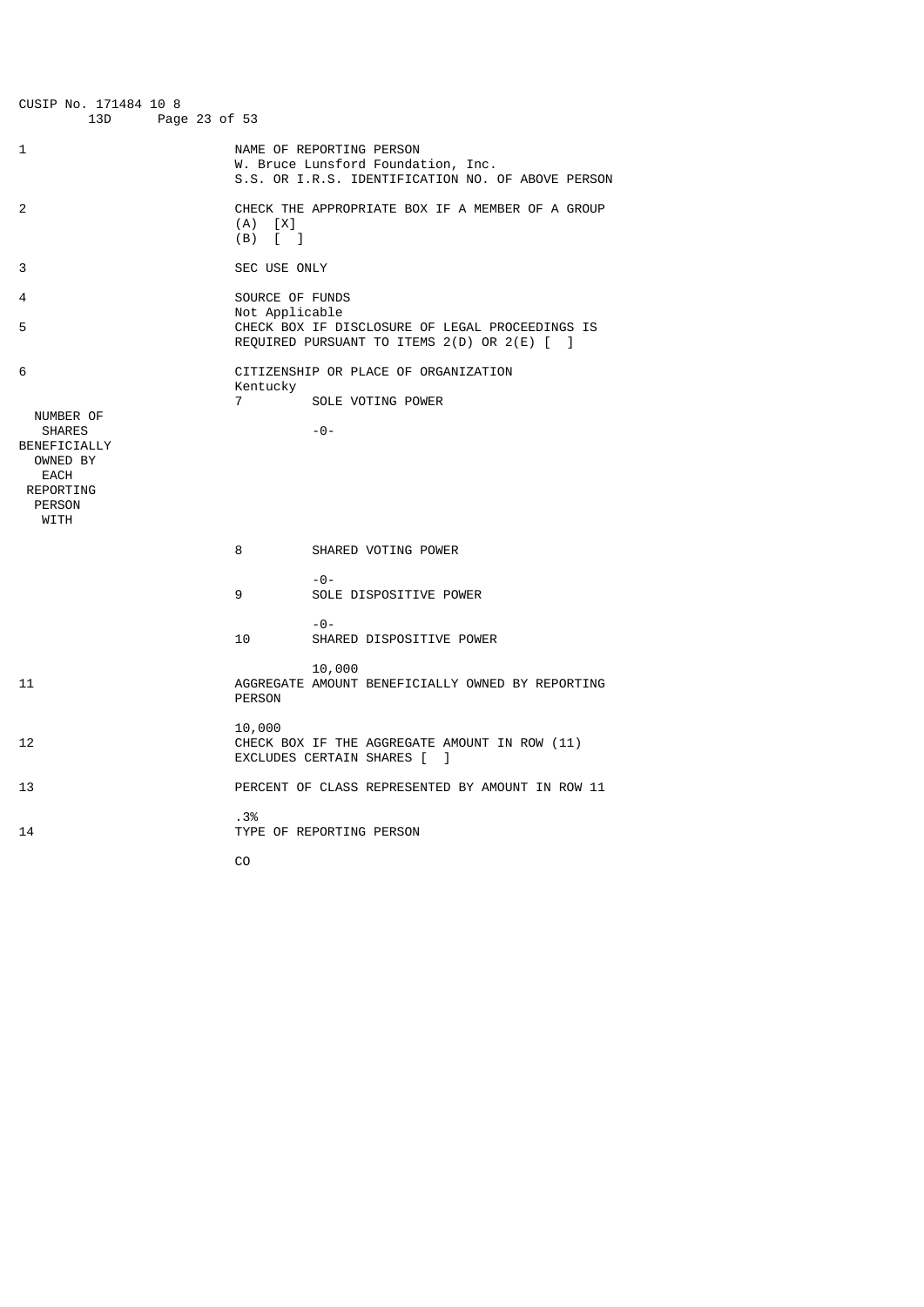| CUSIP No. 171484 10 8<br>13D<br>Page 23 of 53                                                                      |                                   |                                                                                                                     |
|--------------------------------------------------------------------------------------------------------------------|-----------------------------------|---------------------------------------------------------------------------------------------------------------------|
| 1                                                                                                                  |                                   | NAME OF REPORTING PERSON<br>W. Bruce Lunsford Foundation, Inc.<br>S.S. OR I.R.S. IDENTIFICATION NO. OF ABOVE PERSON |
| 2                                                                                                                  | (A)<br>[X]<br>(B)<br>$\lceil$ 1   | CHECK THE APPROPRIATE BOX IF A MEMBER OF A GROUP                                                                    |
| 3                                                                                                                  | SEC USE ONLY                      |                                                                                                                     |
| 4<br>5                                                                                                             | SOURCE OF FUNDS<br>Not Applicable | CHECK BOX IF DISCLOSURE OF LEGAL PROCEEDINGS IS<br>REQUIRED PURSUANT TO ITEMS 2(D) OR 2(E) [ ]                      |
| 6                                                                                                                  |                                   | CITIZENSHIP OR PLACE OF ORGANIZATION                                                                                |
|                                                                                                                    | Kentucky<br>$\overline{7}$        | SOLE VOTING POWER                                                                                                   |
| NUMBER OF<br><b>SHARES</b><br>BENEFICIALLY<br>OWNED BY<br><b>EACH</b><br><b>REPORTING</b><br><b>PERSON</b><br>WITH |                                   | $-0-$                                                                                                               |
|                                                                                                                    | 8                                 | SHARED VOTING POWER                                                                                                 |
|                                                                                                                    | 9                                 | $- \Theta -$<br>SOLE DISPOSITIVE POWER                                                                              |
|                                                                                                                    | 10                                | $-0-$<br>SHARED DISPOSITIVE POWER                                                                                   |
| 11                                                                                                                 | <b>PERSON</b>                     | 10,000<br>AGGREGATE AMOUNT BENEFICIALLY OWNED BY REPORTING                                                          |
| 12                                                                                                                 | 10,000                            | CHECK BOX IF THE AGGREGATE AMOUNT IN ROW (11)<br>EXCLUDES CERTAIN SHARES [<br>1                                     |
| 13                                                                                                                 |                                   | PERCENT OF CLASS REPRESENTED BY AMOUNT IN ROW 11                                                                    |
| 14                                                                                                                 | .3%                               | TYPE OF REPORTING PERSON                                                                                            |
|                                                                                                                    | C <sub>0</sub>                    |                                                                                                                     |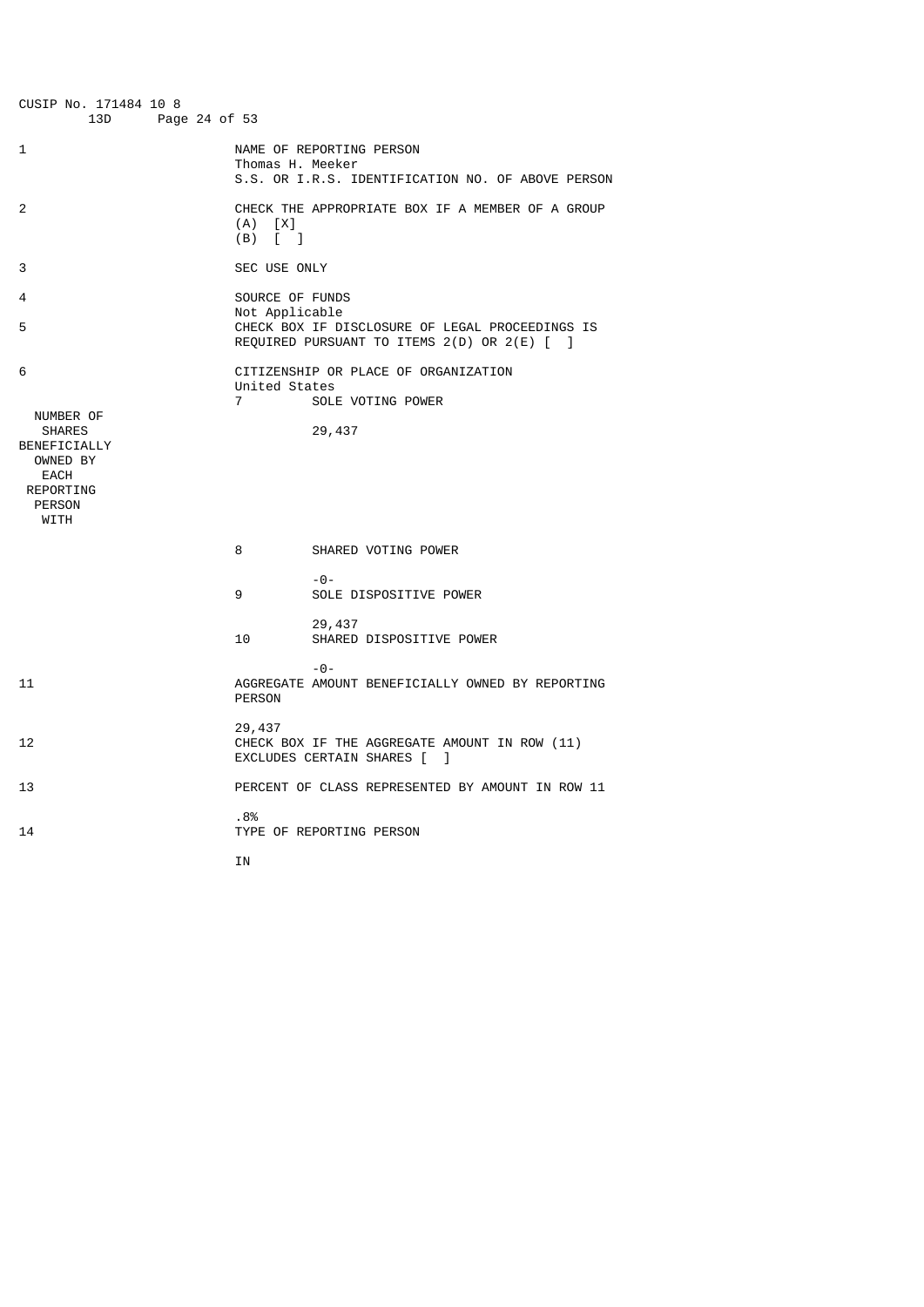| CUSIP No. 171484 10 8<br>13D<br>Page 24 of 53                                                                    |                                                        |                                                                                                |
|------------------------------------------------------------------------------------------------------------------|--------------------------------------------------------|------------------------------------------------------------------------------------------------|
| 1                                                                                                                | Thomas H. Meeker                                       | NAME OF REPORTING PERSON<br>S.S. OR I.R.S. IDENTIFICATION NO. OF ABOVE PERSON                  |
| 2                                                                                                                | (A)<br>[X]<br>(B)<br>$\begin{bmatrix} 1 \end{bmatrix}$ | CHECK THE APPROPRIATE BOX IF A MEMBER OF A GROUP                                               |
| 3                                                                                                                | SEC USE ONLY                                           |                                                                                                |
| 4<br>5                                                                                                           | SOURCE OF FUNDS<br>Not Applicable                      | CHECK BOX IF DISCLOSURE OF LEGAL PROCEEDINGS IS<br>REQUIRED PURSUANT TO ITEMS 2(D) OR 2(E) [ ] |
| 6<br>NUMBER OF<br><b>SHARES</b><br>BENEFICIALLY<br>OWNED BY<br>EACH<br><b>REPORTING</b><br><b>PERSON</b><br>WITH | United States<br>$\overline{7}$                        | CITIZENSHIP OR PLACE OF ORGANIZATION<br>SOLE VOTING POWER<br>29,437                            |
|                                                                                                                  | 8                                                      | SHARED VOTING POWER                                                                            |
|                                                                                                                  | 9                                                      | $- \Theta -$<br>SOLE DISPOSITIVE POWER                                                         |
|                                                                                                                  | 10                                                     | 29,437<br>SHARED DISPOSITIVE POWER                                                             |
| 11                                                                                                               | <b>PERSON</b>                                          | $ \Theta$ -<br>AGGREGATE AMOUNT BENEFICIALLY OWNED BY REPORTING                                |
| 12                                                                                                               | 29,437                                                 | CHECK BOX IF THE AGGREGATE AMOUNT IN ROW (11)<br>EXCLUDES CERTAIN SHARES [<br>1                |
| 13                                                                                                               |                                                        | PERCENT OF CLASS REPRESENTED BY AMOUNT IN ROW 11                                               |
| 14                                                                                                               | .8%                                                    | TYPE OF REPORTING PERSON                                                                       |
|                                                                                                                  | ΙN                                                     |                                                                                                |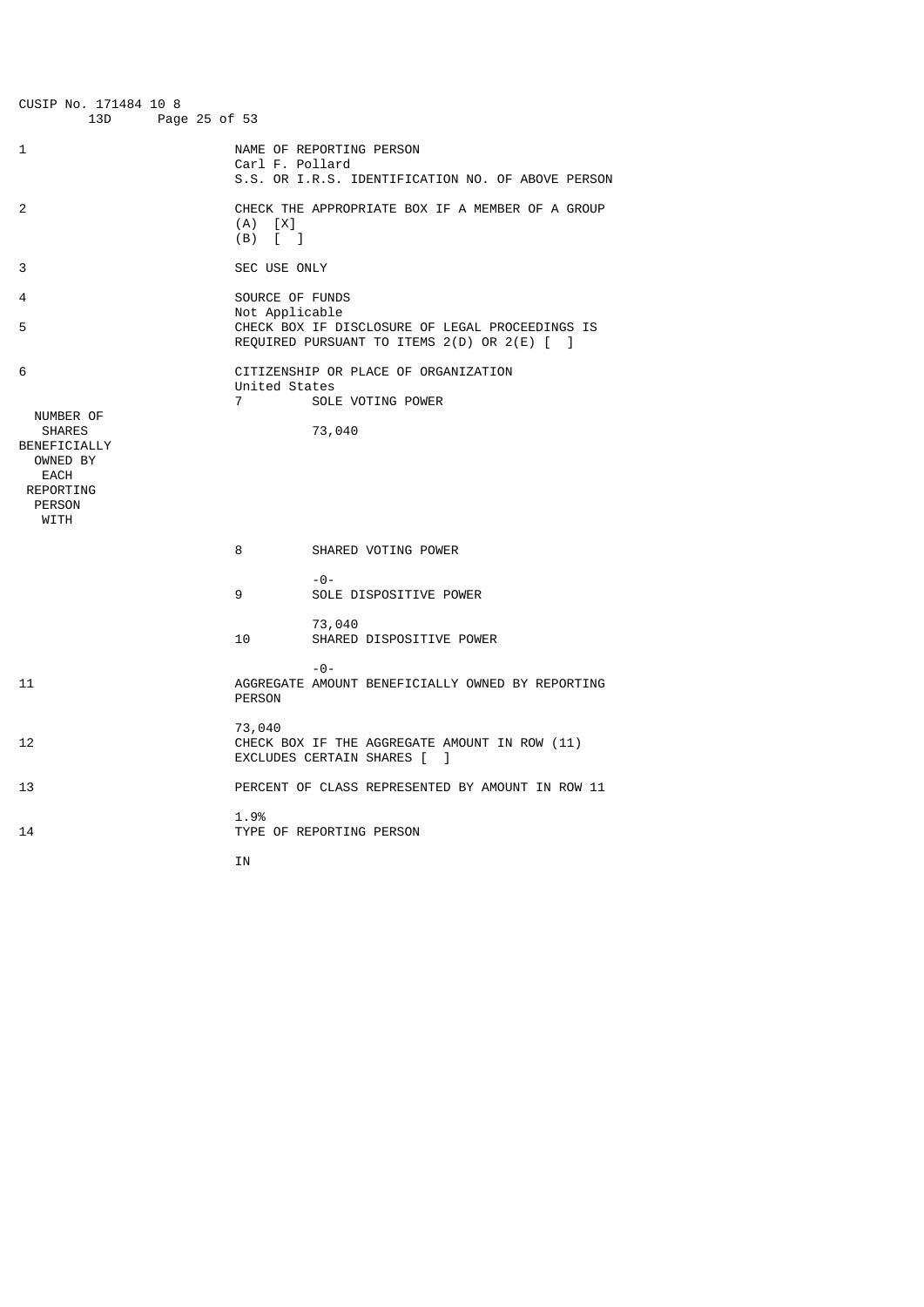| CUSIP No. 171484 10 8<br>13D<br>Page 25 of 53                                                                    |                                   |                                                                                                                    |
|------------------------------------------------------------------------------------------------------------------|-----------------------------------|--------------------------------------------------------------------------------------------------------------------|
| 1                                                                                                                | Carl F. Pollard                   | NAME OF REPORTING PERSON<br>S.S. OR I.R.S. IDENTIFICATION NO. OF ABOVE PERSON                                      |
| 2                                                                                                                | (A)<br>[X]<br>(B)<br>$\lceil$ 1   | CHECK THE APPROPRIATE BOX IF A MEMBER OF A GROUP                                                                   |
| 3                                                                                                                | SEC USE ONLY                      |                                                                                                                    |
| 4<br>5                                                                                                           | SOURCE OF FUNDS<br>Not Applicable | CHECK BOX IF DISCLOSURE OF LEGAL PROCEEDINGS IS                                                                    |
| 6<br>NUMBER OF<br><b>SHARES</b><br>BENEFICIALLY<br>OWNED BY<br>EACH<br><b>REPORTING</b><br><b>PERSON</b><br>WITH | United States<br>$\overline{7}$   | REQUIRED PURSUANT TO ITEMS 2(D) OR 2(E) [ ]<br>CITIZENSHIP OR PLACE OF ORGANIZATION<br>SOLE VOTING POWER<br>73,040 |
|                                                                                                                  | 8                                 | SHARED VOTING POWER                                                                                                |
|                                                                                                                  | 9                                 | $- \Theta -$<br>SOLE DISPOSITIVE POWER                                                                             |
|                                                                                                                  | 10                                | 73,040<br>SHARED DISPOSITIVE POWER                                                                                 |
| 11                                                                                                               | <b>PERSON</b>                     | $-0-$<br>AGGREGATE AMOUNT BENEFICIALLY OWNED BY REPORTING                                                          |
| 12                                                                                                               | 73,040                            | CHECK BOX IF THE AGGREGATE AMOUNT IN ROW (11)<br>EXCLUDES CERTAIN SHARES [<br>1                                    |
| 13                                                                                                               |                                   | PERCENT OF CLASS REPRESENTED BY AMOUNT IN ROW 11                                                                   |
| 14                                                                                                               | 1.9%                              | TYPE OF REPORTING PERSON                                                                                           |
|                                                                                                                  | ΙN                                |                                                                                                                    |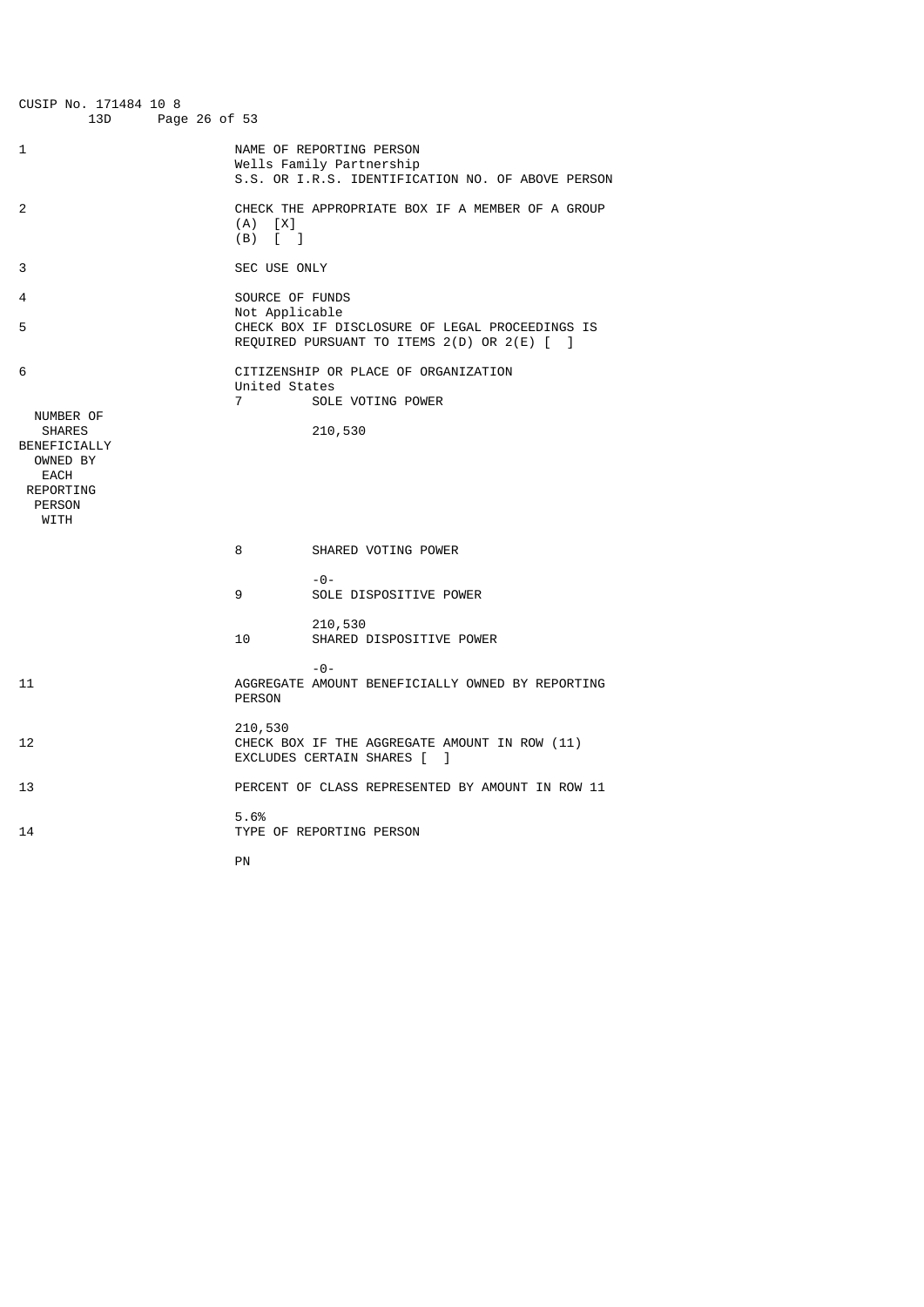| CUSIP No. 171484 10 8<br>13D<br>Page 26 of 53                                                                    |                                                        |                                                                                                           |
|------------------------------------------------------------------------------------------------------------------|--------------------------------------------------------|-----------------------------------------------------------------------------------------------------------|
| 1                                                                                                                |                                                        | NAME OF REPORTING PERSON<br>Wells Family Partnership<br>S.S. OR I.R.S. IDENTIFICATION NO. OF ABOVE PERSON |
| 2                                                                                                                | $(A)$ $[X]$<br>$(B)$ $\begin{bmatrix} 1 \end{bmatrix}$ | CHECK THE APPROPRIATE BOX IF A MEMBER OF A GROUP                                                          |
| 3                                                                                                                | SEC USE ONLY                                           |                                                                                                           |
| 4<br>5                                                                                                           | SOURCE OF FUNDS<br>Not Applicable                      | CHECK BOX IF DISCLOSURE OF LEGAL PROCEEDINGS IS<br>REQUIRED PURSUANT TO ITEMS 2(D) OR 2(E) [ ]            |
| 6<br>NUMBER OF<br><b>SHARES</b><br>BENEFICIALLY<br>OWNED BY<br>EACH<br><b>REPORTING</b><br><b>PERSON</b><br>WITH | United States<br>$\overline{7}$                        | CITIZENSHIP OR PLACE OF ORGANIZATION<br>SOLE VOTING POWER<br>210,530                                      |
|                                                                                                                  | 8                                                      | SHARED VOTING POWER                                                                                       |
|                                                                                                                  | 9                                                      | $- \Theta -$<br>SOLE DISPOSITIVE POWER                                                                    |
|                                                                                                                  | 10                                                     | 210,530<br>SHARED DISPOSITIVE POWER                                                                       |
| 11                                                                                                               | <b>PERSON</b>                                          | $ \Theta$ $-$<br>AGGREGATE AMOUNT BENEFICIALLY OWNED BY REPORTING                                         |
| 12                                                                                                               | 210,530                                                | CHECK BOX IF THE AGGREGATE AMOUNT IN ROW (11)<br>EXCLUDES CERTAIN SHARES [<br>1                           |
| 13                                                                                                               |                                                        | PERCENT OF CLASS REPRESENTED BY AMOUNT IN ROW 11                                                          |
| 14                                                                                                               | 5.6%                                                   | TYPE OF REPORTING PERSON                                                                                  |
|                                                                                                                  | PN                                                     |                                                                                                           |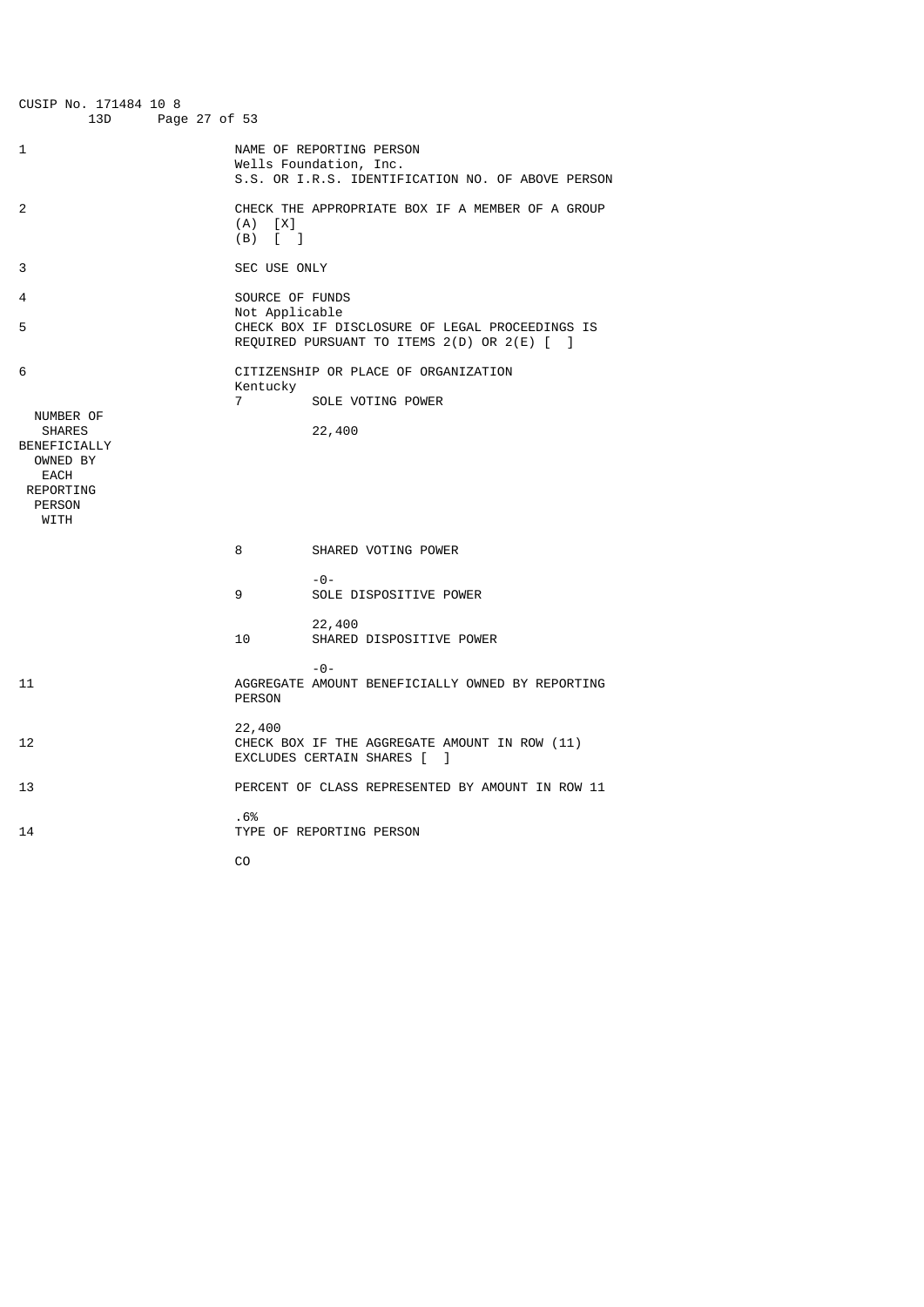| CUSIP No. 171484 10 8<br>13D<br>Page 27 of 53                                                               |                                   |                                                                                                         |
|-------------------------------------------------------------------------------------------------------------|-----------------------------------|---------------------------------------------------------------------------------------------------------|
| 1                                                                                                           |                                   | NAME OF REPORTING PERSON<br>Wells Foundation, Inc.<br>S.S. OR I.R.S. IDENTIFICATION NO. OF ABOVE PERSON |
| 2                                                                                                           | (A)<br>[X]<br>(B)<br>$\lceil$ 1   | CHECK THE APPROPRIATE BOX IF A MEMBER OF A GROUP                                                        |
| 3                                                                                                           | SEC USE ONLY                      |                                                                                                         |
| 4<br>5                                                                                                      | SOURCE OF FUNDS<br>Not Applicable | CHECK BOX IF DISCLOSURE OF LEGAL PROCEEDINGS IS<br>REQUIRED PURSUANT TO ITEMS 2(D) OR 2(E) [ ]          |
| 6                                                                                                           |                                   | CITIZENSHIP OR PLACE OF ORGANIZATION                                                                    |
|                                                                                                             | Kentucky<br>$\overline{7}$        | SOLE VOTING POWER                                                                                       |
| NUMBER OF<br><b>SHARES</b><br>BENEFICIALLY<br>OWNED BY<br>EACH<br><b>REPORTING</b><br><b>PERSON</b><br>WITH |                                   | 22,400                                                                                                  |
|                                                                                                             | 8                                 | SHARED VOTING POWER                                                                                     |
|                                                                                                             | 9                                 | $- \Theta -$<br>SOLE DISPOSITIVE POWER                                                                  |
|                                                                                                             | 10                                | 22,400<br>SHARED DISPOSITIVE POWER                                                                      |
| 11                                                                                                          | <b>PERSON</b>                     | $-0-$<br>AGGREGATE AMOUNT BENEFICIALLY OWNED BY REPORTING                                               |
| 12                                                                                                          | 22,400                            | CHECK BOX IF THE AGGREGATE AMOUNT IN ROW (11)<br>EXCLUDES CERTAIN SHARES [<br>1                         |
| 13                                                                                                          |                                   | PERCENT OF CLASS REPRESENTED BY AMOUNT IN ROW 11                                                        |
| 14                                                                                                          | .6%                               | TYPE OF REPORTING PERSON                                                                                |
|                                                                                                             | C <sub>0</sub>                    |                                                                                                         |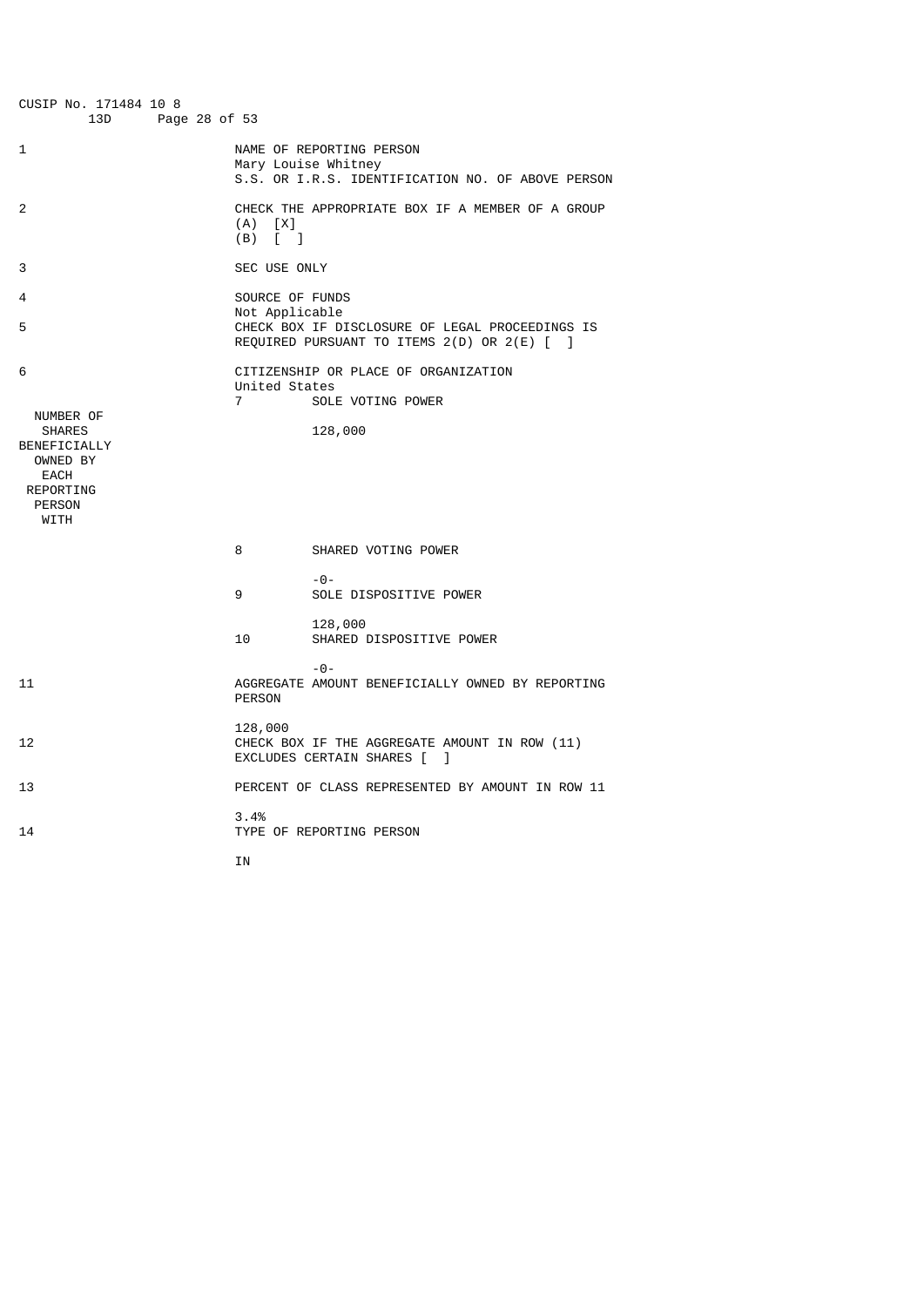| CUSIP No. 171484 10 8<br>13D<br>Page 28 of 53                                                     |                                   |                                                                                                      |
|---------------------------------------------------------------------------------------------------|-----------------------------------|------------------------------------------------------------------------------------------------------|
| 1                                                                                                 |                                   | NAME OF REPORTING PERSON<br>Mary Louise Whitney<br>S.S. OR I.R.S. IDENTIFICATION NO. OF ABOVE PERSON |
| 2                                                                                                 | $(A)$ $[X]$<br>$(B)$ [ ]          | CHECK THE APPROPRIATE BOX IF A MEMBER OF A GROUP                                                     |
| 3                                                                                                 | SEC USE ONLY                      |                                                                                                      |
| 4<br>5                                                                                            | SOURCE OF FUNDS<br>Not Applicable | CHECK BOX IF DISCLOSURE OF LEGAL PROCEEDINGS IS<br>REQUIRED PURSUANT TO ITEMS 2(D) OR 2(E) [ ]       |
| 6<br>NUMBER OF<br><b>SHARES</b><br>BENEFICIALLY<br>OWNED BY<br>EACH<br>REPORTING<br><b>PERSON</b> | United States<br>$\overline{7}$   | CITIZENSHIP OR PLACE OF ORGANIZATION<br>SOLE VOTING POWER<br>128,000                                 |
| WITH                                                                                              |                                   |                                                                                                      |
|                                                                                                   | 8                                 | SHARED VOTING POWER                                                                                  |
|                                                                                                   | 9                                 | $- \Theta -$<br>SOLE DISPOSITIVE POWER                                                               |
|                                                                                                   | 10                                | 128,000<br>SHARED DISPOSITIVE POWER                                                                  |
| 11                                                                                                | <b>PERSON</b>                     | $ \Theta$ $-$<br>AGGREGATE AMOUNT BENEFICIALLY OWNED BY REPORTING                                    |
| 12                                                                                                | 128,000                           | CHECK BOX IF THE AGGREGATE AMOUNT IN ROW (11)<br>EXCLUDES CERTAIN SHARES [<br>-1                     |
| 13                                                                                                |                                   | PERCENT OF CLASS REPRESENTED BY AMOUNT IN ROW 11                                                     |
| 14                                                                                                | 3.4%                              | TYPE OF REPORTING PERSON                                                                             |
|                                                                                                   | ΙN                                |                                                                                                      |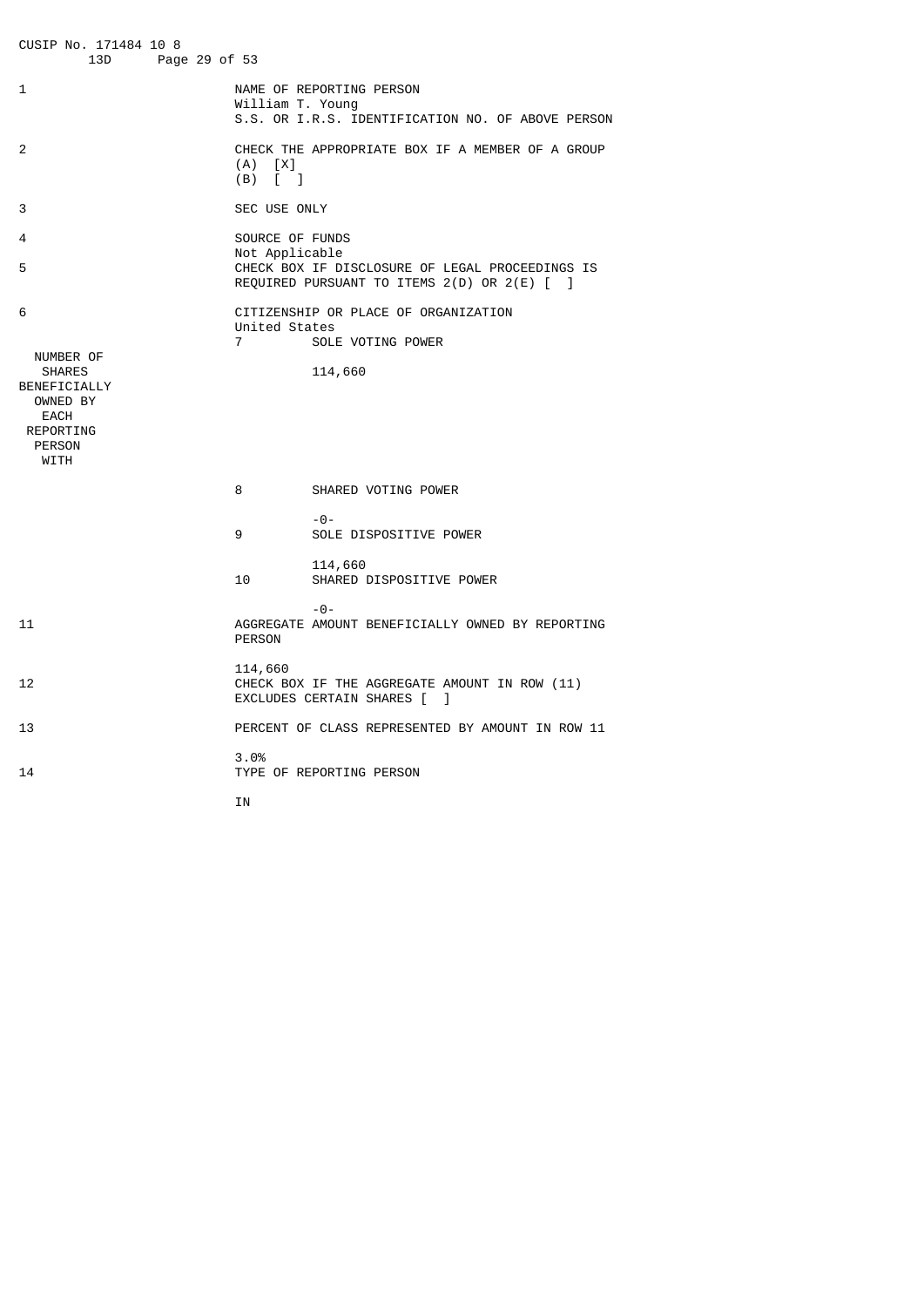CUSIP No. 171484 10 8 Page 29 of 53 1 NAME OF REPORTING PERSON William T. Young S.S. OR I.R.S. IDENTIFICATION NO. OF ABOVE PERSON 2 CHECK THE APPROPRIATE BOX IF A MEMBER OF A GROUP  $(A)$   $[X]$  (B) [ ] 3 SEC USE ONLY 4 SOURCE OF FUNDS Not Applicable<br>
S<br>
CHECK BOX TE D' CHECK BOX IF DISCLOSURE OF LEGAL PROCEEDINGS IS REQUIRED PURSUANT TO ITEMS 2(D) OR 2(E) [ ] 6 CITIZENSHIP OR PLACE OF ORGANIZATION United States 7 SOLE VOTING POWER NUMBER OF<br>SHARES 114,660 BENEFICIALLY OWNED BY EACH REPORTING PERSON WITH 8 SHARED VOTING POWER -0- 9 SOLE DISPOSITIVE POWER 114,660<br>10 SHARED I SHARED DISPOSITIVE POWER -0- 11 AGGREGATE AMOUNT BENEFICIALLY OWNED BY REPORTING PERSON 114,660<br>12 CHECK B CHECK BOX IF THE AGGREGATE AMOUNT IN ROW (11) EXCLUDES CERTAIN SHARES [ ] 13 PERCENT OF CLASS REPRESENTED BY AMOUNT IN ROW 11 3.0% TYPE OF REPORTING PERSON **IN**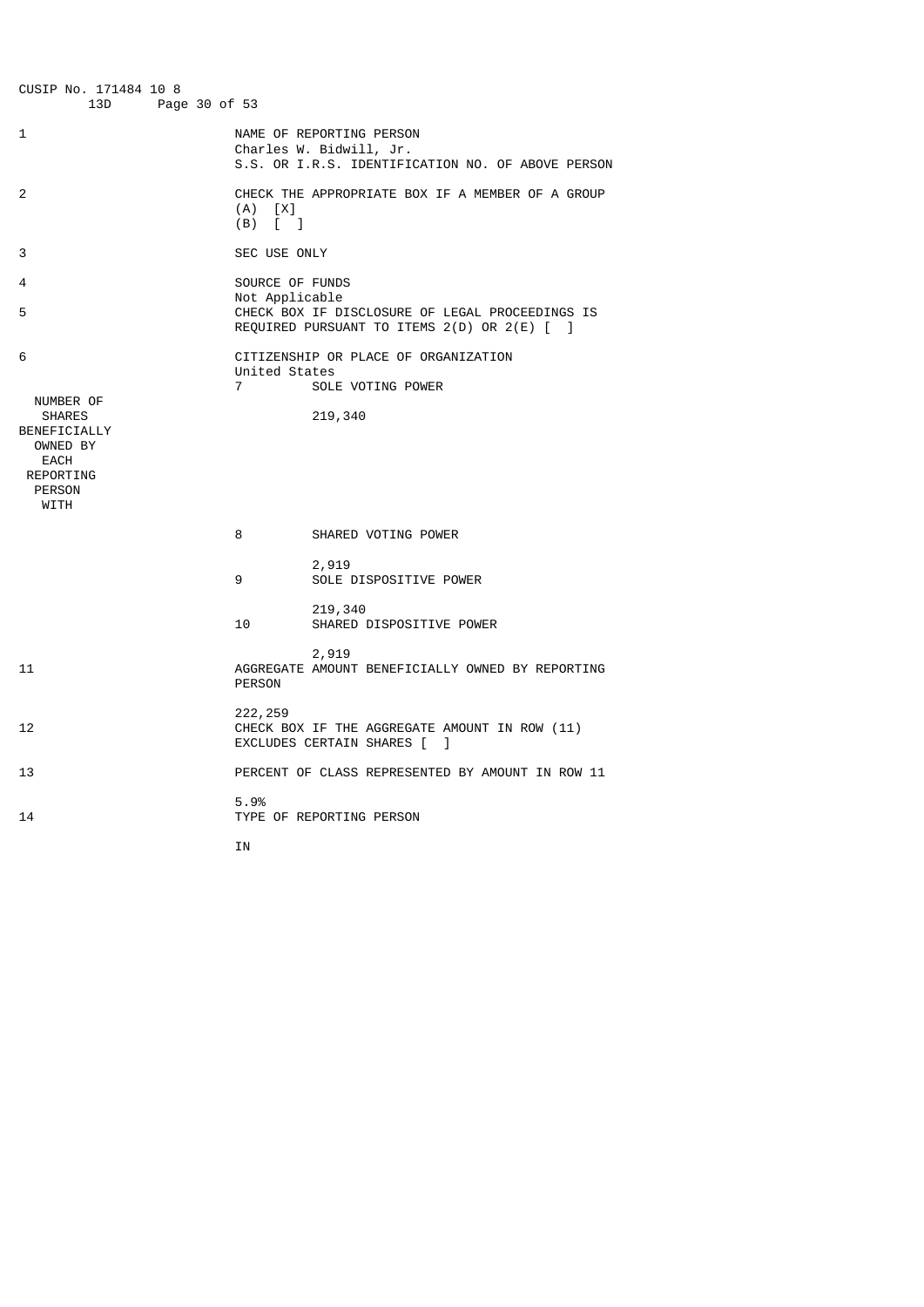CUSIP No. 171484 10 8 Page 30 of 53 1 NAME OF REPORTING PERSON Charles W. Bidwill, Jr. S.S. OR I.R.S. IDENTIFICATION NO. OF ABOVE PERSON  $\overline{2}$ CHECK THE APPROPRIATE BOX IF A MEMBER OF A GROUP  $(A)$   $[X]$  (B) [ ] 3 SEC USE ONLY 4 SOURCE OF FUNDS Not Applicable<br>5<br>CHECK BOX IF D. CHECK BOX IF DISCLOSURE OF LEGAL PROCEEDINGS IS REQUIRED PURSUANT TO ITEMS 2(D) OR 2(E) [ ] 6 CITIZENSHIP OR PLACE OF ORGANIZATION United States SOLE VOTING POWER NUMBER OF 219,340 BENEFICIALLY OWNED BY EACH REPORTING **PERSON**  WITH 8 SHARED VOTING POWER 2,919<br>| 2,919<br>| SOLE SOLE DISPOSITIVE POWER 219,340<br>10 SHARED I SHARED DISPOSITIVE POWER 2,919<br>11 AGGREGATE AMOUN 11 AGGREGATE AMOUNT BENEFICIALLY OWNED BY REPORTING PERSON 12 222, 259<br>CHECK B CHECK BOX IF THE AGGREGATE AMOUNT IN ROW (11) EXCLUDES CERTAIN SHARES [ ] 13 PERCENT OF CLASS REPRESENTED BY AMOUNT IN ROW 11 5.9% 14 TYPE OF REPORTING PERSON **IN**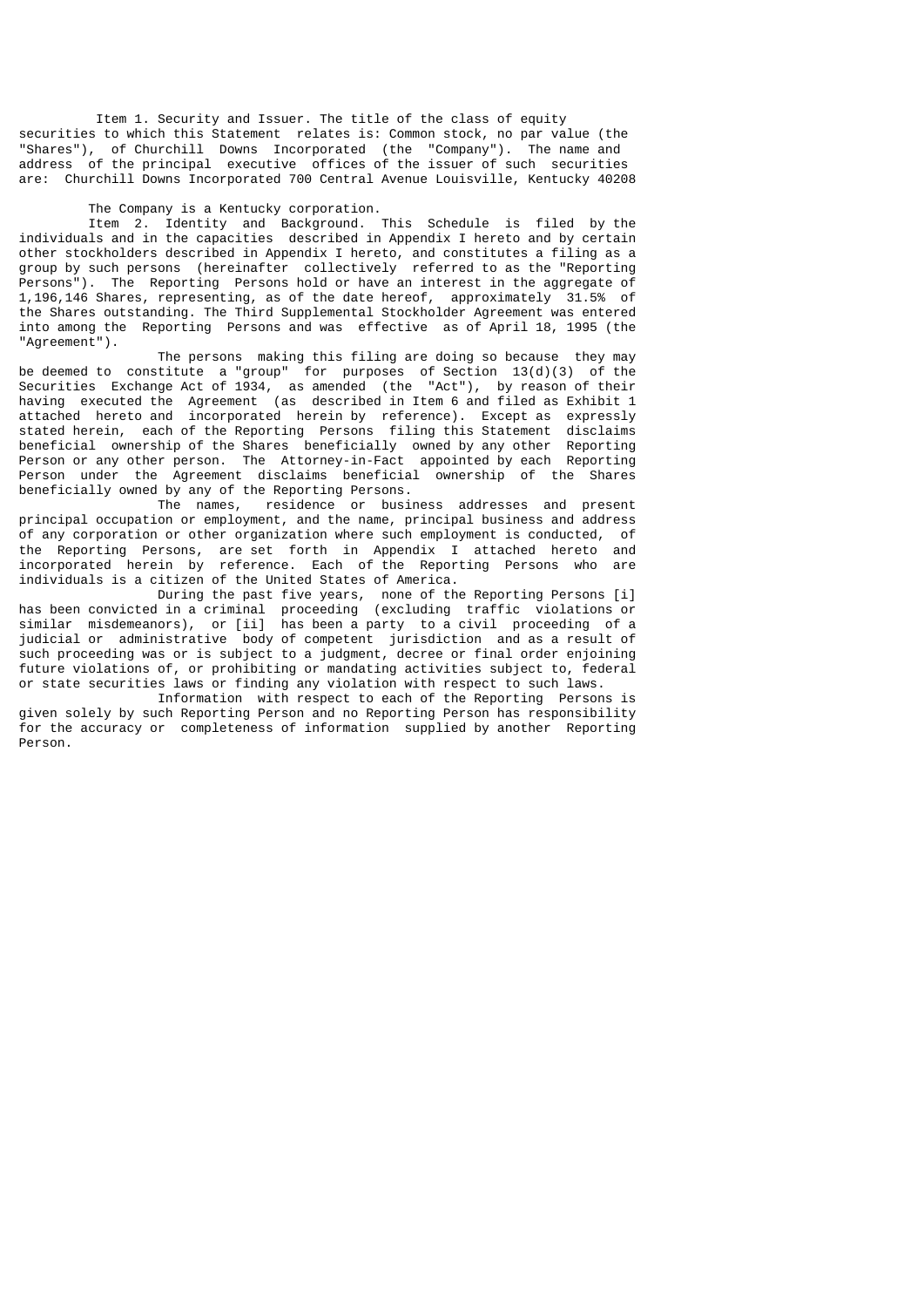Item 1. Security and Issuer. The title of the class of equity securities to which this Statement relates is: Common stock, no par value (the "Shares"), of Churchill Downs Incorporated (the "Company"). The name and address of the principal executive offices of the issuer of such securities are: Churchill Downs Incorporated 700 Central Avenue Louisville, Kentucky 40208

#### The Company is a Kentucky corporation.

 Item 2. Identity and Background. This Schedule is filed by the individuals and in the capacities described in Appendix I hereto and by certain other stockholders described in Appendix I hereto, and constitutes a filing as a group by such persons (hereinafter collectively referred to as the "Reporting Persons"). The Reporting Persons hold or have an interest in the aggregate of 1,196,146 Shares, representing, as of the date hereof, approximately 31.5% of the Shares outstanding. The Third Supplemental Stockholder Agreement was entered into among the Reporting Persons and was effective as of April 18, 1995 (the "Agreement").

 The persons making this filing are doing so because they may be deemed to constitute a "group" for purposes of Section 13(d)(3) of the Securities Exchange Act of 1934, as amended (the "Act"), by reason of their having executed the Agreement (as described in Item 6 and filed as Exhibit 1 attached hereto and incorporated herein by reference). Except as expressly stated herein, each of the Reporting Persons filing this Statement disclaims beneficial ownership of the Shares beneficially owned by any other Reporting Person or any other person. The Attorney-in-Fact appointed by each Reporting Person under the Agreement disclaims beneficial ownership of the Shares beneficially owned by any of the Reporting Persons.

 The names, residence or business addresses and present principal occupation or employment, and the name, principal business and address of any corporation or other organization where such employment is conducted, of the Reporting Persons, are set forth in Appendix I attached hereto and incorporated herein by reference. Each of the Reporting Persons who are individuals is a citizen of the United States of America.

 During the past five years, none of the Reporting Persons [i] has been convicted in a criminal proceeding (excluding traffic violations or similar misdemeanors), or [ii] has been a party to a civil proceeding of a judicial or administrative body of competent jurisdiction and as a result of such proceeding was or is subject to a judgment, decree or final order enjoining future violations of, or prohibiting or mandating activities subject to, federal or state securities laws or finding any violation with respect to such laws.

Information with respect to each of the Reporting Persons is given solely by such Reporting Person and no Reporting Person has responsibility for the accuracy or completeness of information supplied by another Reporting Person.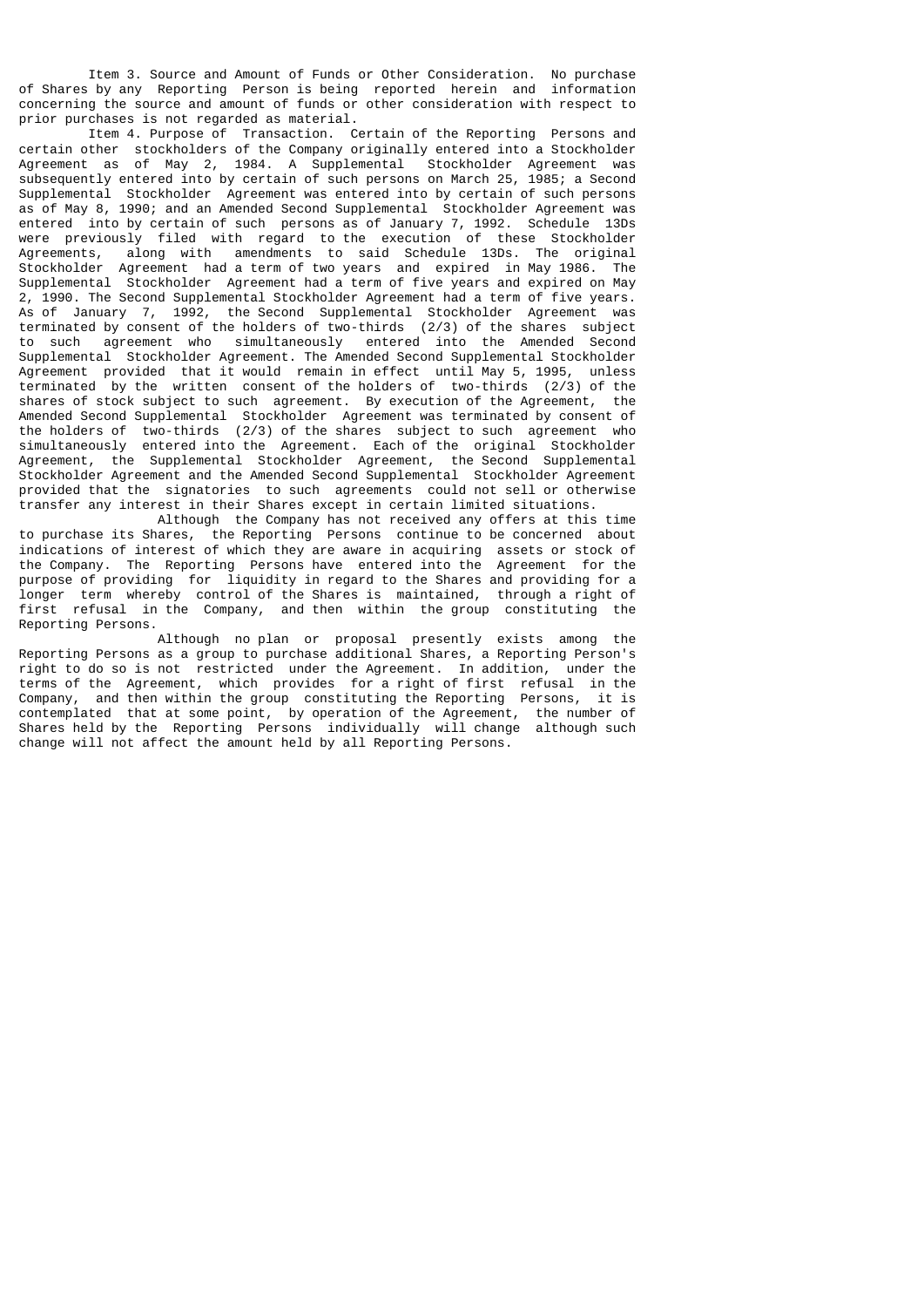Item 3. Source and Amount of Funds or Other Consideration. No purchase of Shares by any Reporting Person is being reported herein and information concerning the source and amount of funds or other consideration with respect to prior purchases is not regarded as material.

 Item 4. Purpose of Transaction. Certain of the Reporting Persons and certain other stockholders of the Company originally entered into a Stockholder Agreement as of May 2, 1984. A Supplemental Stockholder Agreement was subsequently entered into by certain of such persons on March 25, 1985; a Second Supplemental Stockholder Agreement was entered into by certain of such persons as of May 8, 1990; and an Amended Second Supplemental Stockholder Agreement was entered into by certain of such persons as of January 7, 1992. Schedule 13Ds were previously filed with regard to the execution of these Stockholder Agreements, along with amendments to said Schedule 13Ds. The original Stockholder Agreement had a term of two years and expired in May 1986. The Supplemental Stockholder Agreement had a term of five years and expired on May 2, 1990. The Second Supplemental Stockholder Agreement had a term of five years. As of January 7, 1992, the Second Supplemental Stockholder Agreement was terminated by consent of the holders of two-thirds (2/3) of the shares subject to such agreement who simultaneously entered into the Amended Second Supplemental Stockholder Agreement. The Amended Second Supplemental Stockholder Agreement provided that it would remain in effect until May 5, 1995, unless terminated by the written consent of the holders of two-thirds (2/3) of the shares of stock subject to such agreement. By execution of the Agreement, the Amended Second Supplemental Stockholder Agreement was terminated by consent of the holders of two-thirds (2/3) of the shares subject to such agreement who simultaneously entered into the Agreement. Each of the original Stockholder Agreement, the Supplemental Stockholder Agreement, the Second Supplemental Stockholder Agreement and the Amended Second Supplemental Stockholder Agreement provided that the signatories to such agreements could not sell or otherwise transfer any interest in their Shares except in certain limited situations.

 Although the Company has not received any offers at this time to purchase its Shares, the Reporting Persons continue to be concerned about indications of interest of which they are aware in acquiring assets or stock of the Company. The Reporting Persons have entered into the Agreement for the purpose of providing for liquidity in regard to the Shares and providing for a longer term whereby control of the Shares is maintained, through a right of first refusal in the Company, and then within the group constituting the Reporting Persons.

 Although no plan or proposal presently exists among the Reporting Persons as a group to purchase additional Shares, a Reporting Person's right to do so is not restricted under the Agreement. In addition, under the terms of the Agreement, which provides for a right of first refusal in the Company, and then within the group constituting the Reporting Persons, it is contemplated that at some point, by operation of the Agreement, the number of Shares held by the Reporting Persons individually will change although such change will not affect the amount held by all Reporting Persons.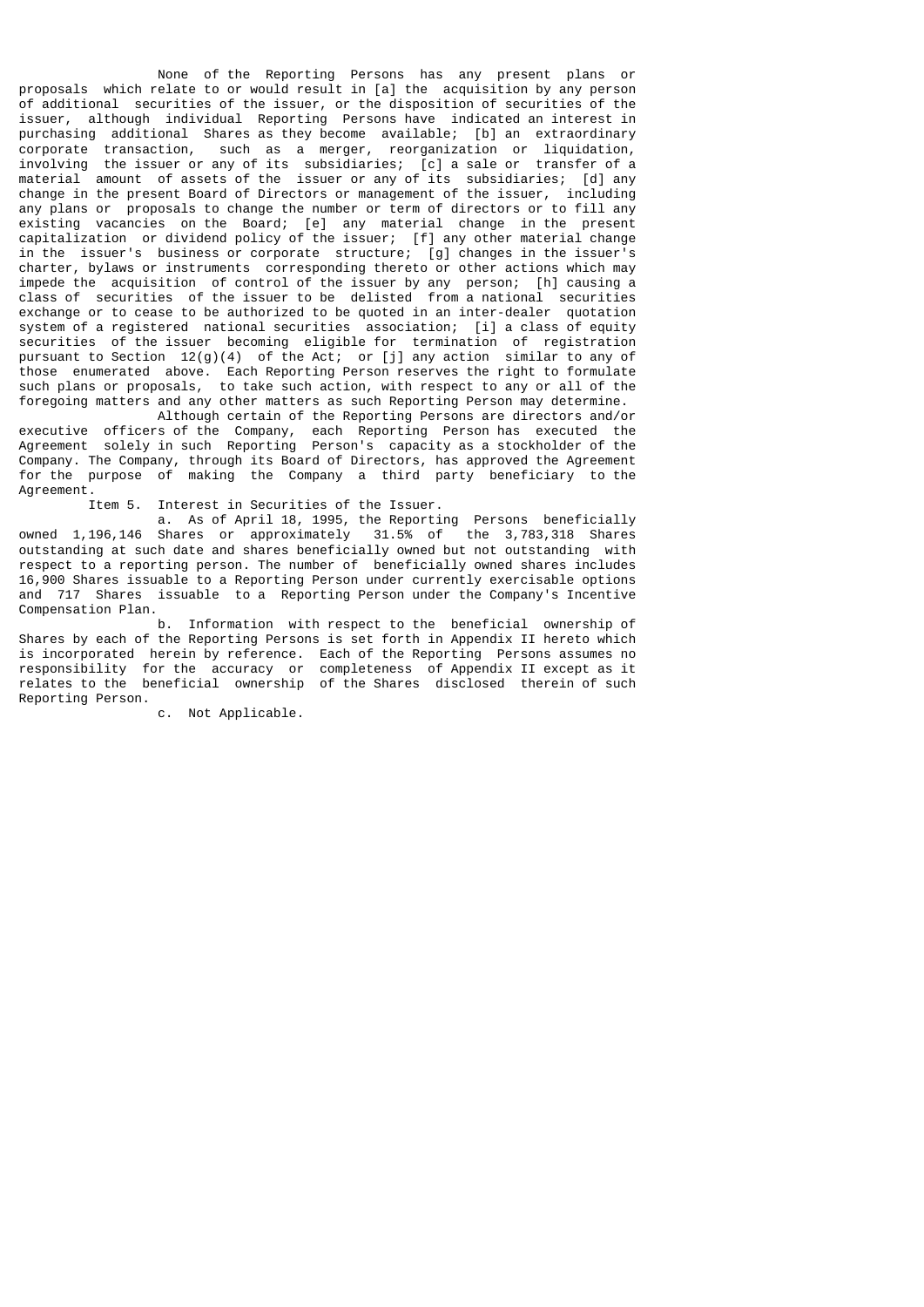None of the Reporting Persons has any present plans or proposals which relate to or would result in [a] the acquisition by any person of additional securities of the issuer, or the disposition of securities of the issuer, although individual Reporting Persons have indicated an interest in purchasing additional Shares as they become available; [b] an extraordinary corporate transaction, such as a merger, reorganization or liquidation, involving the issuer or any of its subsidiaries; [c] a sale or transfer of a material amount of assets of the issuer or any of its subsidiaries; [d] any change in the present Board of Directors or management of the issuer, including any plans or proposals to change the number or term of directors or to fill any existing vacancies on the Board; [e] any material change in the present capitalization or dividend policy of the issuer; [f] any other material change in the issuer's business or corporate structure; [g] changes in the issuer's charter, bylaws or instruments corresponding thereto or other actions which may impede the acquisition of control of the issuer by any person; [h] causing a class of securities of the issuer to be delisted from a national securities exchange or to cease to be authorized to be quoted in an inter-dealer quotation system of a registered national securities association; [i] a class of equity securities of the issuer becoming eligible for termination of registration pursuant to Section 12(g)(4) of the Act; or [j] any action similar to any of those enumerated above. Each Reporting Person reserves the right to formulate such plans or proposals, to take such action, with respect to any or all of the foregoing matters and any other matters as such Reporting Person may determine.

 Although certain of the Reporting Persons are directors and/or executive officers of the Company, each Reporting Person has executed the Agreement solely in such Reporting Person's capacity as a stockholder of the Company. The Company, through its Board of Directors, has approved the Agreement for the purpose of making the Company a third party beneficiary to the Agreement.

Item 5. Interest in Securities of the Issuer.

 a. As of April 18, 1995, the Reporting Persons beneficially owned 1,196,146 Shares or approximately 31.5% of the 3,783,318 Shares outstanding at such date and shares beneficially owned but not outstanding with respect to a reporting person. The number of beneficially owned shares includes 16,900 Shares issuable to a Reporting Person under currently exercisable options and 717 Shares issuable to a Reporting Person under the Company's Incentive Compensation Plan.

 b. Information with respect to the beneficial ownership of Shares by each of the Reporting Persons is set forth in Appendix II hereto which is incorporated herein by reference. Each of the Reporting Persons assumes no responsibility for the accuracy or completeness of Appendix II except as it relates to the beneficial ownership of the Shares disclosed therein of such Reporting Person.

c. Not Applicable.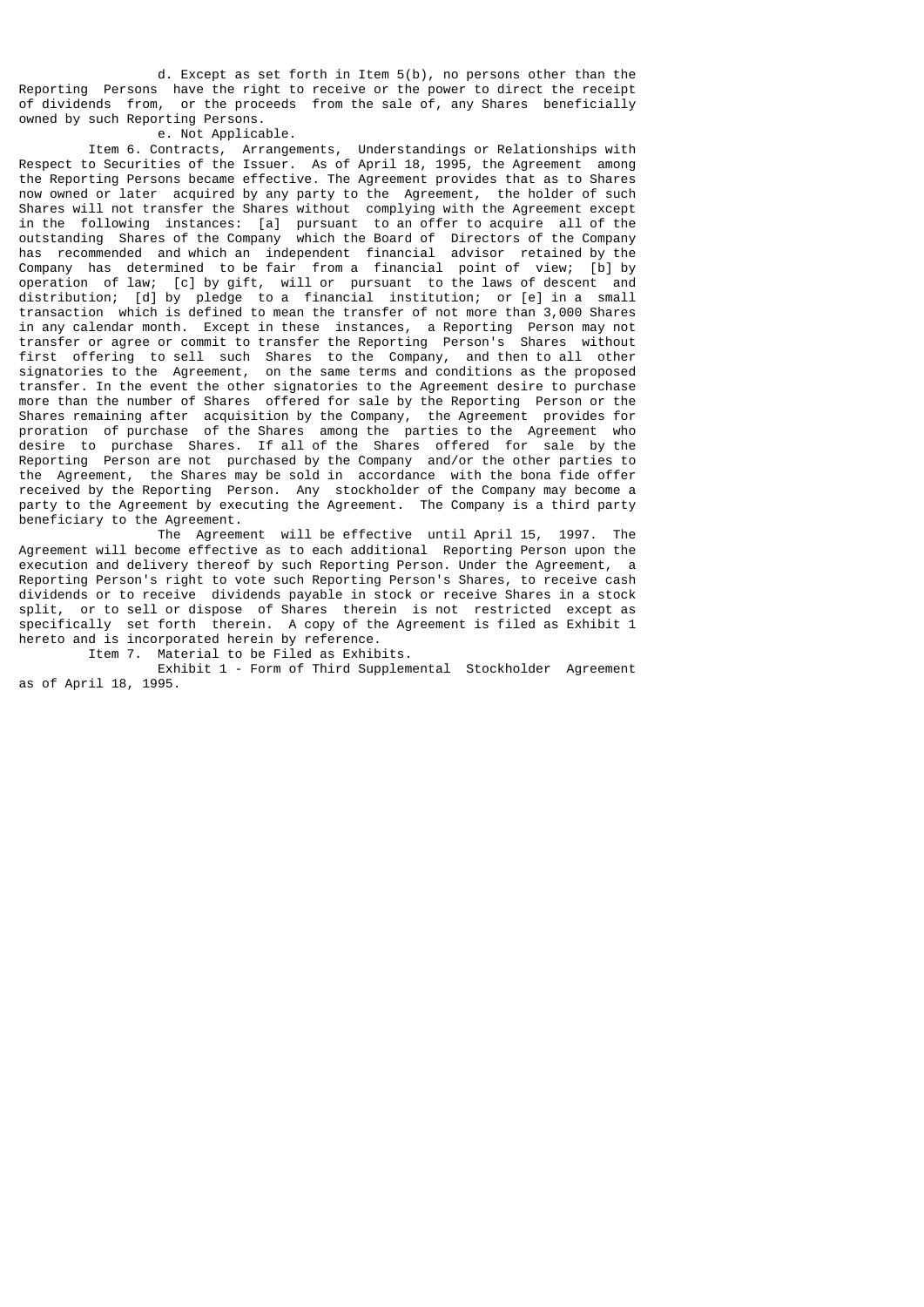d. Except as set forth in Item 5(b), no persons other than the Reporting Persons have the right to receive or the power to direct the receipt of dividends from, or the proceeds from the sale of, any Shares beneficially owned by such Reporting Persons.

e. Not Applicable.

 Item 6. Contracts, Arrangements, Understandings or Relationships with Respect to Securities of the Issuer. As of April 18, 1995, the Agreement among the Reporting Persons became effective. The Agreement provides that as to Shares now owned or later acquired by any party to the Agreement, the holder of such Shares will not transfer the Shares without complying with the Agreement except in the following instances: [a] pursuant to an offer to acquire all of the outstanding Shares of the Company which the Board of Directors of the Company has recommended and which an independent financial advisor retained by the Company has determined to be fair from a financial point of view; [b] by operation of law; [c] by gift, will or pursuant to the laws of descent and distribution; [d] by pledge to a financial institution; or [e] in a small transaction which is defined to mean the transfer of not more than 3,000 Shares in any calendar month. Except in these instances, a Reporting Person may not transfer or agree or commit to transfer the Reporting Person's Shares without first offering to sell such Shares to the Company, and then to all other signatories to the Agreement, on the same terms and conditions as the proposed transfer. In the event the other signatories to the Agreement desire to purchase more than the number of Shares offered for sale by the Reporting Person or the Shares remaining after acquisition by the Company, the Agreement provides for proration of purchase of the Shares among the parties to the Agreement who desire to purchase Shares. If all of the Shares offered for sale by the Reporting Person are not purchased by the Company and/or the other parties to the Agreement, the Shares may be sold in accordance with the bona fide offer received by the Reporting Person. Any stockholder of the Company may become a party to the Agreement by executing the Agreement. The Company is a third party beneficiary to the Agreement.

 The Agreement will be effective until April 15, 1997. The Agreement will become effective as to each additional Reporting Person upon the execution and delivery thereof by such Reporting Person. Under the Agreement, a Reporting Person's right to vote such Reporting Person's Shares, to receive cash dividends or to receive dividends payable in stock or receive Shares in a stock split, or to sell or dispose of Shares therein is not restricted except as specifically set forth therein. A copy of the Agreement is filed as Exhibit 1 hereto and is incorporated herein by reference.

Item 7. Material to be Filed as Exhibits.

 Exhibit 1 - Form of Third Supplemental Stockholder Agreement as of April 18, 1995.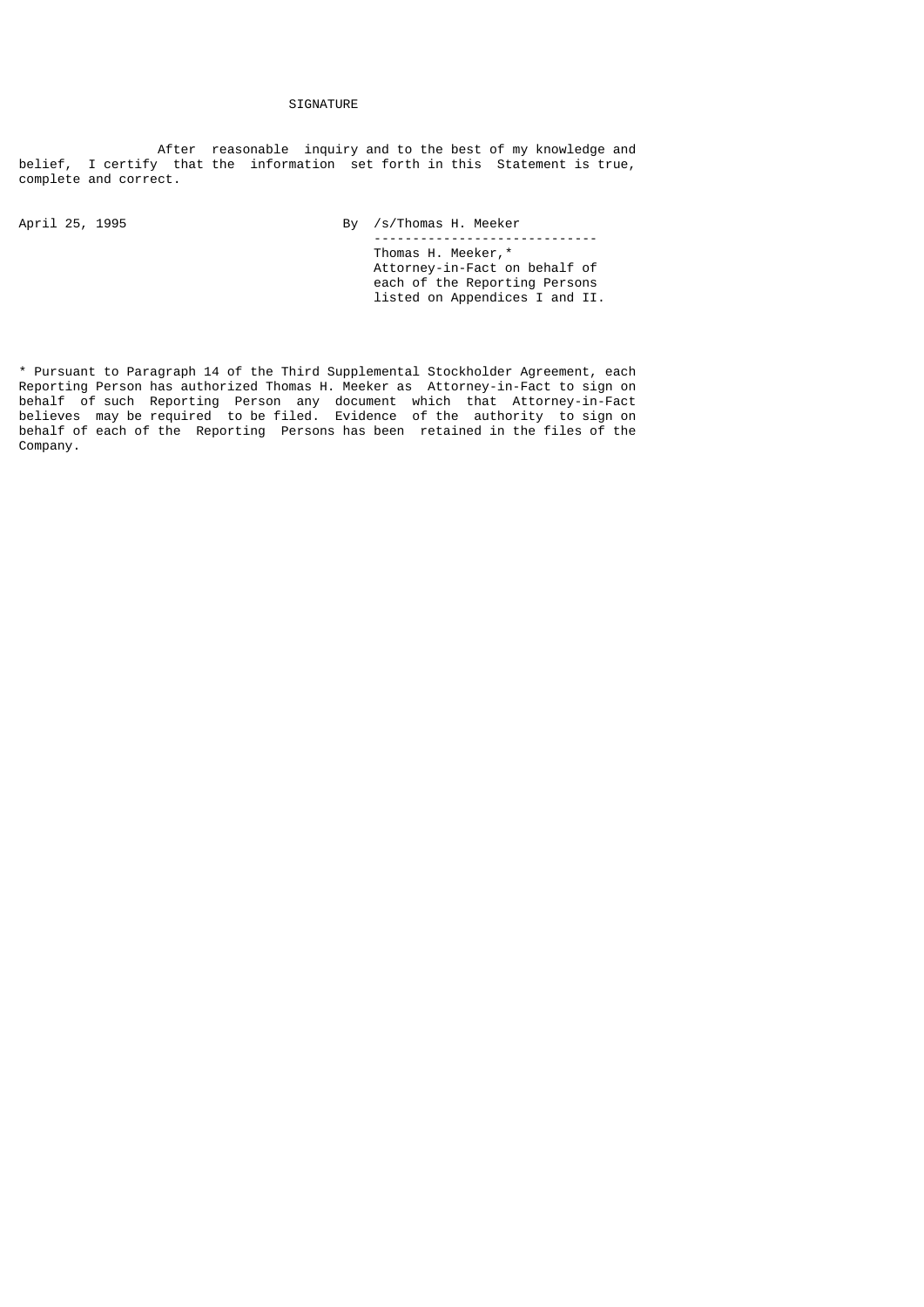# SIGNATURE

 After reasonable inquiry and to the best of my knowledge and belief, I certify that the information set forth in this Statement is true, complete and correct.

April 25, 1995 **By /s/Thomas H. Meeker**  ----------------------------- Thomas H. Meeker,\* Attorney-in-Fact on behalf of each of the Reporting Persons listed on Appendices I and II.

\* Pursuant to Paragraph 14 of the Third Supplemental Stockholder Agreement, each Reporting Person has authorized Thomas H. Meeker as Attorney-in-Fact to sign on behalf of such Reporting Person any document which that Attorney-in-Fact believes may be required to be filed. Evidence of the authority to sign on behalf of each of the Reporting Persons has been retained in the files of the Company.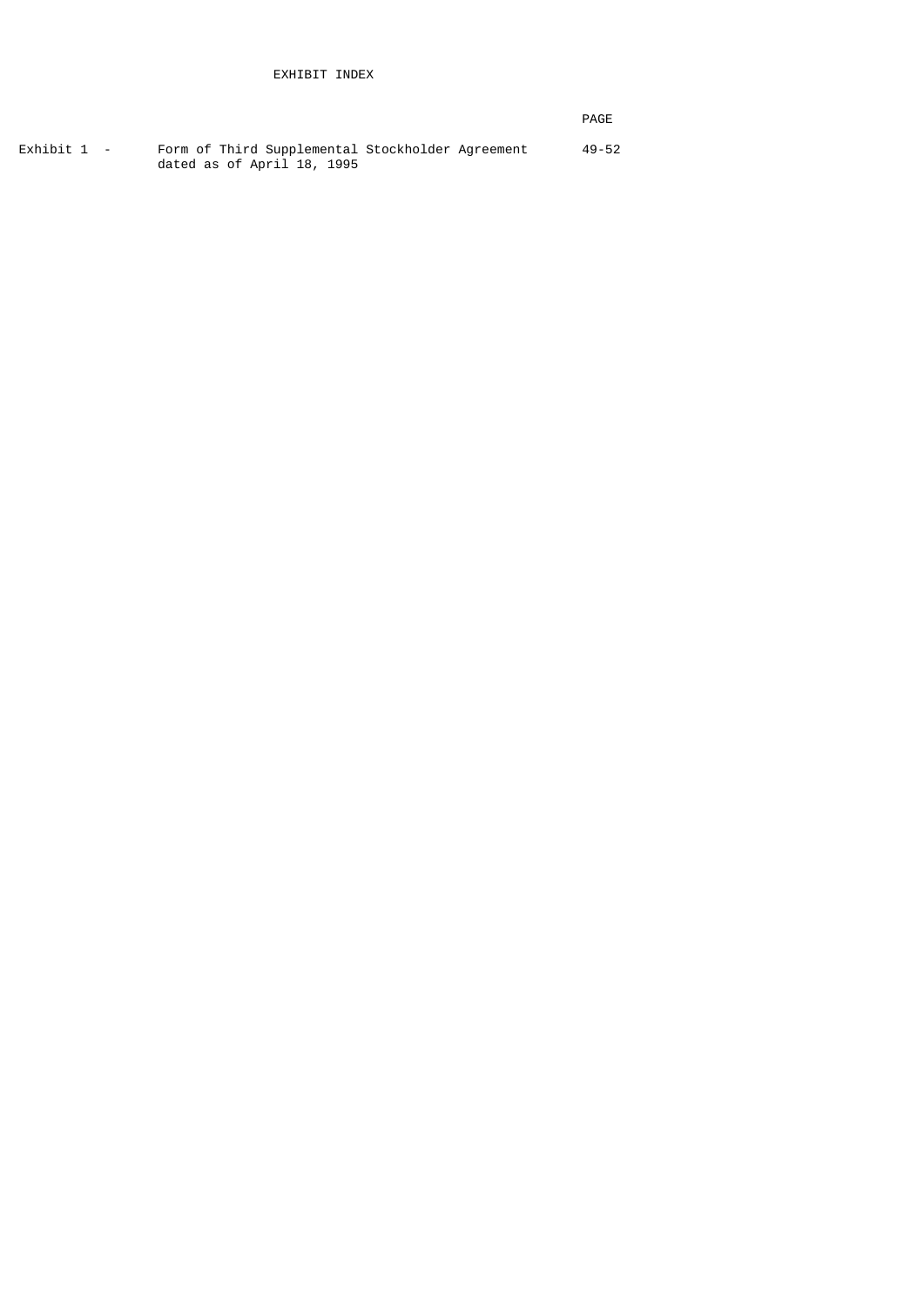|  | PAGE |
|--|------|
|--|------|

| Exhibit 1 - | Form of Third Supplemental Stockholder Agreement | $49 - 52$ |
|-------------|--------------------------------------------------|-----------|
|             | dated as of April 18, 1995                       |           |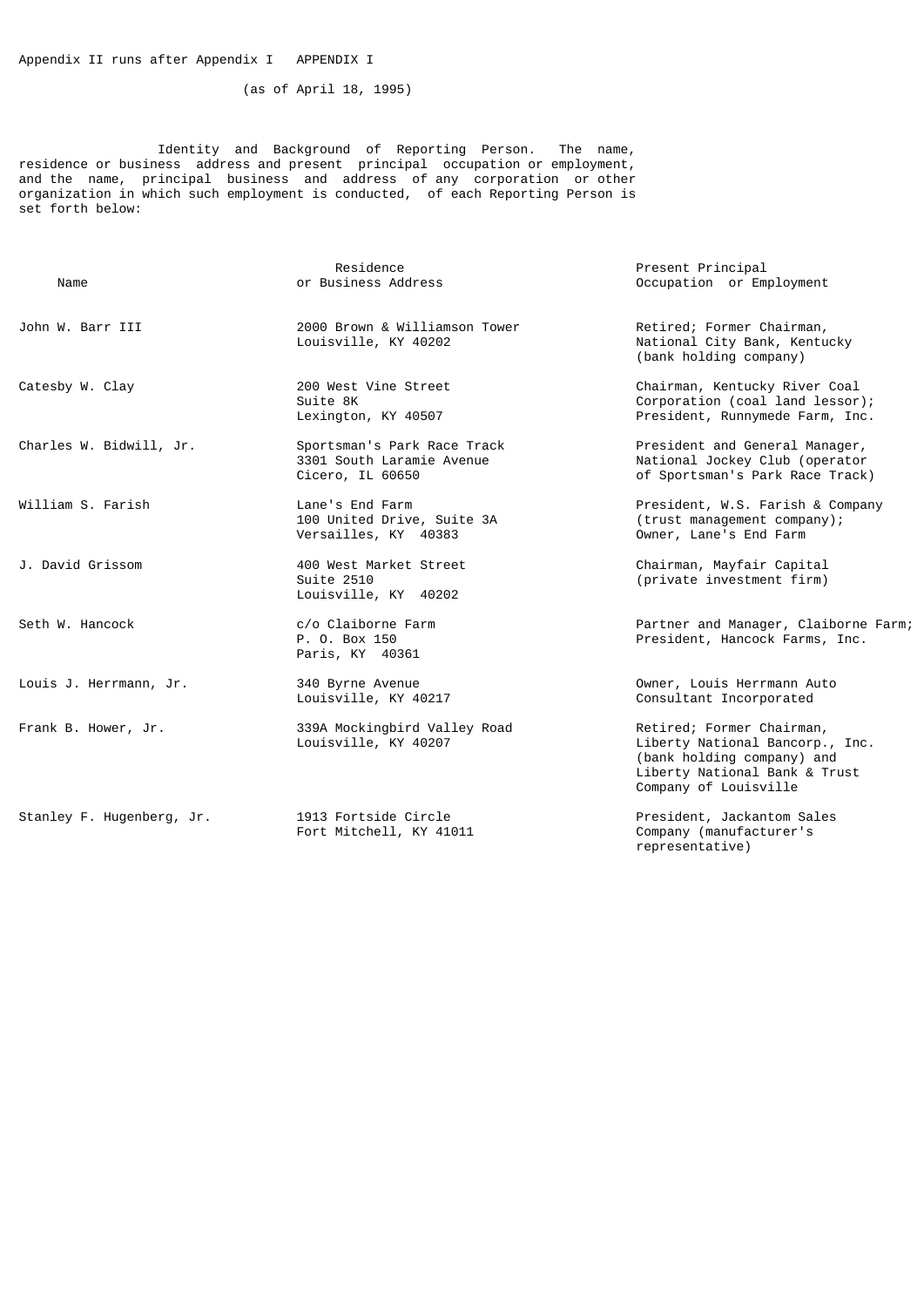(as of April 18, 1995)

 Identity and Background of Reporting Person. The name, residence or business address and present principal occupation or employment, and the name, principal business and address of any corporation or other organization in which such employment is conducted, of each Reporting Person is set forth below:

| Name                      | Residence<br>or Business Address                                             | Present Principal<br>Occupation or Employment                                                                                                        |
|---------------------------|------------------------------------------------------------------------------|------------------------------------------------------------------------------------------------------------------------------------------------------|
| John W. Barr III          | 2000 Brown & Williamson Tower<br>Louisville, KY 40202                        | Retired; Former Chairman,<br>National City Bank, Kentucky<br>(bank holding company)                                                                  |
| Catesby W. Clay           | 200 West Vine Street<br>Suite 8K<br>Lexington, KY 40507                      | Chairman, Kentucky River Coal<br>Corporation (coal land lessor);<br>President, Runnymede Farm, Inc.                                                  |
| Charles W. Bidwill, Jr.   | Sportsman's Park Race Track<br>3301 South Laramie Avenue<br>Cicero, IL 60650 | President and General Manager,<br>National Jockey Club (operator<br>of Sportsman's Park Race Track)                                                  |
| William S. Farish         | Lane's End Farm<br>100 United Drive, Suite 3A<br>Versailles, KY 40383        | President, W.S. Farish & Company<br>(trust management company);<br>Owner, Lane's End Farm                                                            |
| J. David Grissom          | 400 West Market Street<br>Suite 2510<br>Louisville, KY 40202                 | Chairman, Mayfair Capital<br>(private investment firm)                                                                                               |
| Seth W. Hancock           | c/o Claiborne Farm<br>P. O. Box 150<br>Paris, KY 40361                       | Partner and Manager, Claiborne Farm;<br>President, Hancock Farms, Inc.                                                                               |
| Louis J. Herrmann, Jr.    | 340 Byrne Avenue<br>Louisville, KY 40217                                     | Owner, Louis Herrmann Auto<br>Consultant Incorporated                                                                                                |
| Frank B. Hower, Jr.       | 339A Mockingbird Valley Road<br>Louisville, KY 40207                         | Retired; Former Chairman,<br>Liberty National Bancorp., Inc.<br>(bank holding company) and<br>Liberty National Bank & Trust<br>Company of Louisville |
| Stanley F. Hugenberg, Jr. | 1913 Fortside Circle<br>Fort Mitchell, KY 41011                              | President, Jackantom Sales<br>Company (manufacturer's<br>representative)                                                                             |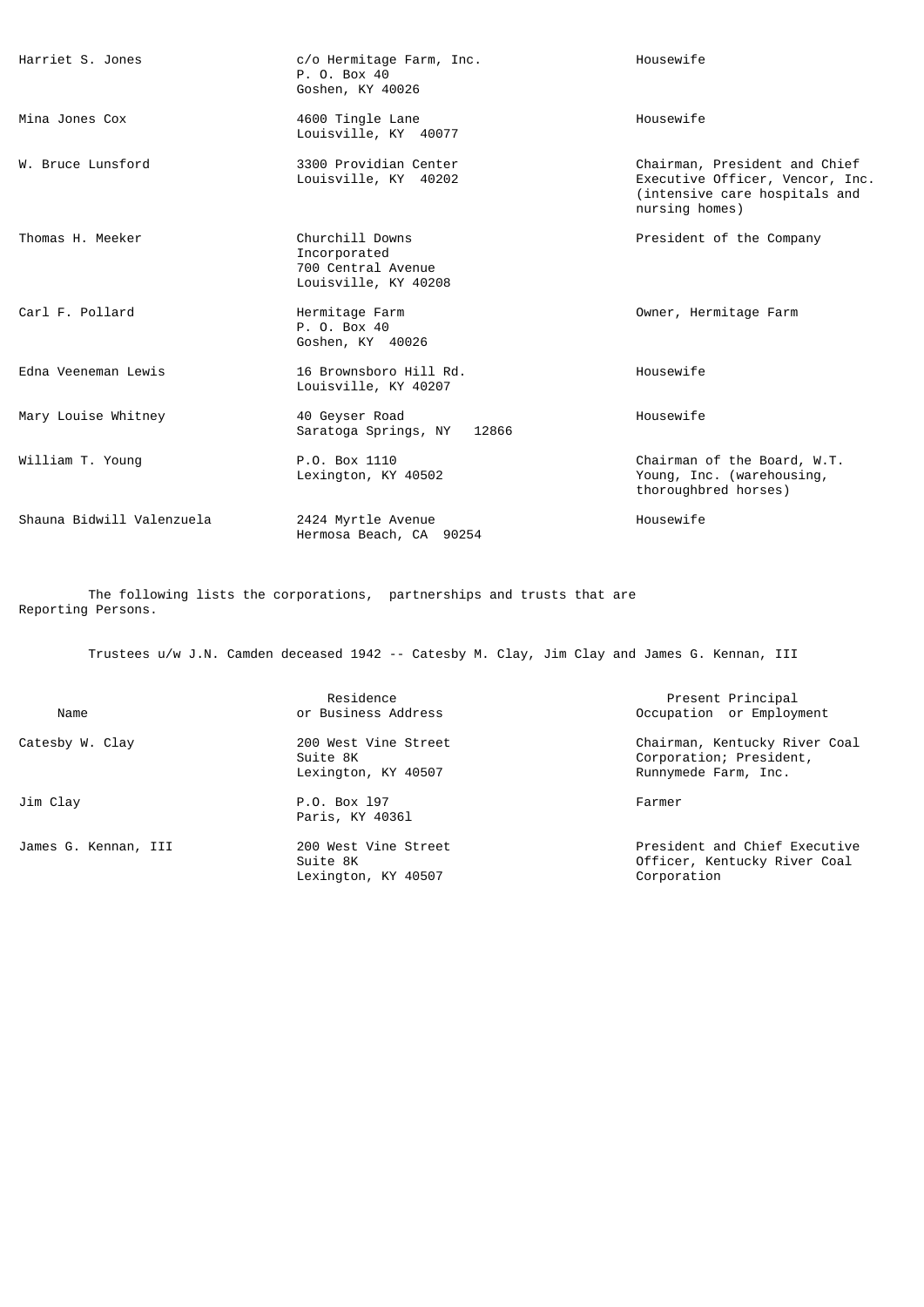| Harriet S. Jones          | c/o Hermitage Farm, Inc.<br>P. 0. Box 40<br>Goshen, KY 40026                  | Housewife                                                                                                           |
|---------------------------|-------------------------------------------------------------------------------|---------------------------------------------------------------------------------------------------------------------|
| Mina Jones Cox            | 4600 Tingle Lane<br>Louisville, KY 40077                                      | Housewife                                                                                                           |
| W. Bruce Lunsford         | 3300 Providian Center<br>Louisville, KY 40202                                 | Chairman, President and Chief<br>Executive Officer, Vencor, Inc.<br>(intensive care hospitals and<br>nursing homes) |
| Thomas H. Meeker          | Churchill Downs<br>Incorporated<br>700 Central Avenue<br>Louisville, KY 40208 | President of the Company                                                                                            |
| Carl F. Pollard           | Hermitage Farm<br>P. O. Box 40<br>Goshen, KY 40026                            | Owner, Hermitage Farm                                                                                               |
| Edna Veeneman Lewis       | 16 Brownsboro Hill Rd.<br>Louisville, KY 40207                                | Housewife                                                                                                           |
| Mary Louise Whitney       | 40 Geyser Road<br>Saratoga Springs, NY<br>12866                               | Housewife                                                                                                           |
| William T. Young          | P.O. Box 1110<br>Lexington, KY 40502                                          | Chairman of the Board, W.T.<br>Young, Inc. (warehousing,<br>thoroughbred horses)                                    |
| Shauna Bidwill Valenzuela | 2424 Myrtle Avenue<br>Hermosa Beach, CA 90254                                 | Housewife                                                                                                           |

 The following lists the corporations, partnerships and trusts that are Reporting Persons.

Trustees u/w J.N. Camden deceased 1942 -- Catesby M. Clay, Jim Clay and James G. Kennan, III

| Name                 | Residence<br>or Business Address                        | Present Principal<br>Occupation or Employment                                    |
|----------------------|---------------------------------------------------------|----------------------------------------------------------------------------------|
| Catesby W. Clay      | 200 West Vine Street<br>Suite 8K<br>Lexington, KY 40507 | Chairman, Kentucky River Coal<br>Corporation; President,<br>Runnymede Farm, Inc. |
| Jim Clay             | P.O. Box 197<br>Paris, KY 40361                         | Farmer                                                                           |
| James G. Kennan, III | 200 West Vine Street<br>Suite 8K<br>Lexington, KY 40507 | President and Chief Executive<br>Officer, Kentucky River Coal<br>Corporation     |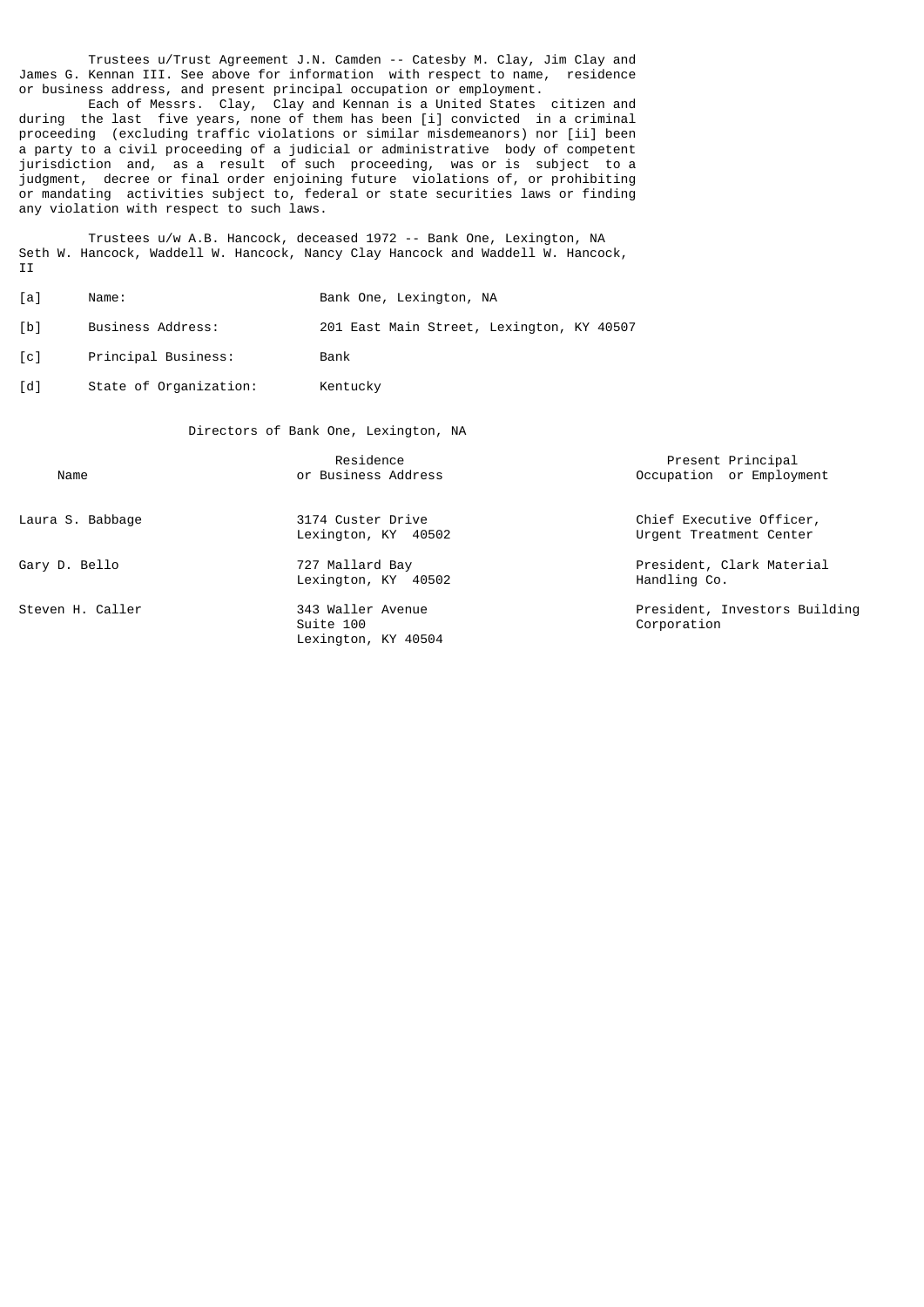Trustees u/Trust Agreement J.N. Camden -- Catesby M. Clay, Jim Clay and James G. Kennan III. See above for information with respect to name, residence or business address, and present principal occupation or employment.

 Each of Messrs. Clay, Clay and Kennan is a United States citizen and during the last five years, none of them has been [i] convicted in a criminal proceeding (excluding traffic violations or similar misdemeanors) nor [ii] been a party to a civil proceeding of a judicial or administrative body of competent jurisdiction and, as a result of such proceeding, was or is subject to a judgment, decree or final order enjoining future violations of, or prohibiting or mandating activities subject to, federal or state securities laws or finding any violation with respect to such laws.

 Trustees u/w A.B. Hancock, deceased 1972 -- Bank One, Lexington, NA Seth W. Hancock, Waddell W. Hancock, Nancy Clay Hancock and Waddell W. Hancock, **II** 

- [a] Name: Bank One, Lexington, NA
- [b] Business Address: 201 East Main Street, Lexington, KY 40507
- [c] Principal Business: Bank
- [d] State of Organization: Kentucky

Directors of Bank One, Lexington, NA

| Name             | Residence<br>or Business Address                      | Present Principal<br>Occupation or Employment       |
|------------------|-------------------------------------------------------|-----------------------------------------------------|
| Laura S. Babbage | 3174 Custer Drive<br>Lexington, KY 40502              | Chief Executive Officer,<br>Urgent Treatment Center |
| Gary D. Bello    | 727 Mallard Bay<br>Lexington, KY 40502                | President, Clark Material<br>Handling Co.           |
| Steven H. Caller | 343 Waller Avenue<br>Suite 100<br>Lexington, KY 40504 | President, Investors Building<br>Corporation        |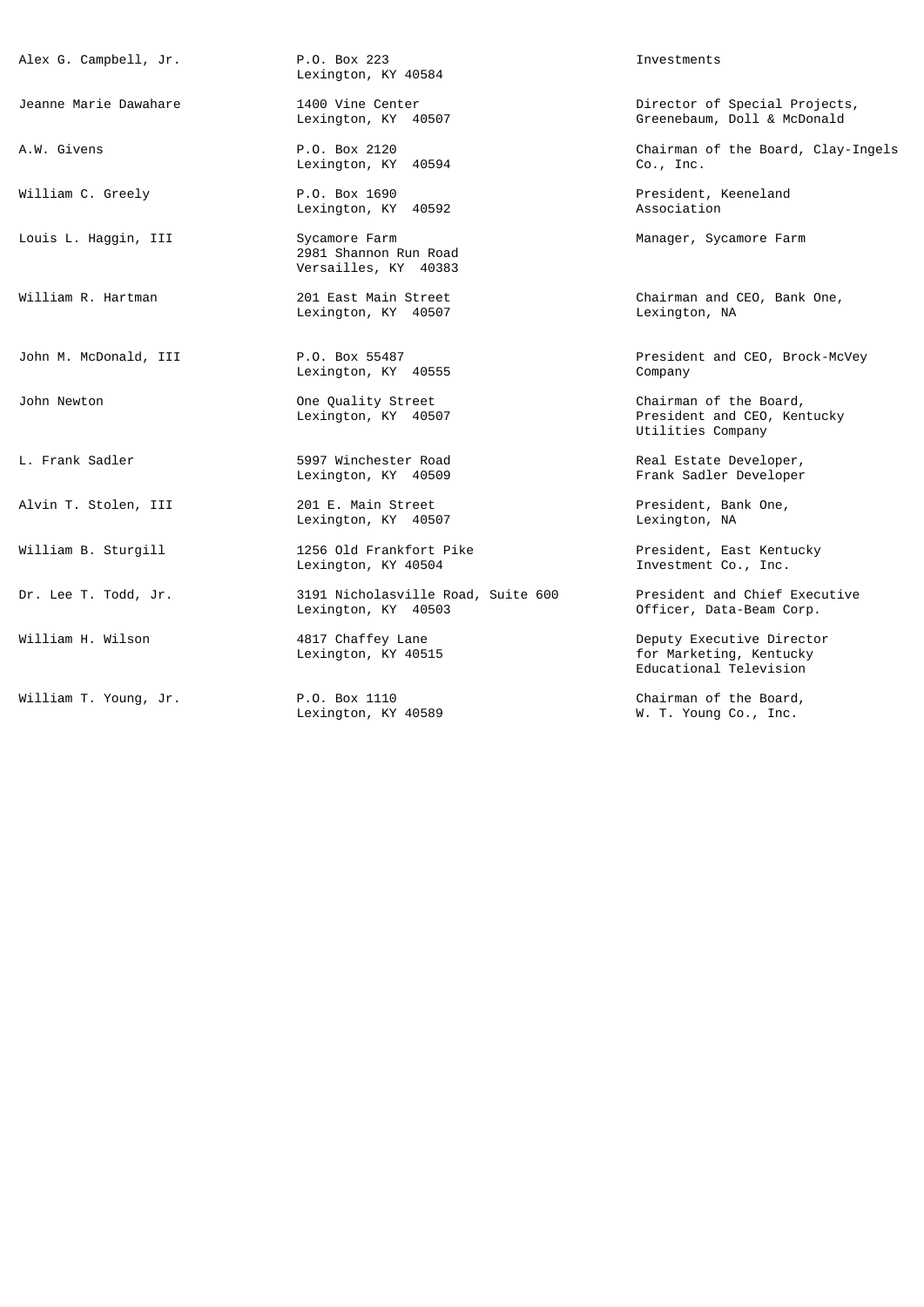| Alex G. Campbell, Jr. | P.O. Box 223<br>Lexington, KY 40584                            | Investments                                                                    |
|-----------------------|----------------------------------------------------------------|--------------------------------------------------------------------------------|
| Jeanne Marie Dawahare | 1400 Vine Center<br>Lexington, KY 40507                        | Director of Special Projects,<br>Greenebaum, Doll & McDonald                   |
| A.W. Givens           | P.O. Box 2120<br>Lexington, KY 40594                           | Chairman of the Board, Clay-Ingels<br>$Co.$ , Inc.                             |
| William C. Greely     | P.O. Box 1690<br>Lexington, KY 40592                           | President, Keeneland<br>Association                                            |
| Louis L. Haggin, III  | Sycamore Farm<br>2981 Shannon Run Road<br>Versailles, KY 40383 | Manager, Sycamore Farm                                                         |
| William R. Hartman    | 201 East Main Street<br>Lexington, KY 40507                    | Chairman and CEO, Bank One,<br>Lexington, NA                                   |
| John M. McDonald, III | P.O. Box 55487<br>Lexington, KY 40555                          | President and CEO, Brock-McVey<br>Company                                      |
| John Newton           | One Quality Street<br>Lexington, KY 40507                      | Chairman of the Board,<br>President and CEO, Kentucky<br>Utilities Company     |
| L. Frank Sadler       | 5997 Winchester Road<br>Lexington, KY 40509                    | Real Estate Developer,<br>Frank Sadler Developer                               |
| Alvin T. Stolen, III  | 201 E. Main Street<br>Lexington, KY 40507                      | President, Bank One,<br>Lexington, NA                                          |
| William B. Sturgill   | 1256 Old Frankfort Pike<br>Lexington, KY 40504                 | President, East Kentucky<br>Investment Co., Inc.                               |
| Dr. Lee T. Todd, Jr.  | 3191 Nicholasville Road, Suite 600<br>Lexington, KY 40503      | President and Chief Executive<br>Officer, Data-Beam Corp.                      |
| William H. Wilson     | 4817 Chaffey Lane<br>Lexington, KY 40515                       | Deputy Executive Director<br>for Marketing, Kentucky<br>Educational Television |
|                       |                                                                |                                                                                |

William T. Young, Jr. P.O. Box 1110 Chairman of the Board, Lexington, KY 40589 W. T. Young Co., Inc.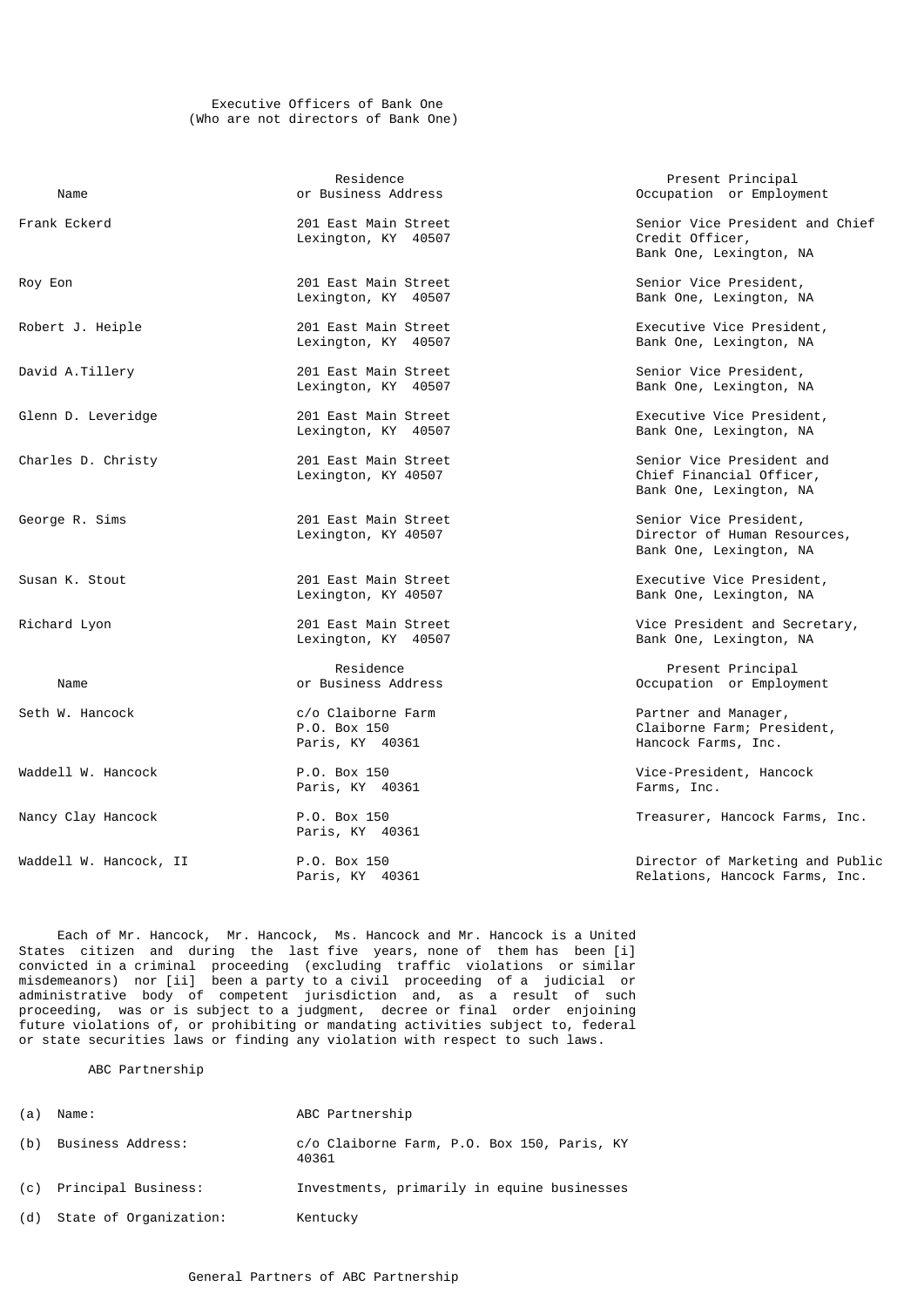### Executive Officers of Bank One (Who are not directors of Bank One)

| Name                   | Residence<br>or Business Address                                                                                             | Present Principal<br>Occupation or Employment                                     |
|------------------------|------------------------------------------------------------------------------------------------------------------------------|-----------------------------------------------------------------------------------|
| Frank Eckerd           | Senior Vice President and Chief<br>201 East Main Street<br>Credit Officer,<br>Lexington, KY 40507<br>Bank One, Lexington, NA |                                                                                   |
| Roy Eon                | 201 East Main Street<br>Lexington, KY 40507                                                                                  | Senior Vice President,<br>Bank One, Lexington, NA                                 |
| Robert J. Heiple       | 201 East Main Street<br>Lexington, KY 40507                                                                                  | Executive Vice President,<br>Bank One, Lexington, NA                              |
| David A.Tillery        | 201 East Main Street<br>Lexington, KY 40507                                                                                  | Senior Vice President,<br>Bank One, Lexington, NA                                 |
| Glenn D. Leveridge     | 201 East Main Street<br>Lexington, KY 40507                                                                                  | Executive Vice President,<br>Bank One, Lexington, NA                              |
| Charles D. Christy     | 201 East Main Street<br>Lexington, KY 40507                                                                                  | Senior Vice President and<br>Chief Financial Officer,<br>Bank One, Lexington, NA  |
| George R. Sims         | 201 East Main Street<br>Lexington, KY 40507                                                                                  | Senior Vice President,<br>Director of Human Resources,<br>Bank One, Lexington, NA |
| Susan K. Stout         | 201 East Main Street<br>Lexington, KY 40507                                                                                  | Executive Vice President,<br>Bank One, Lexington, NA                              |
| Richard Lyon           | 201 East Main Street<br>Lexington, KY 40507                                                                                  | Vice President and Secretary,<br>Bank One, Lexington, NA                          |
| Name                   | Residence<br>or Business Address                                                                                             | Present Principal<br>Occupation or Employment                                     |
| Seth W. Hancock        | c/o Claiborne Farm<br>P.O. Box 150<br>Paris, KY 40361                                                                        | Partner and Manager,<br>Claiborne Farm; President,<br>Hancock Farms, Inc.         |
| Waddell W. Hancock     | P.O. Box 150<br>Paris, KY 40361                                                                                              | Vice-President, Hancock<br>Farms, Inc.                                            |
| Nancy Clay Hancock     | P.O. Box 150<br>Paris, KY 40361                                                                                              | Treasurer, Hancock Farms, Inc.                                                    |
| Waddell W. Hancock, II | P.O. Box 150<br>Paris, KY 40361                                                                                              | Director of Marketing and Public<br>Relations, Hancock Farms, Inc.                |

 Each of Mr. Hancock, Mr. Hancock, Ms. Hancock and Mr. Hancock is a United States citizen and during the last five years, none of them has been [i] convicted in a criminal proceeding (excluding traffic violations or similar misdemeanors) nor [ii] been a party to a civil proceeding of a judicial or administrative body of competent jurisdiction and, as a result of such proceeding, was or is subject to a judgment, decree or final order enjoining future violations of, or prohibiting or mandating activities subject to, federal or state securities laws or finding any violation with respect to such laws.

# ABC Partnership

| (a) | Name:                  | ABC Partnership                                      |
|-----|------------------------|------------------------------------------------------|
| (b) | Business Address:      | c/o Claiborne Farm, P.O. Box 150, Paris, KY<br>40361 |
| (C) | Principal Business:    | Investments, primarily in equine businesses          |
| (d) | State of Organization: | Kentucky                                             |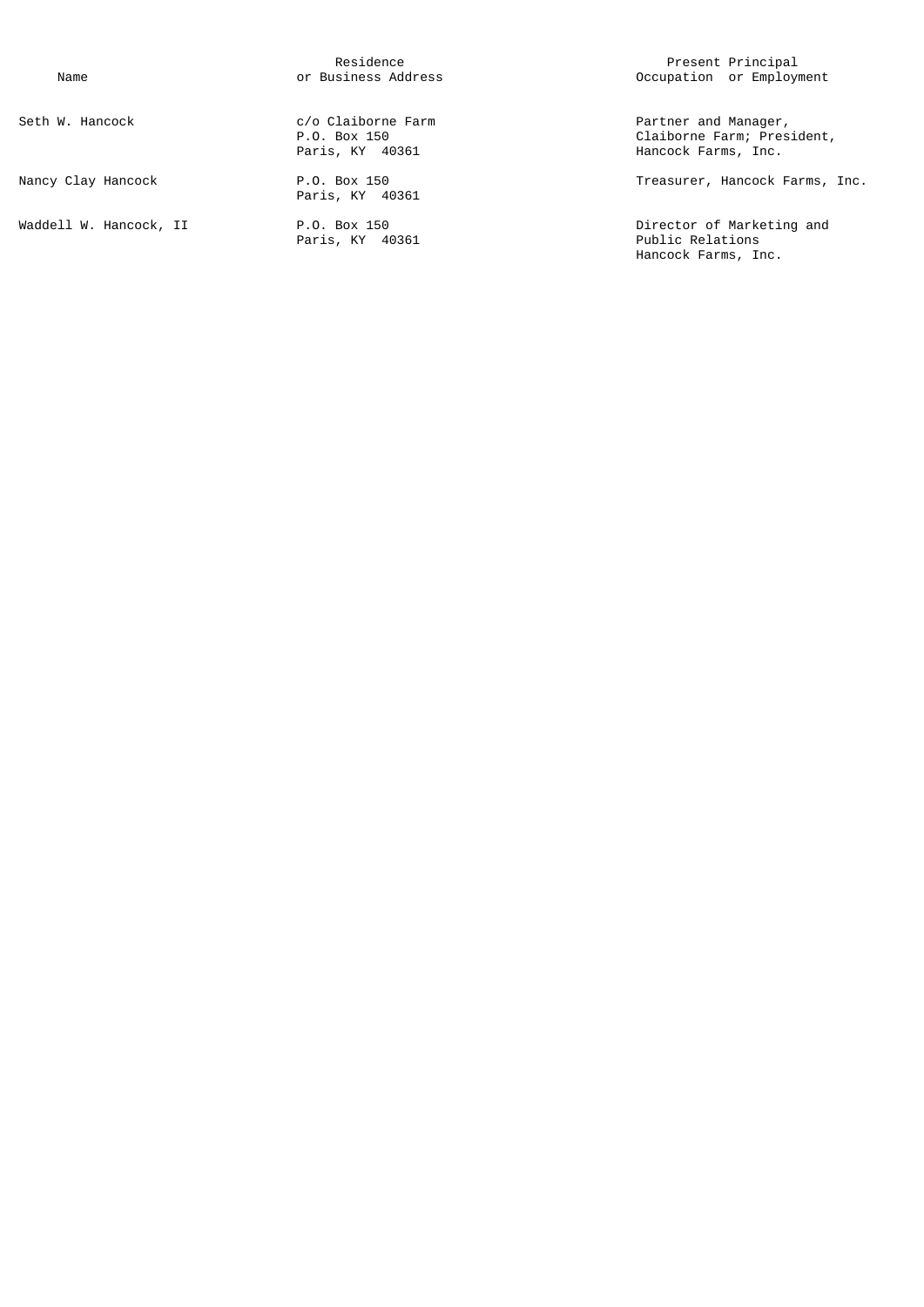Paris, KY 40361

| Seth W. Hancock                | c/o Claiborne Farm<br>P.O. Box 150<br>Paris, KY 40361 | Partner and Manager,<br>Claiborne Farm; President,<br>Hancock Farms, Inc. |
|--------------------------------|-------------------------------------------------------|---------------------------------------------------------------------------|
| Nancy Clay Hancock             | P.O. Box 150<br>Paris, KY 40361                       | Treasurer, Hancock Farms, 1                                               |
| Waddell W. Hancock <i>.</i> II | P.O. Box 150                                          | Director of Marketing and                                                 |

Residence Residence Residence Reserves and December 2016 and December 2016 and Present Principal Name or Business Address Occupation or Employment

nancy Clay Hancock Farms, Inc.<br>Nancy 150 Treasurer, Hancock Farms, Inc.

Waddell W. Hancock, II P.O. Box 150 Director of Marketing and Hancock Farms, Inc.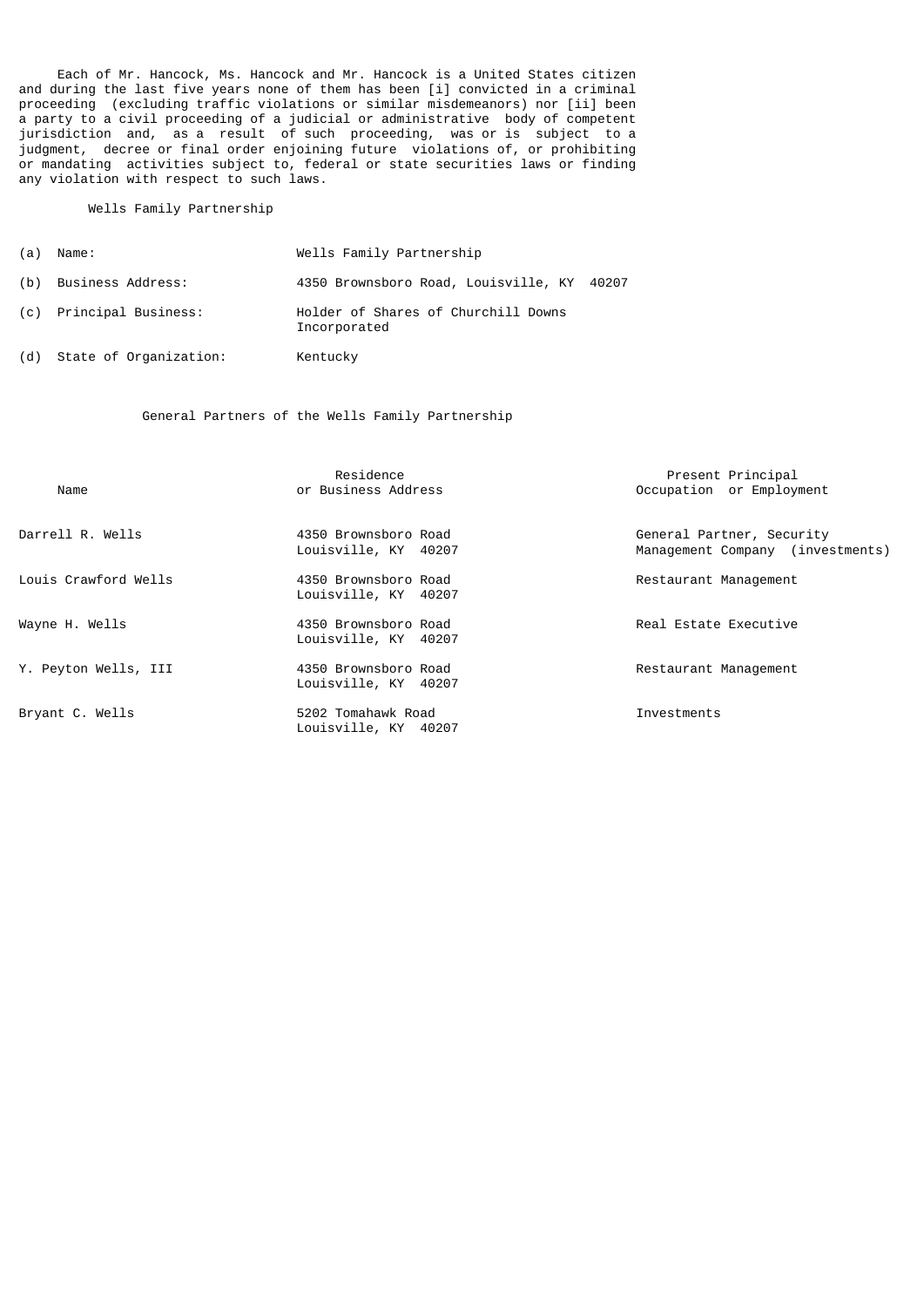Each of Mr. Hancock, Ms. Hancock and Mr. Hancock is a United States citizen and during the last five years none of them has been [i] convicted in a criminal proceeding (excluding traffic violations or similar misdemeanors) nor [ii] been a party to a civil proceeding of a judicial or administrative body of competent jurisdiction and, as a result of such proceeding, was or is subject to a judgment, decree or final order enjoining future violations of, or prohibiting or mandating activities subject to, federal or state securities laws or finding any violation with respect to such laws.

#### Wells Family Partnership

| (a) | Name:                  | Wells Family Partnership                            |
|-----|------------------------|-----------------------------------------------------|
| (b) | Business Address:      | 4350 Brownsboro Road, Louisville, KY 40207          |
| (C) | Principal Business:    | Holder of Shares of Churchill Downs<br>Incorporated |
| (d) | State of Organization: | Kentucky                                            |

# General Partners of the Wells Family Partnership

| Name                 | Residence<br>or Business Address             | Present Principal<br>Occupation or Employment                 |
|----------------------|----------------------------------------------|---------------------------------------------------------------|
| Darrell R. Wells     | 4350 Brownsboro Road<br>Louisville, KY 40207 | General Partner, Security<br>Management Company (investments) |
| Louis Crawford Wells | 4350 Brownsboro Road<br>Louisville, KY 40207 | Restaurant Management                                         |
| Wayne H. Wells       | 4350 Brownsboro Road<br>Louisville, KY 40207 | Real Estate Executive                                         |
| Y. Peyton Wells, III | 4350 Brownsboro Road<br>Louisville, KY 40207 | Restaurant Management                                         |
| Bryant C. Wells      | 5202 Tomahawk Road<br>Louisville, KY 40207   | Investments                                                   |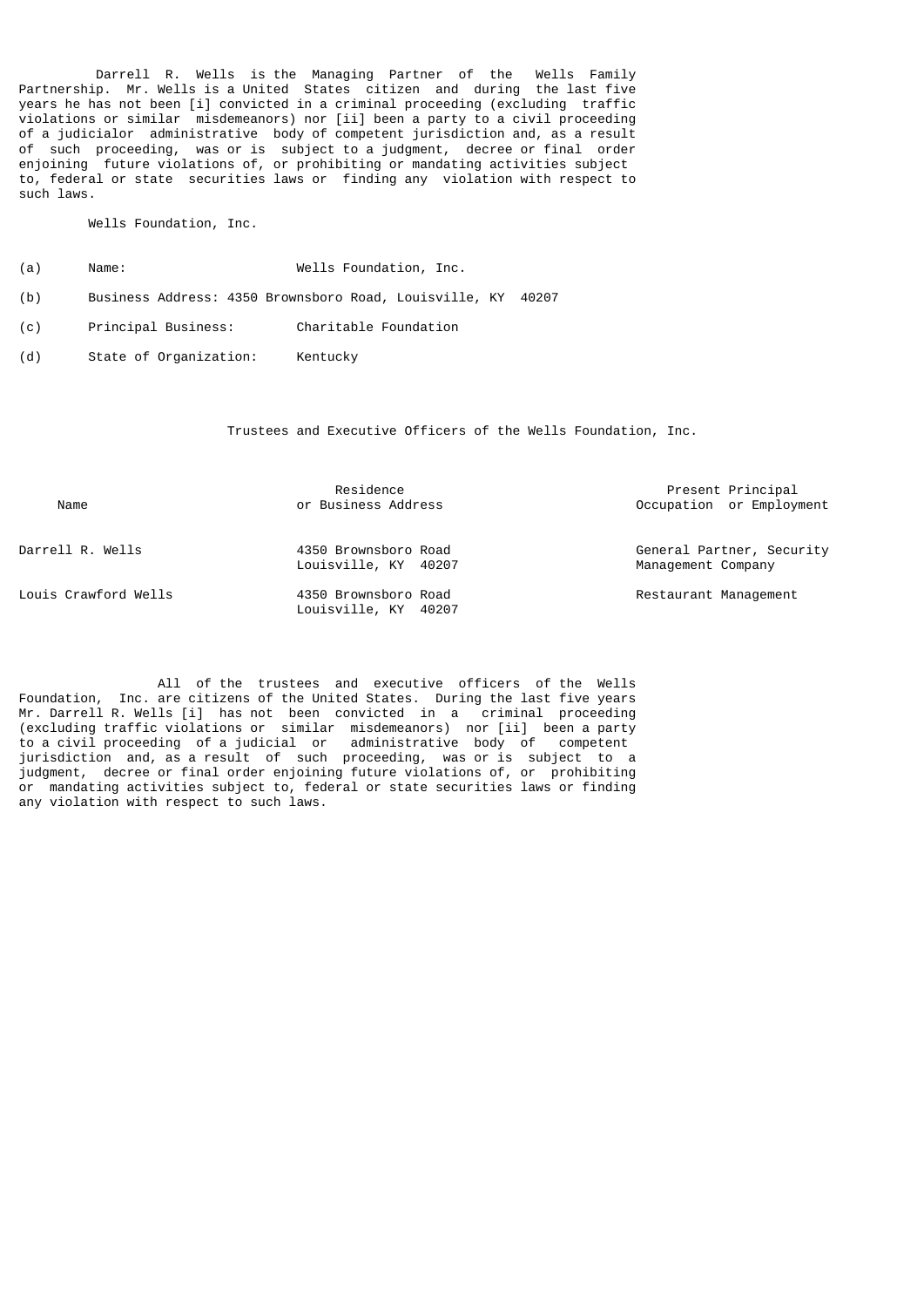Darrell R. Wells is the Managing Partner of the Wells Family Partnership. Mr. Wells is a United States citizen and during the last five years he has not been [i] convicted in a criminal proceeding (excluding traffic violations or similar misdemeanors) nor [ii] been a party to a civil proceeding of a judicialor administrative body of competent jurisdiction and, as a result of such proceeding, was or is subject to a judgment, decree or final order enjoining future violations of, or prohibiting or mandating activities subject to, federal or state securities laws or finding any violation with respect to such laws.

Wells Foundation, Inc.

- (a) Name: Wells Foundation, Inc.
- (b) Business Address: 4350 Brownsboro Road, Louisville, KY 40207
- (c) Principal Business: Charitable Foundation
- (d) State of Organization: Kentucky

Trustees and Executive Officers of the Wells Foundation, Inc.

| Name                 | Residence<br>or Business Address             | Present Principal<br>Occupation or Employment   |
|----------------------|----------------------------------------------|-------------------------------------------------|
| Darrell R. Wells     | 4350 Brownsboro Road<br>Louisville, KY 40207 | General Partner, Security<br>Management Company |
| Louis Crawford Wells | 4350 Brownsboro Road<br>Louisville, KY 40207 | Restaurant Management                           |

 All of the trustees and executive officers of the Wells Foundation, Inc. are citizens of the United States. During the last five years Mr. Darrell R. Wells [i] has not been convicted in a criminal proceeding (excluding traffic violations or similar misdemeanors) nor [ii] been a party to a civil proceeding of a judicial or administrative body of competent jurisdiction and, as a result of such proceeding, was or is subject to a judgment, decree or final order enjoining future violations of, or prohibiting or mandating activities subject to, federal or state securities laws or finding any violation with respect to such laws.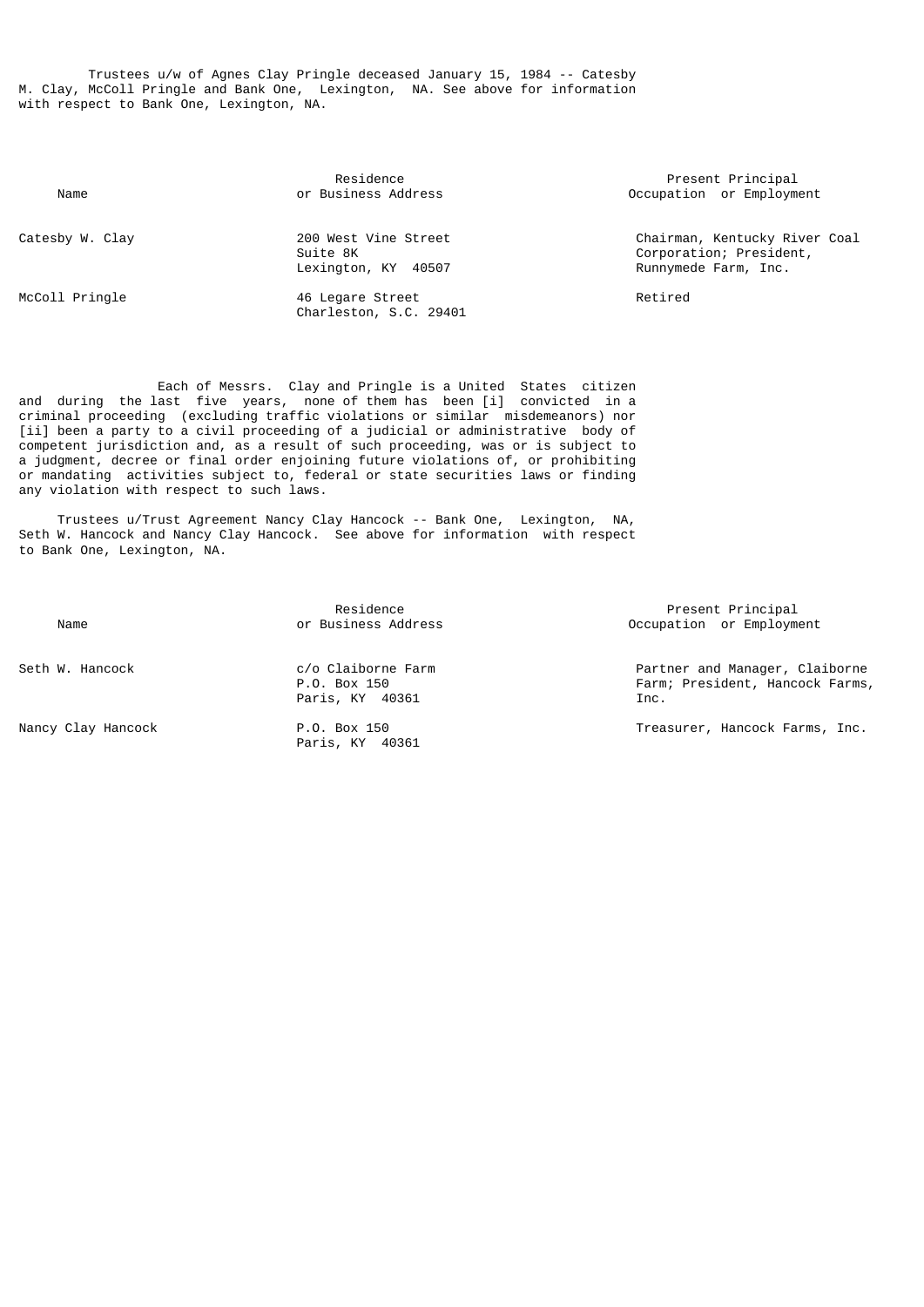Trustees u/w of Agnes Clay Pringle deceased January 15, 1984 -- Catesby M. Clay, McColl Pringle and Bank One, Lexington, NA. See above for information with respect to Bank One, Lexington, NA.

| Name            | Residence<br>or Business Address                           | <b>Pres</b><br>Occupatio         |
|-----------------|------------------------------------------------------------|----------------------------------|
| Catesby W. Clay | 200 West Vine Street<br>Suite 8K<br>Lexington, KY<br>40507 | Chairmar<br>Corporat<br>Runnymed |
| McColl Pringle  | 46 Legare Street<br>Charleston, S.C. 29401                 | Retired                          |

 Each of Messrs. Clay and Pringle is a United States citizen and during the last five years, none of them has been [i] convicted in a criminal proceeding (excluding traffic violations or similar misdemeanors) nor [ii] been a party to a civil proceeding of a judicial or administrative body of competent jurisdiction and, as a result of such proceeding, was or is subject to a judgment, decree or final order enjoining future violations of, or prohibiting or mandating activities subject to, federal or state securities laws or finding any violation with respect to such laws.

 Trustees u/Trust Agreement Nancy Clay Hancock -- Bank One, Lexington, NA, Seth W. Hancock and Nancy Clay Hancock. See above for information with respect to Bank One, Lexington, NA.

| Name               | Residence<br>or Business Address                      | Present Principal<br>Occupation or Employment                            |
|--------------------|-------------------------------------------------------|--------------------------------------------------------------------------|
| Seth W. Hancock    | c/o Claiborne Farm<br>P.O. Box 150<br>Paris, KY 40361 | Partner and Manager, Claiborne<br>Farm; President, Hancock Farms<br>Inc. |
| Nancy Clay Hancock | P.O. Box 150<br>Paris, KY 40361                       | Treasurer, Hancock Farms, Inc.                                           |

Present Principal ccupation or Employment

Chairman, Kentucky River Coal Corporation; President, Runnymede Farm, Inc.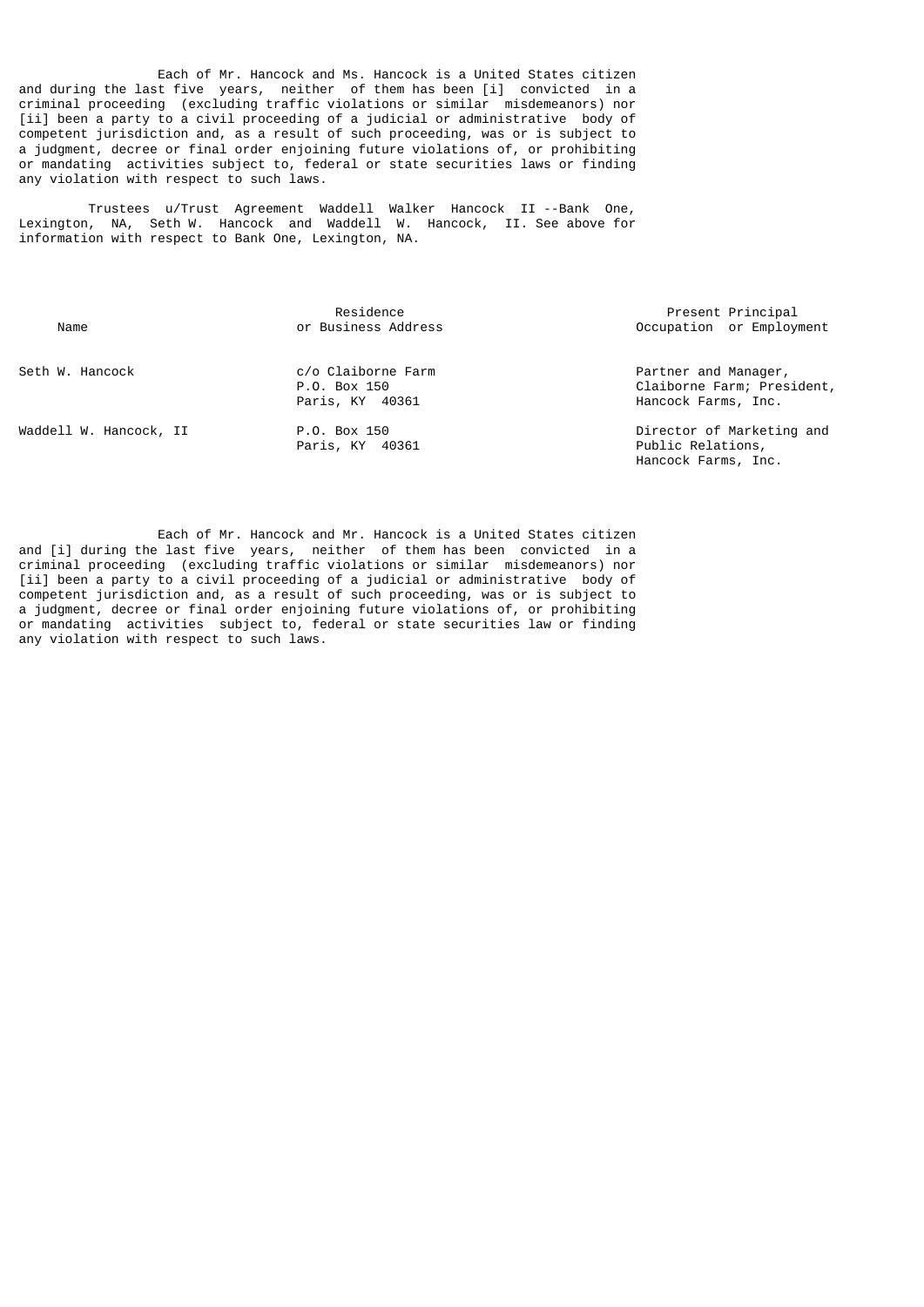Each of Mr. Hancock and Ms. Hancock is a United States citizen and during the last five years, neither of them has been [i] convicted in a criminal proceeding (excluding traffic violations or similar misdemeanors) nor [ii] been a party to a civil proceeding of a judicial or administrative body of competent jurisdiction and, as a result of such proceeding, was or is subject to a judgment, decree or final order enjoining future violations of, or prohibiting or mandating activities subject to, federal or state securities laws or finding any violation with respect to such laws.

 Trustees u/Trust Agreement Waddell Walker Hancock II --Bank One, Lexington, NA, Seth W. Hancock and Waddell W. Hancock, II. See above for information with respect to Bank One, Lexington, NA.

| Name                   | Residence<br>or Business Address                      | Present Principal<br>Occupation or Employment                             |
|------------------------|-------------------------------------------------------|---------------------------------------------------------------------------|
| Seth W. Hancock        | c/o Claiborne Farm<br>P.O. Box 150<br>Paris, KY 40361 | Partner and Manager,<br>Claiborne Farm; President,<br>Hancock Farms, Inc. |
| Waddell W. Hancock, II | P.O. Box 150<br>Paris, KY 40361                       | Director of Marketing and<br>Public Relations,<br>Hancock Farms, Inc.     |

 Each of Mr. Hancock and Mr. Hancock is a United States citizen and [i] during the last five years, neither of them has been convicted in a criminal proceeding (excluding traffic violations or similar misdemeanors) nor [ii] been a party to a civil proceeding of a judicial or administrative body of competent jurisdiction and, as a result of such proceeding, was or is subject to a judgment, decree or final order enjoining future violations of, or prohibiting or mandating activities subject to, federal or state securities law or finding any violation with respect to such laws.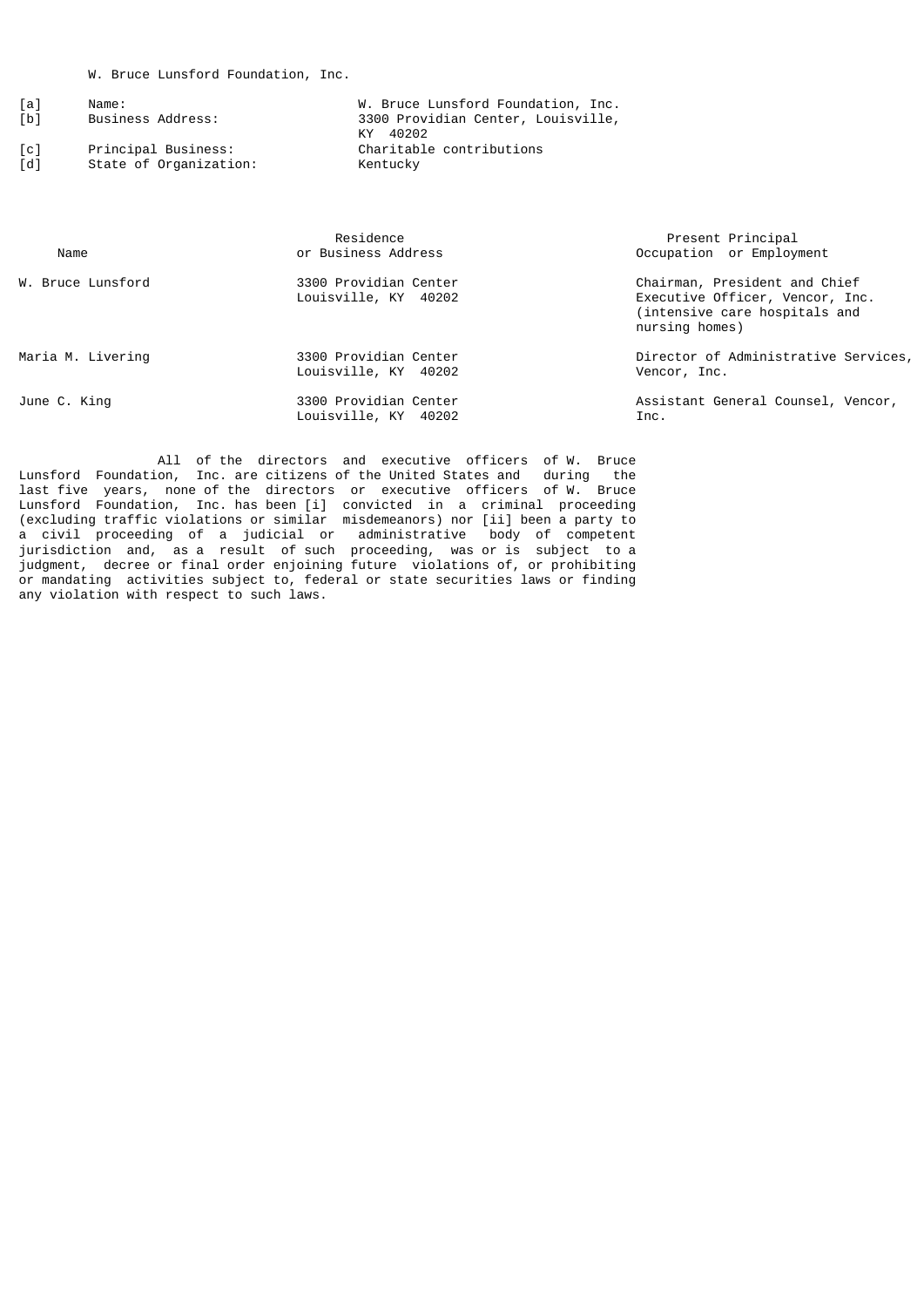| [a]               | Name:                  | W. Bruce Lunsford Foundation, Inc. |
|-------------------|------------------------|------------------------------------|
| [b]               | Business Address:      | 3300 Providian Center, Louisville, |
|                   |                        | 40202<br>КY                        |
| $\lceil c \rceil$ | Principal Business:    | Charitable contributions           |
| rd 1              | State of Organization: | Kentucky                           |

| Name              | Residence<br>or Business Address              | Present Principal<br>Occupation or Employment                                                                       |
|-------------------|-----------------------------------------------|---------------------------------------------------------------------------------------------------------------------|
| W. Bruce Lunsford | 3300 Providian Center<br>Louisville, KY 40202 | Chairman, President and Chief<br>Executive Officer, Vencor, Inc.<br>(intensive care hospitals and<br>nursing homes) |
| Maria M. Livering | 3300 Providian Center<br>Louisville, KY 40202 | Director of Administrative Services,<br>Vencor, Inc.                                                                |
| June C. King      | 3300 Providian Center<br>Louisville, KY 40202 | Assistant General Counsel, Vencor,<br>Inc.                                                                          |

 All of the directors and executive officers of W. Bruce Lunsford Foundation, Inc. are citizens of the United States and during the last five years, none of the directors or executive officers of W. Bruce Lunsford Foundation, Inc. has been [i] convicted in a criminal proceeding (excluding traffic violations or similar misdemeanors) nor [ii] been a party to a civil proceeding of a judicial or administrative body of competent jurisdiction and, as a result of such proceeding, was or is subject to a judgment, decree or final order enjoining future violations of, or prohibiting or mandating activities subject to, federal or state securities laws or finding any violation with respect to such laws.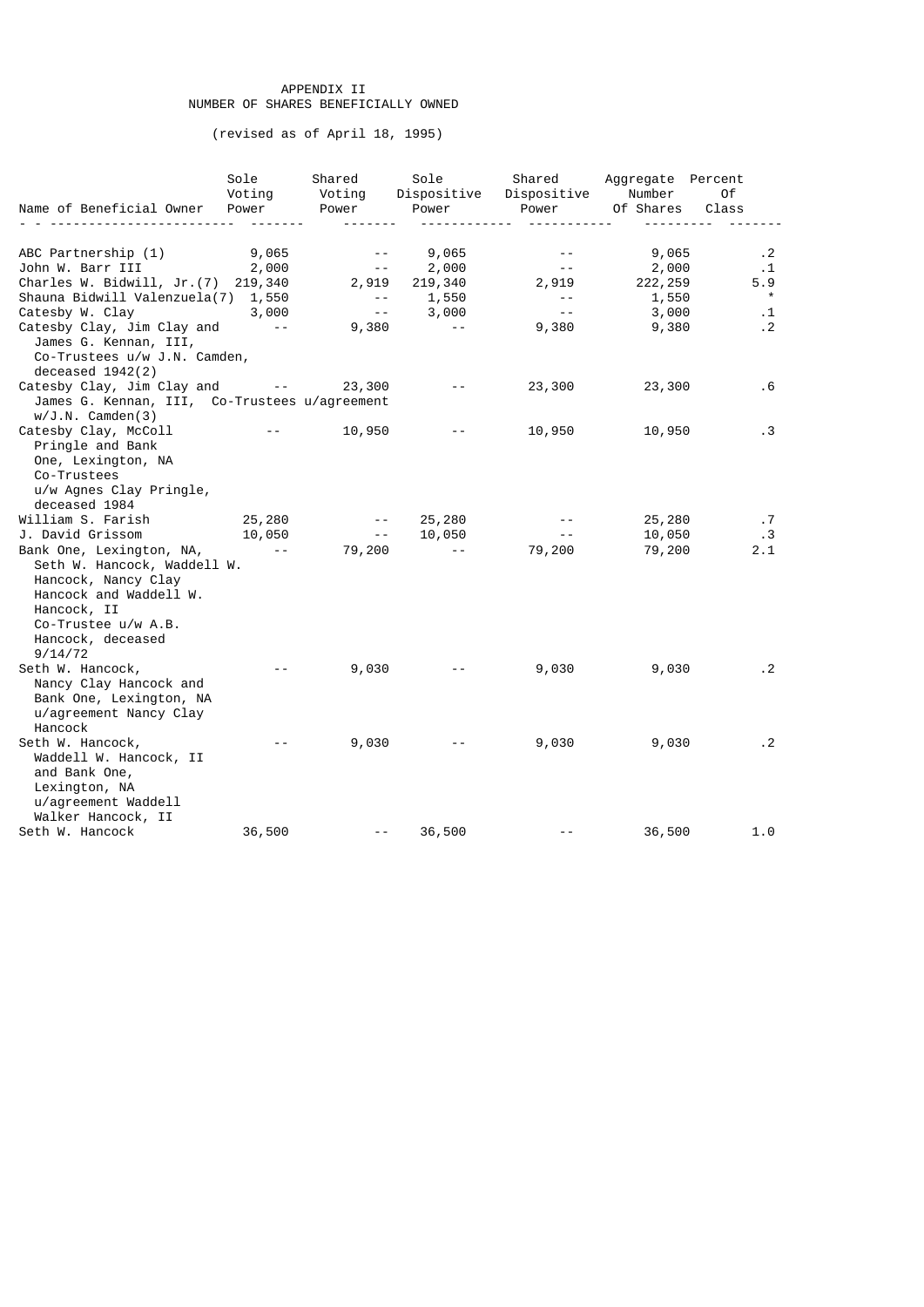# APPENDIX II NUMBER OF SHARES BENEFICIALLY OWNED

(revised as of April 18, 1995)

|                                               | Sole<br>Voting                                                                               | Shared<br>Voting                                      | Sole<br>Dispositive                         | Dispositive Number | Shared Aggregate Percent | 0f          |
|-----------------------------------------------|----------------------------------------------------------------------------------------------|-------------------------------------------------------|---------------------------------------------|--------------------|--------------------------|-------------|
| Name of Beneficial Owner                      | Power                                                                                        | Power                                                 | Power                                       | Power              | Of Shares                | Class       |
|                                               |                                                                                              |                                                       |                                             |                    |                          |             |
| ABC Partnership (1)                           | 9,065                                                                                        | $\sim$ $ \sim$                                        | 9,065                                       | $\sim$ $-$         | 9,065                    | $\cdot$ . 2 |
| John W. Barr III                              | 2,000                                                                                        | $\sim$ $ -$                                           | 2,000                                       | $\sim$ $-$         | 2,000                    | $\cdot$ 1   |
| Charles W. Bidwill, Jr. (7) 219,340           |                                                                                              | 2,919                                                 | 219,340                                     | 2,919              | 222, 259                 | 5.9         |
| Shauna Bidwill Valenzuela(7) 1,550            |                                                                                              | $\sim$ $-$                                            | 1,550                                       | $\sim$ $-$         | 1,550                    | $\star$     |
| Catesby W. Clay                               | 3,000                                                                                        | $\sim$ $\sim$                                         | 3,000                                       | $\sim$ $\sim$      | 3,000                    | $\cdot$ 1   |
| Catesby Clay, Jim Clay and                    | $\sim 100$ m $^{-1}$                                                                         | 9,380                                                 | <b>Contractor</b>                           | 9,380              | 9,380                    | $\cdot$ 2   |
| James G. Kennan, III,                         |                                                                                              |                                                       |                                             |                    |                          |             |
| Co-Trustees u/w J.N. Camden,                  |                                                                                              |                                                       |                                             |                    |                          |             |
| deceased $1942(2)$                            |                                                                                              |                                                       |                                             |                    |                          |             |
| Catesby Clay, Jim Clay and --                 |                                                                                              | 23,300                                                | $\sim$ $ \sim$                              | 23,300             | 23,300                   | . 6         |
| James G. Kennan, III, Co-Trustees u/agreement |                                                                                              |                                                       |                                             |                    |                          |             |
| $w/J.N.$ Camden(3)                            |                                                                                              |                                                       |                                             |                    |                          |             |
| Catesby Clay, McColl                          |                                                                                              | the property of the con-<br>10,950                    | $\sim 10^{-11}$                             | 10,950             | 10,950                   | .3          |
| Pringle and Bank                              |                                                                                              |                                                       |                                             |                    |                          |             |
| One, Lexington, NA                            |                                                                                              |                                                       |                                             |                    |                          |             |
| Co-Trustees                                   |                                                                                              |                                                       |                                             |                    |                          |             |
| u/w Agnes Clay Pringle,                       |                                                                                              |                                                       |                                             |                    |                          |             |
| deceased 1984                                 |                                                                                              |                                                       |                                             |                    |                          |             |
| William S. Farish                             | 25,280                                                                                       | $\sim 10^{11}$ m $^{-1}$ .<br>$\sim 100$ km s $^{-1}$ | 25,280                                      |                    | 25,280                   | $\cdot$ 7   |
| J. David Grissom                              | 10,050                                                                                       |                                                       | 10,050                                      |                    | 10,050                   | .3          |
| Bank One, Lexington, NA,                      | $\mathcal{L}_{\text{max}}$ , and $\mathcal{L}_{\text{max}}$ , and $\mathcal{L}_{\text{max}}$ | 79,200                                                | $\sim 100$ m $^{-1}$                        | 79,200             | 79,200                   | 2.1         |
| Seth W. Hancock, Waddell W.                   |                                                                                              |                                                       |                                             |                    |                          |             |
| Hancock, Nancy Clay<br>Hancock and Waddell W. |                                                                                              |                                                       |                                             |                    |                          |             |
| Hancock, II                                   |                                                                                              |                                                       |                                             |                    |                          |             |
| Co-Trustee u/w A.B.                           |                                                                                              |                                                       |                                             |                    |                          |             |
| Hancock, deceased                             |                                                                                              |                                                       |                                             |                    |                          |             |
| 9/14/72                                       |                                                                                              |                                                       |                                             |                    |                          |             |
| Seth W. Hancock,                              |                                                                                              | 9,030                                                 |                                             | 9,030              | 9,030                    | $\cdot$ 2   |
| Nancy Clay Hancock and                        |                                                                                              |                                                       |                                             |                    |                          |             |
| Bank One, Lexington, NA                       |                                                                                              |                                                       |                                             |                    |                          |             |
| u/agreement Nancy Clay                        |                                                                                              |                                                       |                                             |                    |                          |             |
| Hancock                                       |                                                                                              |                                                       |                                             |                    |                          |             |
| Seth W. Hancock,                              | $\sim$ $\sim$                                                                                | 9,030                                                 | $\omega_{\rm{max}}$ and $\omega_{\rm{max}}$ | 9,030              | 9,030                    | $\cdot$ . 2 |
| Waddell W. Hancock, II                        |                                                                                              |                                                       |                                             |                    |                          |             |
| and Bank One,                                 |                                                                                              |                                                       |                                             |                    |                          |             |
| Lexington, NA                                 |                                                                                              |                                                       |                                             |                    |                          |             |
| u/agreement Waddell                           |                                                                                              |                                                       |                                             |                    |                          |             |
| Walker Hancock, II                            |                                                                                              |                                                       |                                             |                    |                          |             |
| Seth W. Hancock                               | 36,500                                                                                       | $\sim$ $\sim$                                         | 36,500                                      |                    | 36,500                   | 1.0         |
|                                               |                                                                                              |                                                       |                                             |                    |                          |             |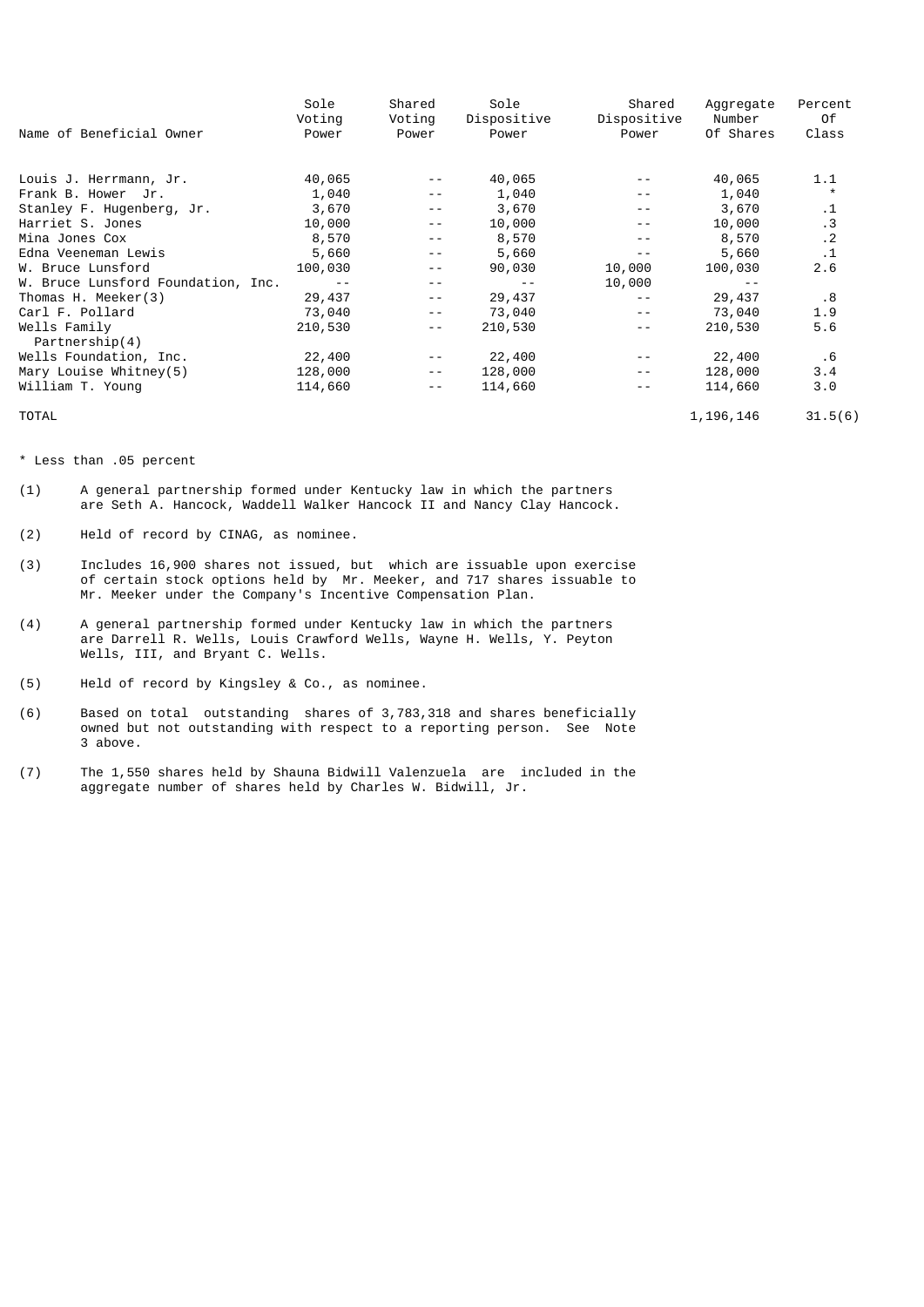|                                    | Sole          | Shared        | Sole          | Shared        | Aggregate   | Percent   |
|------------------------------------|---------------|---------------|---------------|---------------|-------------|-----------|
|                                    | Voting        | Voting        | Dispositive   | Dispositive   | Number      | 0f        |
| Name of Beneficial Owner           | Power         | Power         | Power         | Power         | Of Shares   | Class     |
|                                    |               |               |               |               |             |           |
| Louis J. Herrmann, Jr.             | 40,065        | $\frac{1}{2}$ | 40,065        | $ -$          | 40,065      | 1.1       |
| Frank B. Hower Jr.                 | 1,040         | $\frac{1}{2}$ | 1,040         | $ -$          | 1,040       | $\star$   |
| Stanley F. Hugenberg, Jr.          | 3,670         | $- -$         | 3,670         | $\frac{1}{2}$ | 3,670       | $\cdot$ 1 |
| Harriet S. Jones                   | 10,000        | $ -$          | 10,000        | $\frac{1}{2}$ | 10,000      | $\cdot$ 3 |
| Mina Jones Cox                     | 8,570         | $- -$         | 8,570         | $\frac{1}{2}$ | 8,570       | $\cdot$ 2 |
| Edna Veeneman Lewis                | 5,660         | - -           | 5,660         | $ -$          | 5,660       | $\cdot$ 1 |
| W. Bruce Lunsford                  | 100,030       | $\frac{1}{2}$ | 90,030        | 10,000        | 100,030     | 2.6       |
| W. Bruce Lunsford Foundation, Inc. | $\sim$ $\sim$ | $\frac{1}{2}$ | $\frac{1}{2}$ | 10,000        |             |           |
| Thomas H. Meeker(3)                | 29,437        | $\sim$ $\sim$ | 29,437        | $ -$          | 29,437      | .8        |
| Carl F. Pollard                    | 73,040        | $\frac{1}{2}$ | 73,040        | $\frac{1}{2}$ | 73,040      | 1.9       |
| Wells Family                       | 210,530       | $\frac{1}{2}$ | 210,530       | $\frac{1}{2}$ | 210,530     | 5.6       |
| Partnership(4)                     |               |               |               |               |             |           |
| Wells Foundation, Inc.             | 22,400        | $\frac{1}{2}$ | 22,400        |               | 22,400      | . 6       |
| Mary Louise Whitney(5)             | 128,000       | $\frac{1}{2}$ | 128,000       | $- -$         | 128,000     | 3.4       |
| William T. Young                   | 114,660       | $\frac{1}{2}$ | 114,660       | $- -$         | 114,660     | 3.0       |
| <b>TOTAL</b>                       |               |               |               |               | 1, 196, 146 | 31.5(6)   |

\* Less than .05 percent

- (1) A general partnership formed under Kentucky law in which the partners are Seth A. Hancock, Waddell Walker Hancock II and Nancy Clay Hancock.
- (2) Held of record by CINAG, as nominee.
- (3) Includes 16,900 shares not issued, but which are issuable upon exercise of certain stock options held by Mr. Meeker, and 717 shares issuable to Mr. Meeker under the Company's Incentive Compensation Plan.
- (4) A general partnership formed under Kentucky law in which the partners are Darrell R. Wells, Louis Crawford Wells, Wayne H. Wells, Y. Peyton Wells, III, and Bryant C. Wells.
- (5) Held of record by Kingsley & Co., as nominee.
- (6) Based on total outstanding shares of 3,783,318 and shares beneficially owned but not outstanding with respect to a reporting person. See Note 3 above.
- (7) The 1,550 shares held by Shauna Bidwill Valenzuela are included in the aggregate number of shares held by Charles W. Bidwill, Jr.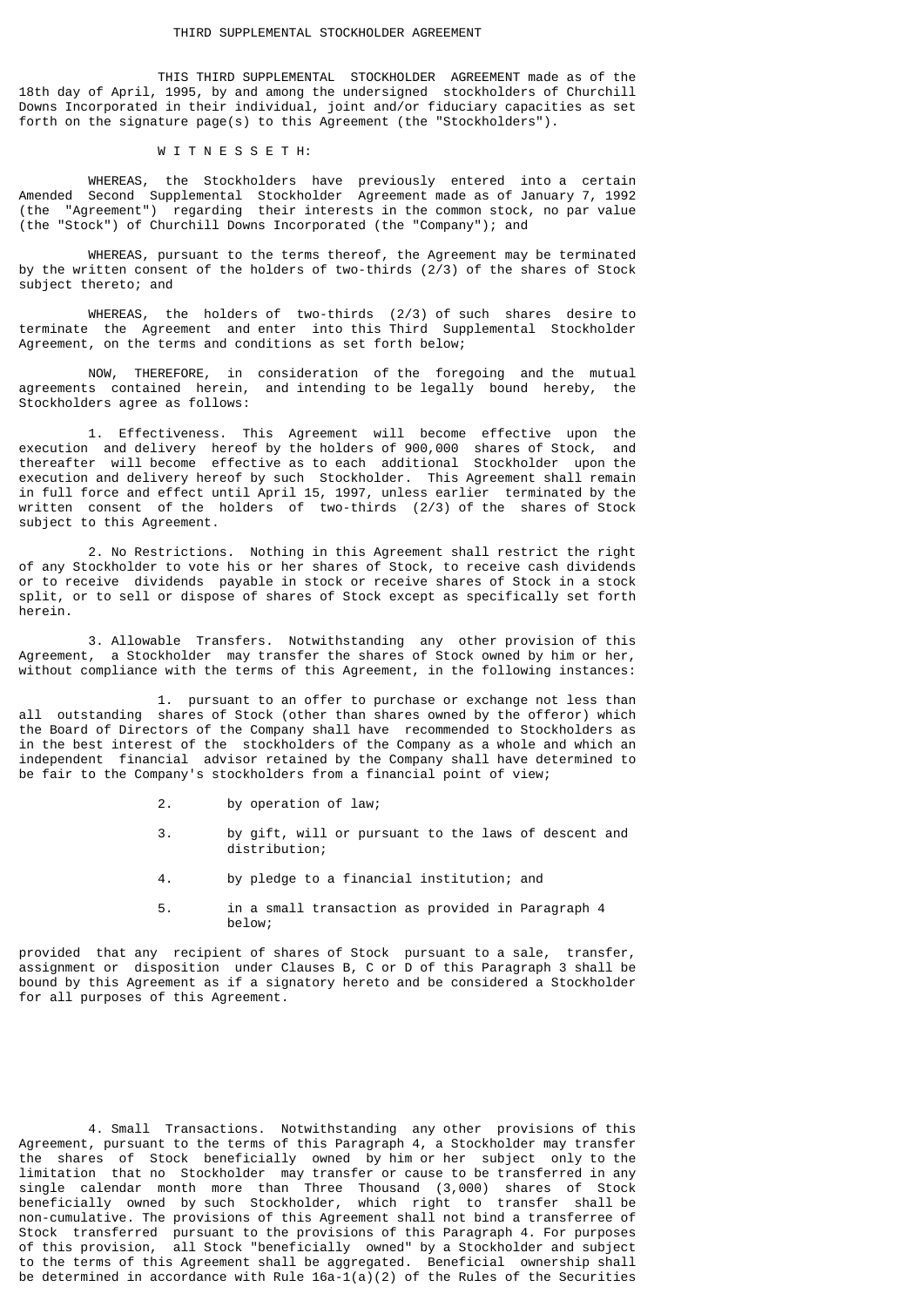THIS THIRD SUPPLEMENTAL STOCKHOLDER AGREEMENT made as of the 18th day of April, 1995, by and among the undersigned stockholders of Churchill Downs Incorporated in their individual, joint and/or fiduciary capacities as set forth on the signature page(s) to this Agreement (the "Stockholders").

### W I T N E S S E T H:

 WHEREAS, the Stockholders have previously entered into a certain Amended Second Supplemental Stockholder Agreement made as of January 7, 1992 (the "Agreement") regarding their interests in the common stock, no par value (the "Stock") of Churchill Downs Incorporated (the "Company"); and

 WHEREAS, pursuant to the terms thereof, the Agreement may be terminated by the written consent of the holders of two-thirds (2/3) of the shares of Stock subject thereto; and

 WHEREAS, the holders of two-thirds (2/3) of such shares desire to terminate the Agreement and enter into this Third Supplemental Stockholder Agreement, on the terms and conditions as set forth below;

 NOW, THEREFORE, in consideration of the foregoing and the mutual agreements contained herein, and intending to be legally bound hereby, the Stockholders agree as follows:

 1. Effectiveness. This Agreement will become effective upon the execution and delivery hereof by the holders of 900,000 shares of Stock, and thereafter will become effective as to each additional Stockholder upon the execution and delivery hereof by such Stockholder. This Agreement shall remain in full force and effect until April 15, 1997, unless earlier terminated by the written consent of the holders of two-thirds (2/3) of the shares of Stock subject to this Agreement.

 2. No Restrictions. Nothing in this Agreement shall restrict the right of any Stockholder to vote his or her shares of Stock, to receive cash dividends or to receive dividends payable in stock or receive shares of Stock in a stock split, or to sell or dispose of shares of Stock except as specifically set forth herein.

 3. Allowable Transfers. Notwithstanding any other provision of this Agreement, a Stockholder may transfer the shares of Stock owned by him or her, without compliance with the terms of this Agreement, in the following instances:

 1. pursuant to an offer to purchase or exchange not less than all outstanding shares of Stock (other than shares owned by the offeror) which the Board of Directors of the Company shall have recommended to Stockholders as in the best interest of the stockholders of the Company as a whole and which an independent financial advisor retained by the Company shall have determined to be fair to the Company's stockholders from a financial point of view;

- 2. by operation of law;
- 3. by gift, will or pursuant to the laws of descent and distribution;
- 4. by pledge to a financial institution; and
- 5. in a small transaction as provided in Paragraph 4 below;

provided that any recipient of shares of Stock pursuant to a sale, transfer, assignment or disposition under Clauses B, C or D of this Paragraph 3 shall be bound by this Agreement as if a signatory hereto and be considered a Stockholder for all purposes of this Agreement.

 4. Small Transactions. Notwithstanding any other provisions of this Agreement, pursuant to the terms of this Paragraph 4, a Stockholder may transfer the shares of Stock beneficially owned by him or her subject only to the limitation that no Stockholder may transfer or cause to be transferred in any single calendar month more than Three Thousand (3,000) shares of Stock beneficially owned by such Stockholder, which right to transfer shall be non-cumulative. The provisions of this Agreement shall not bind a transferree of Stock transferred pursuant to the provisions of this Paragraph 4. For purposes of this provision, all Stock "beneficially owned" by a Stockholder and subject to the terms of this Agreement shall be aggregated. Beneficial ownership shall be determined in accordance with Rule  $16a-1(a)(2)$  of the Rules of the Securities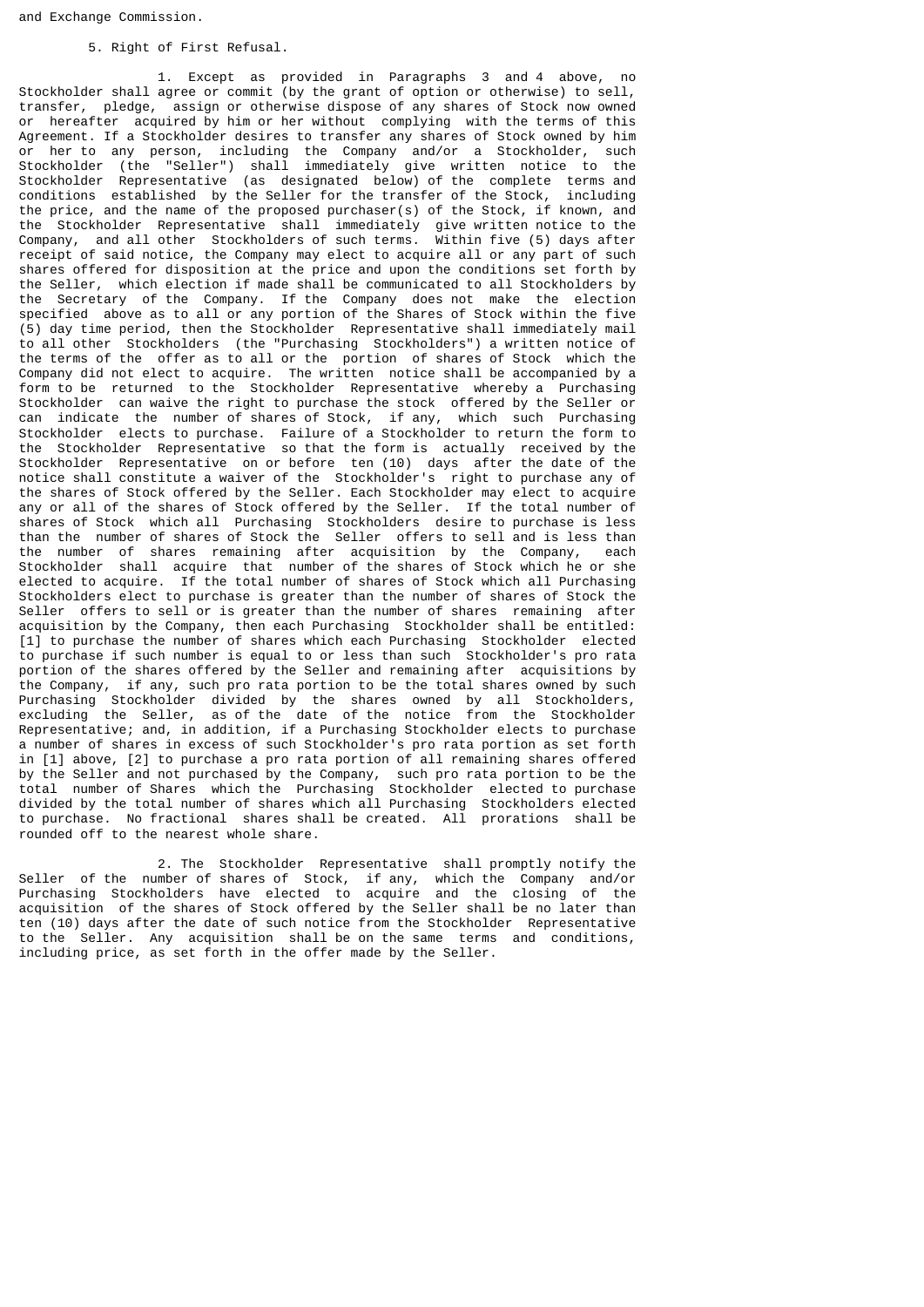#### 5. Right of First Refusal.

 1. Except as provided in Paragraphs 3 and 4 above, no Stockholder shall agree or commit (by the grant of option or otherwise) to sell, transfer, pledge, assign or otherwise dispose of any shares of Stock now owned or hereafter acquired by him or her without complying with the terms of this Agreement. If a Stockholder desires to transfer any shares of Stock owned by him or her to any person, including the Company and/or a Stockholder, such Stockholder (the "Seller") shall immediately give written notice to the Stockholder Representative (as designated below) of the complete terms and conditions established by the Seller for the transfer of the Stock, including the price, and the name of the proposed purchaser(s) of the Stock, if known, and the Stockholder Representative shall immediately give written notice to the Company, and all other Stockholders of such terms. Within five (5) days after receipt of said notice, the Company may elect to acquire all or any part of such shares offered for disposition at the price and upon the conditions set forth by the Seller, which election if made shall be communicated to all Stockholders by the Secretary of the Company. If the Company does not make the election specified above as to all or any portion of the Shares of Stock within the five (5) day time period, then the Stockholder Representative shall immediately mail to all other Stockholders (the "Purchasing Stockholders") a written notice of the terms of the offer as to all or the portion of shares of Stock which the Company did not elect to acquire. The written notice shall be accompanied by a form to be returned to the Stockholder Representative whereby a Purchasing Stockholder can waive the right to purchase the stock offered by the Seller or can indicate the number of shares of Stock, if any, which such Purchasing Stockholder elects to purchase. Failure of a Stockholder to return the form to the Stockholder Representative so that the form is actually received by the Stockholder Representative on or before ten (10) days after the date of the notice shall constitute a waiver of the Stockholder's right to purchase any of the shares of Stock offered by the Seller. Each Stockholder may elect to acquire any or all of the shares of Stock offered by the Seller. If the total number of shares of Stock which all Purchasing Stockholders desire to purchase is less than the number of shares of Stock the Seller offers to sell and is less than the number of shares remaining after acquisition by the Company, each Stockholder shall acquire that number of the shares of Stock which he or she elected to acquire. If the total number of shares of Stock which all Purchasing Stockholders elect to purchase is greater than the number of shares of Stock the Seller offers to sell or is greater than the number of shares remaining after acquisition by the Company, then each Purchasing Stockholder shall be entitled: [1] to purchase the number of shares which each Purchasing Stockholder elected to purchase if such number is equal to or less than such Stockholder's pro rata portion of the shares offered by the Seller and remaining after acquisitions by the Company, if any, such pro rata portion to be the total shares owned by such Purchasing Stockholder divided by the shares owned by all Stockholders, excluding the Seller, as of the date of the notice from the Stockholder Representative; and, in addition, if a Purchasing Stockholder elects to purchase a number of shares in excess of such Stockholder's pro rata portion as set forth in [1] above, [2] to purchase a pro rata portion of all remaining shares offered by the Seller and not purchased by the Company, such pro rata portion to be the total number of Shares which the Purchasing Stockholder elected to purchase divided by the total number of shares which  $aI1$  Purchasing Stockholders elected to purchase. No fractional shares shall be created. All prorations shall be rounded off to the nearest whole share.

 2. The Stockholder Representative shall promptly notify the Seller of the number of shares of Stock, if any, which the Company and/or Purchasing Stockholders have elected to acquire and the closing of the acquisition of the shares of Stock offered by the Seller shall be no later than ten (10) days after the date of such notice from the Stockholder Representative to the Seller. Any acquisition shall be on the same terms and conditions, including price, as set forth in the offer made by the Seller.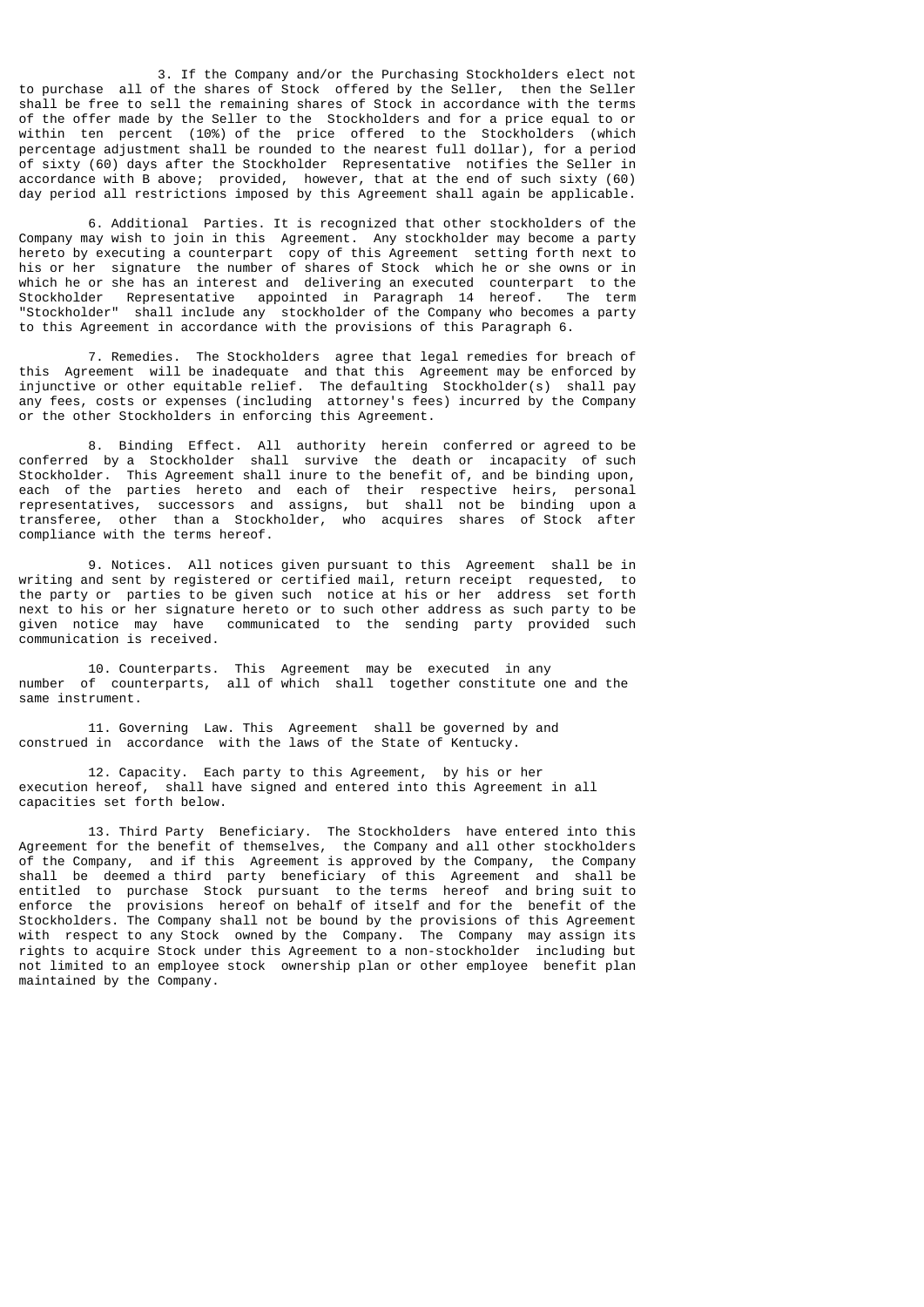3. If the Company and/or the Purchasing Stockholders elect not to purchase all of the shares of Stock offered by the Seller, then the Seller shall be free to sell the remaining shares of Stock in accordance with the terms of the offer made by the Seller to the Stockholders and for a price equal to or within ten percent (10%) of the price offered to the Stockholders (which percentage adjustment shall be rounded to the nearest full dollar), for a period of sixty (60) days after the Stockholder Representative notifies the Seller in accordance with B above; provided, however, that at the end of such sixty (60) day period all restrictions imposed by this Agreement shall again be applicable.

 6. Additional Parties. It is recognized that other stockholders of the Company may wish to join in this Agreement. Any stockholder may become a party hereto by executing a counterpart copy of this Agreement setting forth next to his or her signature the number of shares of Stock which he or she owns or in which he or she has an interest and delivering an executed counterpart to the Stockholder Representative appointed in Paragraph 14 hereof. The term "Stockholder" shall include any stockholder of the Company who becomes a party to this Agreement in accordance with the provisions of this Paragraph 6.

 7. Remedies. The Stockholders agree that legal remedies for breach of this Agreement will be inadequate and that this Agreement may be enforced by injunctive or other equitable relief. The defaulting Stockholder(s) shall pay any fees, costs or expenses (including attorney's fees) incurred by the Company or the other Stockholders in enforcing this Agreement.

 8. Binding Effect. All authority herein conferred or agreed to be conferred by a Stockholder shall survive the death or incapacity of such Stockholder. This Agreement shall inure to the benefit of, and be binding upon, each of the parties hereto and each of their respective heirs, personal representatives, successors and assigns, but shall not be binding upon a transferee, other than a Stockholder, who acquires shares of Stock after compliance with the terms hereof.

 9. Notices. All notices given pursuant to this Agreement shall be in writing and sent by registered or certified mail, return receipt requested, to the party or parties to be given such notice at his or her address set forth next to his or her signature hereto or to such other address as such party to be given notice may have communicated to the sending party provided such communication is received.

 10. Counterparts. This Agreement may be executed in any number of counterparts, all of which shall together constitute one and the same instrument.

 11. Governing Law. This Agreement shall be governed by and construed in accordance with the laws of the State of Kentucky.

 12. Capacity. Each party to this Agreement, by his or her execution hereof, shall have signed and entered into this Agreement in all capacities set forth below.

 13. Third Party Beneficiary. The Stockholders have entered into this Agreement for the benefit of themselves, the Company and all other stockholders of the Company, and if this Agreement is approved by the Company, the Company shall be deemed a third party beneficiary of this Agreement and shall be entitled to purchase Stock pursuant to the terms hereof and bring suit to enforce the provisions hereof on behalf of itself and for the benefit of the Stockholders. The Company shall not be bound by the provisions of this Agreement with respect to any Stock owned by the Company. The Company may assign its rights to acquire Stock under this Agreement to a non-stockholder including but not limited to an employee stock ownership plan or other employee benefit plan maintained by the Company.